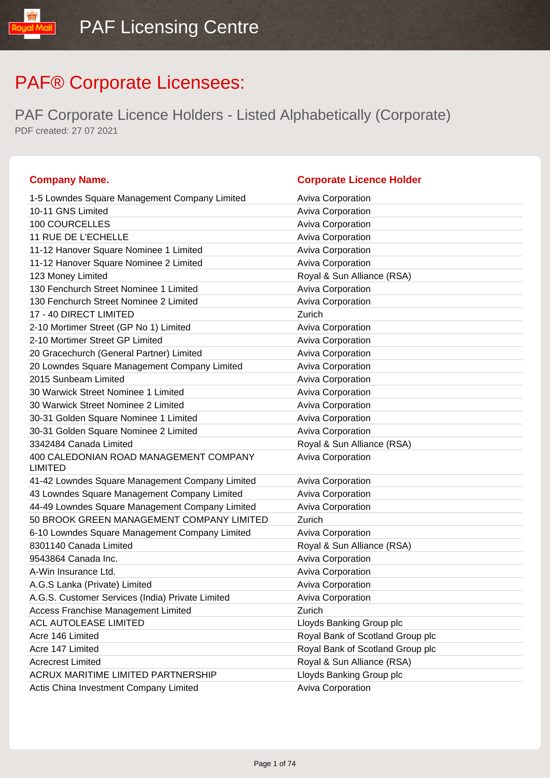| <b>Company Name.</b>                                     | <b>Corporate Licence Holder</b>  |
|----------------------------------------------------------|----------------------------------|
| 1-5 Lowndes Square Management Company Limited            | <b>Aviva Corporation</b>         |
| 10-11 GNS Limited                                        | <b>Aviva Corporation</b>         |
| <b>100 COURCELLES</b>                                    | <b>Aviva Corporation</b>         |
| 11 RUE DE L'ECHELLE                                      | Aviva Corporation                |
| 11-12 Hanover Square Nominee 1 Limited                   | Aviva Corporation                |
| 11-12 Hanover Square Nominee 2 Limited                   | Aviva Corporation                |
| 123 Money Limited                                        | Royal & Sun Alliance (RSA)       |
| 130 Fenchurch Street Nominee 1 Limited                   | Aviva Corporation                |
| 130 Fenchurch Street Nominee 2 Limited                   | Aviva Corporation                |
| 17 - 40 DIRECT LIMITED                                   | Zurich                           |
| 2-10 Mortimer Street (GP No 1) Limited                   | <b>Aviva Corporation</b>         |
| 2-10 Mortimer Street GP Limited                          | Aviva Corporation                |
| 20 Gracechurch (General Partner) Limited                 | <b>Aviva Corporation</b>         |
| 20 Lowndes Square Management Company Limited             | Aviva Corporation                |
| 2015 Sunbeam Limited                                     | Aviva Corporation                |
| 30 Warwick Street Nominee 1 Limited                      | Aviva Corporation                |
| 30 Warwick Street Nominee 2 Limited                      | Aviva Corporation                |
| 30-31 Golden Square Nominee 1 Limited                    | Aviva Corporation                |
| 30-31 Golden Square Nominee 2 Limited                    | Aviva Corporation                |
| 3342484 Canada Limited                                   | Royal & Sun Alliance (RSA)       |
| 400 CALEDONIAN ROAD MANAGEMENT COMPANY<br><b>LIMITED</b> | Aviva Corporation                |
| 41-42 Lowndes Square Management Company Limited          | <b>Aviva Corporation</b>         |
| 43 Lowndes Square Management Company Limited             | Aviva Corporation                |
| 44-49 Lowndes Square Management Company Limited          | Aviva Corporation                |
| 50 BROOK GREEN MANAGEMENT COMPANY LIMITED                | Zurich                           |
| 6-10 Lowndes Square Management Company Limited           | <b>Aviva Corporation</b>         |
| 8301140 Canada Limited                                   | Royal & Sun Alliance (RSA)       |
| 9543864 Canada Inc.                                      | Aviva Corporation                |
| A-Win Insurance Ltd.                                     | Aviva Corporation                |
| A.G.S Lanka (Private) Limited                            | <b>Aviva Corporation</b>         |
| A.G.S. Customer Services (India) Private Limited         | <b>Aviva Corporation</b>         |
| Access Franchise Management Limited                      | Zurich                           |
| ACL AUTOLEASE LIMITED                                    | Lloyds Banking Group plc         |
| Acre 146 Limited                                         | Royal Bank of Scotland Group plc |
| Acre 147 Limited                                         | Royal Bank of Scotland Group plc |
| <b>Acrecrest Limited</b>                                 | Royal & Sun Alliance (RSA)       |
| ACRUX MARITIME LIMITED PARTNERSHIP                       | Lloyds Banking Group plc         |
| Actis China Investment Company Limited                   | <b>Aviva Corporation</b>         |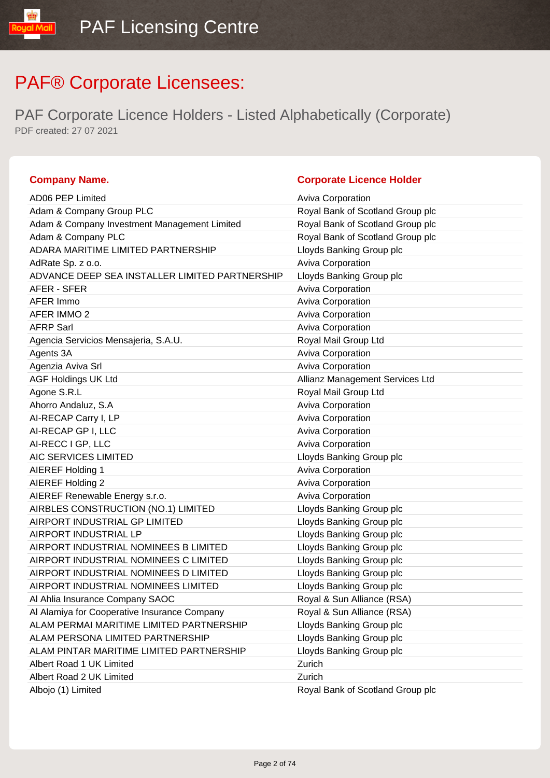PAF Corporate Licence Holders - Listed Alphabetically (Corporate) PDF created: 27 07 2021

| <b>Company Name.</b> |  |
|----------------------|--|
|----------------------|--|

### **Corporate Licence Holder**

| <b>AD06 PEP Limited</b>                        | <b>Aviva Corporation</b>         |
|------------------------------------------------|----------------------------------|
| Adam & Company Group PLC                       | Royal Bank of Scotland Group plc |
| Adam & Company Investment Management Limited   | Royal Bank of Scotland Group plc |
| Adam & Company PLC                             | Royal Bank of Scotland Group plc |
| ADARA MARITIME LIMITED PARTNERSHIP             | Lloyds Banking Group plc         |
| AdRate Sp. z o.o.                              | Aviva Corporation                |
| ADVANCE DEEP SEA INSTALLER LIMITED PARTNERSHIP | Lloyds Banking Group plc         |
| AFER - SFER                                    | <b>Aviva Corporation</b>         |
| AFER Immo                                      | Aviva Corporation                |
| AFER IMMO 2                                    | Aviva Corporation                |
| <b>AFRP Sarl</b>                               | Aviva Corporation                |
| Agencia Servicios Mensajeria, S.A.U.           | Royal Mail Group Ltd             |
| Agents 3A                                      | Aviva Corporation                |
| Agenzia Aviva Srl                              | Aviva Corporation                |
| <b>AGF Holdings UK Ltd</b>                     | Allianz Management Services Ltd  |
| Agone S.R.L                                    | Royal Mail Group Ltd             |
| Ahorro Andaluz, S.A                            | Aviva Corporation                |
| AI-RECAP Carry I, LP                           | <b>Aviva Corporation</b>         |
| AI-RECAP GP I, LLC                             | Aviva Corporation                |
| AI-RECC I GP, LLC                              | Aviva Corporation                |
| AIC SERVICES LIMITED                           | Lloyds Banking Group plc         |
| AIEREF Holding 1                               | Aviva Corporation                |
| AIEREF Holding 2                               | <b>Aviva Corporation</b>         |
| AIEREF Renewable Energy s.r.o.                 | Aviva Corporation                |
| AIRBLES CONSTRUCTION (NO.1) LIMITED            | Lloyds Banking Group plc         |
| AIRPORT INDUSTRIAL GP LIMITED                  | Lloyds Banking Group plc         |
| AIRPORT INDUSTRIAL LP                          | Lloyds Banking Group plc         |
| AIRPORT INDUSTRIAL NOMINEES B LIMITED          | Lloyds Banking Group plc         |
| AIRPORT INDUSTRIAL NOMINEES C LIMITED          | Lloyds Banking Group plc         |
| AIRPORT INDUSTRIAL NOMINEES D LIMITED          | Lloyds Banking Group plc         |
| AIRPORT INDUSTRIAL NOMINEES LIMITED            | Lloyds Banking Group plc         |
| Al Ahlia Insurance Company SAOC                | Royal & Sun Alliance (RSA)       |
| Al Alamiya for Cooperative Insurance Company   | Royal & Sun Alliance (RSA)       |
| ALAM PERMAI MARITIME LIMITED PARTNERSHIP       | Lloyds Banking Group plc         |
| ALAM PERSONA LIMITED PARTNERSHIP               | Lloyds Banking Group plc         |
| ALAM PINTAR MARITIME LIMITED PARTNERSHIP       | Lloyds Banking Group plc         |
| Albert Road 1 UK Limited                       | Zurich                           |
| Albert Road 2 UK Limited                       | Zurich                           |
| Albojo (1) Limited                             | Royal Bank of Scotland Group plc |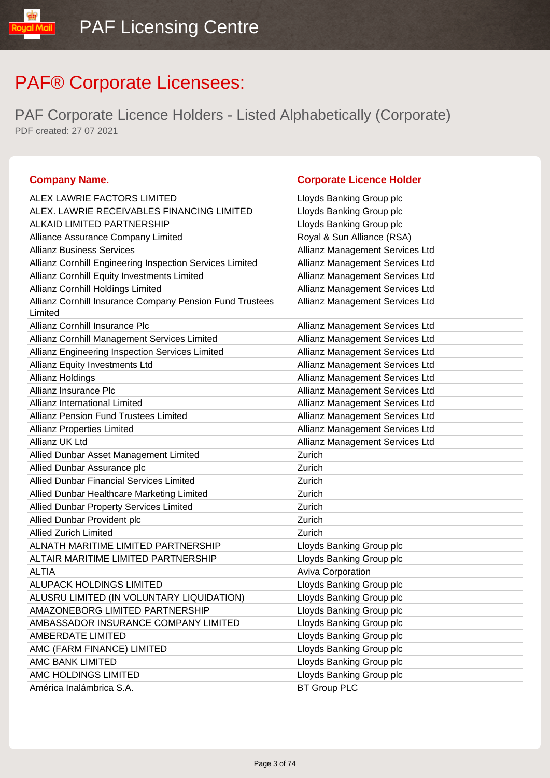PAF Corporate Licence Holders - Listed Alphabetically (Corporate) PDF created: 27 07 2021

### **Company Name. Company Name. Company Name. Company Name. Company Name. Company Name. Company Name. Company Name. Company Name. Company Name. Company Name. Company Name. Company Name. Company Name.**

ual Mail

| ALEX LAWRIE FACTORS LIMITED                                         | Lloyds Banking Group plc        |
|---------------------------------------------------------------------|---------------------------------|
| ALEX. LAWRIE RECEIVABLES FINANCING LIMITED                          | Lloyds Banking Group plc        |
| <b>ALKAID LIMITED PARTNERSHIP</b>                                   | Lloyds Banking Group plc        |
| Alliance Assurance Company Limited                                  | Royal & Sun Alliance (RSA)      |
| <b>Allianz Business Services</b>                                    | Allianz Management Services Ltd |
| Allianz Cornhill Engineering Inspection Services Limited            | Allianz Management Services Ltd |
| Allianz Cornhill Equity Investments Limited                         | Allianz Management Services Ltd |
| Allianz Cornhill Holdings Limited                                   | Allianz Management Services Ltd |
| Allianz Cornhill Insurance Company Pension Fund Trustees<br>Limited | Allianz Management Services Ltd |
| Allianz Cornhill Insurance Plc                                      | Allianz Management Services Ltd |
| Allianz Cornhill Management Services Limited                        | Allianz Management Services Ltd |
| Allianz Engineering Inspection Services Limited                     | Allianz Management Services Ltd |
| Allianz Equity Investments Ltd                                      | Allianz Management Services Ltd |
| <b>Allianz Holdings</b>                                             | Allianz Management Services Ltd |
| Allianz Insurance Plc                                               | Allianz Management Services Ltd |
| Allianz International Limited                                       | Allianz Management Services Ltd |
| <b>Allianz Pension Fund Trustees Limited</b>                        | Allianz Management Services Ltd |
| <b>Allianz Properties Limited</b>                                   | Allianz Management Services Ltd |
| Allianz UK Ltd                                                      | Allianz Management Services Ltd |
| Allied Dunbar Asset Management Limited                              | Zurich                          |
| Allied Dunbar Assurance plc                                         | Zurich                          |
| <b>Allied Dunbar Financial Services Limited</b>                     | Zurich                          |
| Allied Dunbar Healthcare Marketing Limited                          | Zurich                          |
| Allied Dunbar Property Services Limited                             | Zurich                          |
| Allied Dunbar Provident plc                                         | Zurich                          |
| <b>Allied Zurich Limited</b>                                        | Zurich                          |
| ALNATH MARITIME LIMITED PARTNERSHIP                                 | Lloyds Banking Group plc        |
| ALTAIR MARITIME LIMITED PARTNERSHIP                                 | Lloyds Banking Group plc        |
| <b>ALTIA</b>                                                        | Aviva Corporation               |
| ALUPACK HOLDINGS LIMITED                                            | Lloyds Banking Group plc        |
| ALUSRU LIMITED (IN VOLUNTARY LIQUIDATION)                           | Lloyds Banking Group plc        |
| AMAZONEBORG LIMITED PARTNERSHIP                                     | Lloyds Banking Group plc        |
| AMBASSADOR INSURANCE COMPANY LIMITED                                | Lloyds Banking Group plc        |
| AMBERDATE LIMITED                                                   | Lloyds Banking Group plc        |
| AMC (FARM FINANCE) LIMITED                                          | Lloyds Banking Group plc        |
| AMC BANK LIMITED                                                    | Lloyds Banking Group plc        |
| AMC HOLDINGS LIMITED                                                | Lloyds Banking Group plc        |
| América Inalámbrica S.A.                                            | <b>BT Group PLC</b>             |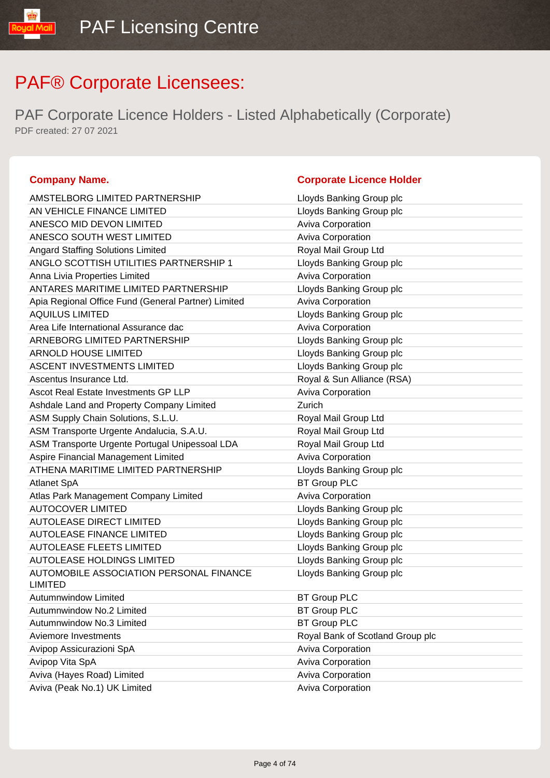PAF Corporate Licence Holders - Listed Alphabetically (Corporate) PDF created: 27 07 2021

### **Company Name. Company Name. Company Name. Company Name. Company Name. Company Name. Company Name. Company Name. Company Name. Company Name. Company Name. Company Name. Company Name. Company Name.**

| AMSTELBORG LIMITED PARTNERSHIP                            | Lloyds Banking Group plc         |
|-----------------------------------------------------------|----------------------------------|
| AN VEHICLE FINANCE LIMITED                                | Lloyds Banking Group plc         |
| ANESCO MID DEVON LIMITED                                  | Aviva Corporation                |
| ANESCO SOUTH WEST LIMITED                                 | Aviva Corporation                |
| <b>Angard Staffing Solutions Limited</b>                  | Royal Mail Group Ltd             |
| ANGLO SCOTTISH UTILITIES PARTNERSHIP 1                    | Lloyds Banking Group plc         |
| Anna Livia Properties Limited                             | <b>Aviva Corporation</b>         |
| ANTARES MARITIME LIMITED PARTNERSHIP                      | Lloyds Banking Group plc         |
| Apia Regional Office Fund (General Partner) Limited       | <b>Aviva Corporation</b>         |
| <b>AQUILUS LIMITED</b>                                    | Lloyds Banking Group plc         |
| Area Life International Assurance dac                     | Aviva Corporation                |
| ARNEBORG LIMITED PARTNERSHIP                              | Lloyds Banking Group plc         |
| <b>ARNOLD HOUSE LIMITED</b>                               | Lloyds Banking Group plc         |
| <b>ASCENT INVESTMENTS LIMITED</b>                         | Lloyds Banking Group plc         |
| Ascentus Insurance Ltd.                                   | Royal & Sun Alliance (RSA)       |
| Ascot Real Estate Investments GP LLP                      | Aviva Corporation                |
| Ashdale Land and Property Company Limited                 | Zurich                           |
| ASM Supply Chain Solutions, S.L.U.                        | Royal Mail Group Ltd             |
| ASM Transporte Urgente Andalucia, S.A.U.                  | Royal Mail Group Ltd             |
| ASM Transporte Urgente Portugal Unipessoal LDA            | Royal Mail Group Ltd             |
| Aspire Financial Management Limited                       | Aviva Corporation                |
| ATHENA MARITIME LIMITED PARTNERSHIP                       | Lloyds Banking Group plc         |
| <b>Atlanet SpA</b>                                        | <b>BT Group PLC</b>              |
| Atlas Park Management Company Limited                     | Aviva Corporation                |
| <b>AUTOCOVER LIMITED</b>                                  | Lloyds Banking Group plc         |
| <b>AUTOLEASE DIRECT LIMITED</b>                           | Lloyds Banking Group plc         |
| <b>AUTOLEASE FINANCE LIMITED</b>                          | Lloyds Banking Group plc         |
| <b>AUTOLEASE FLEETS LIMITED</b>                           | Lloyds Banking Group plc         |
| <b>AUTOLEASE HOLDINGS LIMITED</b>                         | Lloyds Banking Group plc         |
| AUTOMOBILE ASSOCIATION PERSONAL FINANCE<br><b>LIMITED</b> | Lloyds Banking Group plc         |
| Autumnwindow Limited                                      | <b>BT Group PLC</b>              |
| Autumnwindow No.2 Limited                                 | <b>BT Group PLC</b>              |
| Autumnwindow No.3 Limited                                 | <b>BT Group PLC</b>              |
| Aviemore Investments                                      | Royal Bank of Scotland Group plc |
| Avipop Assicurazioni SpA                                  | Aviva Corporation                |
| Avipop Vita SpA                                           | Aviva Corporation                |
| Aviva (Hayes Road) Limited                                | <b>Aviva Corporation</b>         |
| Aviva (Peak No.1) UK Limited                              | Aviva Corporation                |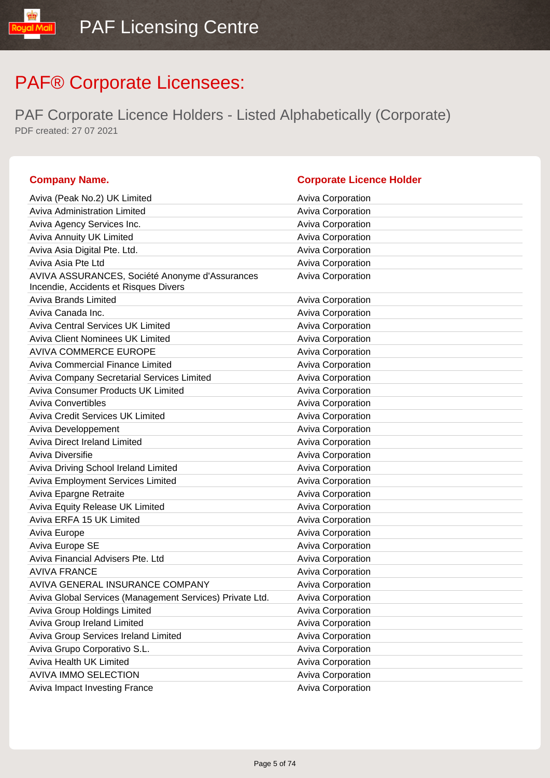| <b>Company Name.</b>                                                                    | <b>Corporate Licence Holder</b> |
|-----------------------------------------------------------------------------------------|---------------------------------|
| Aviva (Peak No.2) UK Limited                                                            | <b>Aviva Corporation</b>        |
| Aviva Administration Limited                                                            | <b>Aviva Corporation</b>        |
| Aviva Agency Services Inc.                                                              | Aviva Corporation               |
| Aviva Annuity UK Limited                                                                | Aviva Corporation               |
| Aviva Asia Digital Pte. Ltd.                                                            | Aviva Corporation               |
| Aviva Asia Pte Ltd                                                                      | Aviva Corporation               |
| AVIVA ASSURANCES, Société Anonyme d'Assurances<br>Incendie, Accidents et Risques Divers | Aviva Corporation               |
| <b>Aviva Brands Limited</b>                                                             | <b>Aviva Corporation</b>        |
| Aviva Canada Inc.                                                                       | Aviva Corporation               |
| <b>Aviva Central Services UK Limited</b>                                                | Aviva Corporation               |
| <b>Aviva Client Nominees UK Limited</b>                                                 | Aviva Corporation               |
| <b>AVIVA COMMERCE EUROPE</b>                                                            | Aviva Corporation               |
| <b>Aviva Commercial Finance Limited</b>                                                 | <b>Aviva Corporation</b>        |
| Aviva Company Secretarial Services Limited                                              | Aviva Corporation               |
| <b>Aviva Consumer Products UK Limited</b>                                               | Aviva Corporation               |
| <b>Aviva Convertibles</b>                                                               | Aviva Corporation               |
| <b>Aviva Credit Services UK Limited</b>                                                 | Aviva Corporation               |
| Aviva Developpement                                                                     | Aviva Corporation               |
| <b>Aviva Direct Ireland Limited</b>                                                     | <b>Aviva Corporation</b>        |
| Aviva Diversifie                                                                        | Aviva Corporation               |
| Aviva Driving School Ireland Limited                                                    | Aviva Corporation               |
| Aviva Employment Services Limited                                                       | <b>Aviva Corporation</b>        |
| Aviva Epargne Retraite                                                                  | Aviva Corporation               |
| Aviva Equity Release UK Limited                                                         | Aviva Corporation               |
| Aviva ERFA 15 UK Limited                                                                | <b>Aviva Corporation</b>        |
| Aviva Europe                                                                            | Aviva Corporation               |
| Aviva Europe SE                                                                         | Aviva Corporation               |
| Aviva Financial Advisers Pte. Ltd                                                       | Aviva Corporation               |
| <b>AVIVA FRANCE</b>                                                                     | Aviva Corporation               |
| AVIVA GENERAL INSURANCE COMPANY                                                         | <b>Aviva Corporation</b>        |
| Aviva Global Services (Management Services) Private Ltd.                                | <b>Aviva Corporation</b>        |
| Aviva Group Holdings Limited                                                            | Aviva Corporation               |
| Aviva Group Ireland Limited                                                             | <b>Aviva Corporation</b>        |
| Aviva Group Services Ireland Limited                                                    | <b>Aviva Corporation</b>        |
| Aviva Grupo Corporativo S.L.                                                            | <b>Aviva Corporation</b>        |
| Aviva Health UK Limited                                                                 | Aviva Corporation               |
| <b>AVIVA IMMO SELECTION</b>                                                             | <b>Aviva Corporation</b>        |
| Aviva Impact Investing France                                                           | <b>Aviva Corporation</b>        |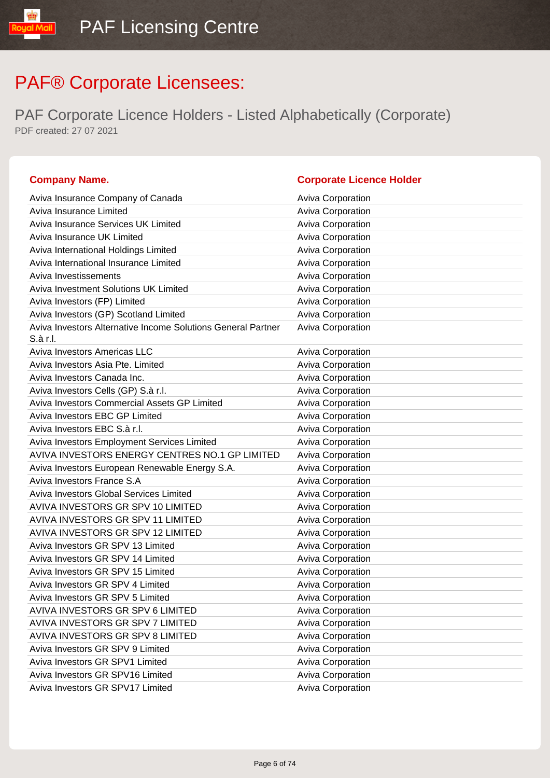| <b>Company Name.</b>                                                     | <b>Corporate Licence Holder</b> |
|--------------------------------------------------------------------------|---------------------------------|
| Aviva Insurance Company of Canada                                        | <b>Aviva Corporation</b>        |
| Aviva Insurance Limited                                                  | Aviva Corporation               |
| Aviva Insurance Services UK Limited                                      | Aviva Corporation               |
| Aviva Insurance UK Limited                                               | Aviva Corporation               |
| Aviva International Holdings Limited                                     | Aviva Corporation               |
| Aviva International Insurance Limited                                    | Aviva Corporation               |
| Aviva Investissements                                                    | Aviva Corporation               |
| Aviva Investment Solutions UK Limited                                    | Aviva Corporation               |
| Aviva Investors (FP) Limited                                             | Aviva Corporation               |
| Aviva Investors (GP) Scotland Limited                                    | Aviva Corporation               |
| Aviva Investors Alternative Income Solutions General Partner<br>S.à r.l. | Aviva Corporation               |
| Aviva Investors Americas LLC                                             | <b>Aviva Corporation</b>        |
| Aviva Investors Asia Pte. Limited                                        | Aviva Corporation               |
| Aviva Investors Canada Inc.                                              | Aviva Corporation               |
| Aviva Investors Cells (GP) S.à r.l.                                      | Aviva Corporation               |
| Aviva Investors Commercial Assets GP Limited                             | Aviva Corporation               |
| Aviva Investors EBC GP Limited                                           | Aviva Corporation               |
| Aviva Investors EBC S.à r.l.                                             | Aviva Corporation               |
| Aviva Investors Employment Services Limited                              | Aviva Corporation               |
| AVIVA INVESTORS ENERGY CENTRES NO.1 GP LIMITED                           | Aviva Corporation               |
| Aviva Investors European Renewable Energy S.A.                           | Aviva Corporation               |
| Aviva Investors France S.A                                               | Aviva Corporation               |
| <b>Aviva Investors Global Services Limited</b>                           | Aviva Corporation               |
| AVIVA INVESTORS GR SPV 10 LIMITED                                        | Aviva Corporation               |
| AVIVA INVESTORS GR SPV 11 LIMITED                                        | Aviva Corporation               |
| AVIVA INVESTORS GR SPV 12 LIMITED                                        | Aviva Corporation               |
| Aviva Investors GR SPV 13 Limited                                        | Aviva Corporation               |
| Aviva Investors GR SPV 14 Limited                                        | Aviva Corporation               |
| Aviva Investors GR SPV 15 Limited                                        | Aviva Corporation               |
| Aviva Investors GR SPV 4 Limited                                         | <b>Aviva Corporation</b>        |
| Aviva Investors GR SPV 5 Limited                                         | <b>Aviva Corporation</b>        |
| AVIVA INVESTORS GR SPV 6 LIMITED                                         | Aviva Corporation               |
| AVIVA INVESTORS GR SPV 7 LIMITED                                         | Aviva Corporation               |
| AVIVA INVESTORS GR SPV 8 LIMITED                                         | Aviva Corporation               |
| Aviva Investors GR SPV 9 Limited                                         | Aviva Corporation               |
| Aviva Investors GR SPV1 Limited                                          | Aviva Corporation               |
| Aviva Investors GR SPV16 Limited                                         | Aviva Corporation               |
| Aviva Investors GR SPV17 Limited                                         | Aviva Corporation               |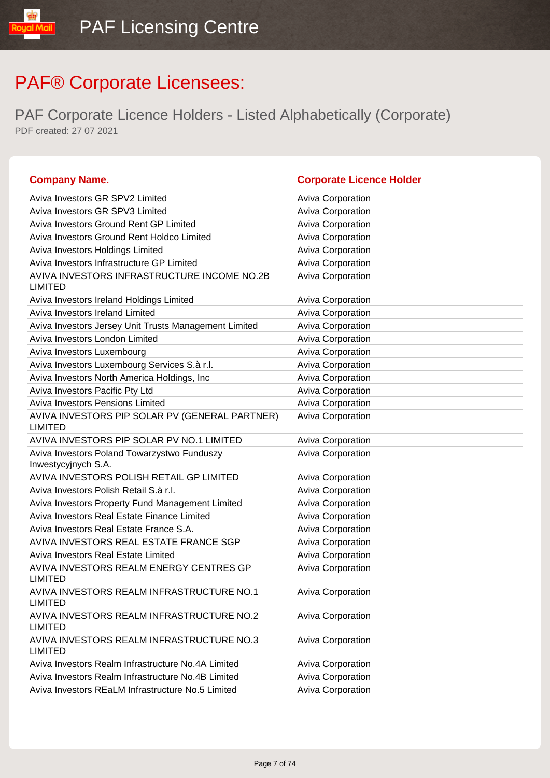| <b>Company Name.</b>                                        | <b>Corporate Licence Holder</b> |
|-------------------------------------------------------------|---------------------------------|
| Aviva Investors GR SPV2 Limited                             | <b>Aviva Corporation</b>        |
| Aviva Investors GR SPV3 Limited                             | Aviva Corporation               |
| Aviva Investors Ground Rent GP Limited                      | Aviva Corporation               |
| Aviva Investors Ground Rent Holdco Limited                  | Aviva Corporation               |
| Aviva Investors Holdings Limited                            | Aviva Corporation               |
| Aviva Investors Infrastructure GP Limited                   | Aviva Corporation               |
| AVIVA INVESTORS INFRASTRUCTURE INCOME NO.2B                 | Aviva Corporation               |
| <b>LIMITED</b><br>Aviva Investors Ireland Holdings Limited  | <b>Aviva Corporation</b>        |
| Aviva Investors Ireland Limited                             | Aviva Corporation               |
| Aviva Investors Jersey Unit Trusts Management Limited       | Aviva Corporation               |
| Aviva Investors London Limited                              | Aviva Corporation               |
| Aviva Investors Luxembourg                                  | Aviva Corporation               |
| Aviva Investors Luxembourg Services S.à r.l.                | Aviva Corporation               |
| Aviva Investors North America Holdings, Inc.                | Aviva Corporation               |
| Aviva Investors Pacific Pty Ltd                             | Aviva Corporation               |
| Aviva Investors Pensions Limited                            | Aviva Corporation               |
| AVIVA INVESTORS PIP SOLAR PV (GENERAL PARTNER)              | Aviva Corporation               |
| <b>LIMITED</b>                                              |                                 |
| AVIVA INVESTORS PIP SOLAR PV NO.1 LIMITED                   | <b>Aviva Corporation</b>        |
| Aviva Investors Poland Towarzystwo Funduszy                 | Aviva Corporation               |
| Inwestycyjnych S.A.                                         |                                 |
| AVIVA INVESTORS POLISH RETAIL GP LIMITED                    | <b>Aviva Corporation</b>        |
| Aviva Investors Polish Retail S.à r.l.                      | Aviva Corporation               |
| Aviva Investors Property Fund Management Limited            | Aviva Corporation               |
| Aviva Investors Real Estate Finance Limited                 | Aviva Corporation               |
| Aviva Investors Real Estate France S.A.                     | Aviva Corporation               |
| AVIVA INVESTORS REAL ESTATE FRANCE SGP                      | Aviva Corporation               |
| Aviva Investors Real Estate Limited                         | Aviva Corporation               |
| AVIVA INVESTORS REALM ENERGY CENTRES GP<br><b>LIMITED</b>   | <b>Aviva Corporation</b>        |
| AVIVA INVESTORS REALM INFRASTRUCTURE NO.1<br><b>LIMITED</b> | Aviva Corporation               |
| AVIVA INVESTORS REALM INFRASTRUCTURE NO.2<br><b>LIMITED</b> | <b>Aviva Corporation</b>        |
| AVIVA INVESTORS REALM INFRASTRUCTURE NO.3<br><b>LIMITED</b> | Aviva Corporation               |
| Aviva Investors Realm Infrastructure No.4A Limited          | Aviva Corporation               |
| Aviva Investors Realm Infrastructure No.4B Limited          | Aviva Corporation               |
| Aviva Investors REaLM Infrastructure No.5 Limited           | Aviva Corporation               |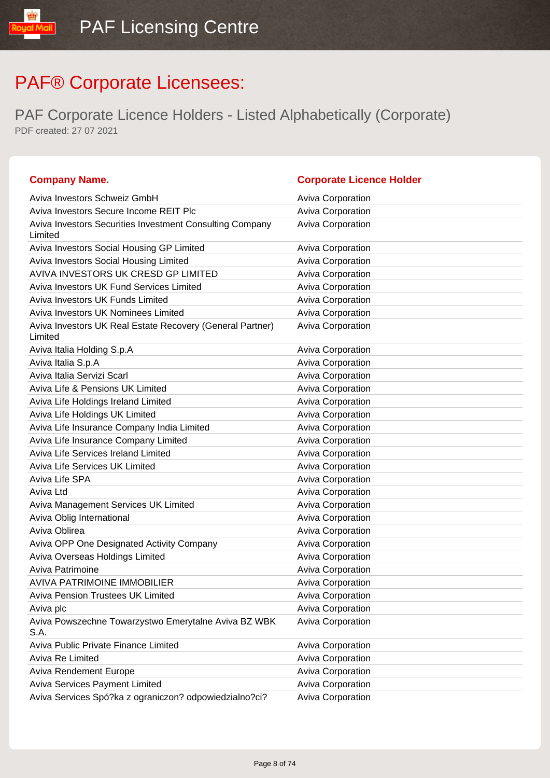| <b>Company Name.</b>                                                 | <b>Corporate Licence Holder</b> |
|----------------------------------------------------------------------|---------------------------------|
| Aviva Investors Schweiz GmbH                                         | <b>Aviva Corporation</b>        |
| Aviva Investors Secure Income REIT Plc                               | Aviva Corporation               |
| Aviva Investors Securities Investment Consulting Company<br>Limited  | Aviva Corporation               |
| Aviva Investors Social Housing GP Limited                            | <b>Aviva Corporation</b>        |
| Aviva Investors Social Housing Limited                               | Aviva Corporation               |
| AVIVA INVESTORS UK CRESD GP LIMITED                                  | Aviva Corporation               |
| Aviva Investors UK Fund Services Limited                             | Aviva Corporation               |
| Aviva Investors UK Funds Limited                                     | Aviva Corporation               |
| Aviva Investors UK Nominees Limited                                  | Aviva Corporation               |
| Aviva Investors UK Real Estate Recovery (General Partner)<br>Limited | <b>Aviva Corporation</b>        |
| Aviva Italia Holding S.p.A                                           | Aviva Corporation               |
| Aviva Italia S.p.A                                                   | Aviva Corporation               |
| Aviva Italia Servizi Scarl                                           | <b>Aviva Corporation</b>        |
| Aviva Life & Pensions UK Limited                                     | Aviva Corporation               |
| Aviva Life Holdings Ireland Limited                                  | Aviva Corporation               |
| Aviva Life Holdings UK Limited                                       | Aviva Corporation               |
| Aviva Life Insurance Company India Limited                           | Aviva Corporation               |
| Aviva Life Insurance Company Limited                                 | Aviva Corporation               |
| Aviva Life Services Ireland Limited                                  | <b>Aviva Corporation</b>        |
| <b>Aviva Life Services UK Limited</b>                                | Aviva Corporation               |
| Aviva Life SPA                                                       | Aviva Corporation               |
| Aviva Ltd                                                            | Aviva Corporation               |
| Aviva Management Services UK Limited                                 | Aviva Corporation               |
| Aviva Oblig International                                            | Aviva Corporation               |
| Aviva Oblirea                                                        | Aviva Corporation               |
| Aviva OPP One Designated Activity Company                            | Aviva Corporation               |
| Aviva Overseas Holdings Limited                                      | Aviva Corporation               |
| Aviva Patrimoine                                                     | Aviva Corporation               |
| <b>AVIVA PATRIMOINE IMMOBILIER</b>                                   | <b>Aviva Corporation</b>        |
| Aviva Pension Trustees UK Limited                                    | <b>Aviva Corporation</b>        |
| Aviva plc                                                            | Aviva Corporation               |
| Aviva Powszechne Towarzystwo Emerytalne Aviva BZ WBK<br>S.A.         | Aviva Corporation               |
| Aviva Public Private Finance Limited                                 | Aviva Corporation               |
| Aviva Re Limited                                                     | <b>Aviva Corporation</b>        |
| <b>Aviva Rendement Europe</b>                                        | Aviva Corporation               |
| Aviva Services Payment Limited                                       | Aviva Corporation               |
| Aviva Services Spó?ka z ograniczon? odpowiedzialno?ci?               | Aviva Corporation               |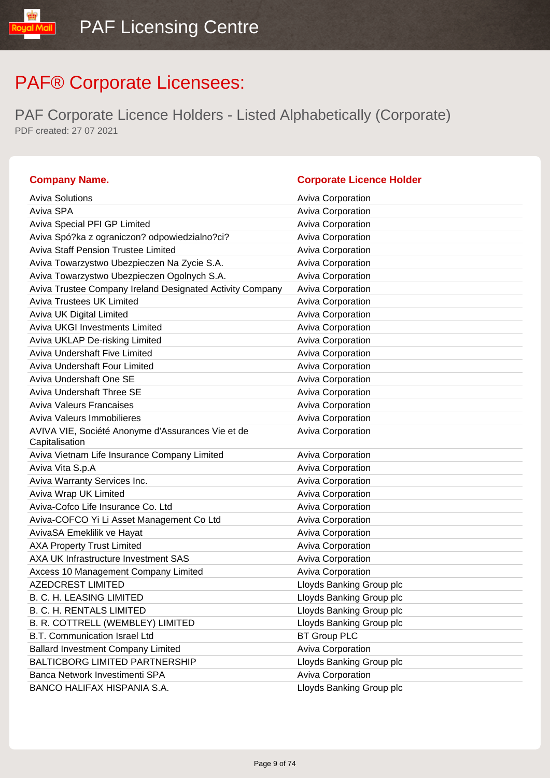| <b>Company Name.</b>                                      | <b>Corporate Licence Holder</b> |
|-----------------------------------------------------------|---------------------------------|
| <b>Aviva Solutions</b>                                    | <b>Aviva Corporation</b>        |
| Aviva SPA                                                 | <b>Aviva Corporation</b>        |
| Aviva Special PFI GP Limited                              | Aviva Corporation               |
| Aviva Spó?ka z ograniczon? odpowiedzialno?ci?             | <b>Aviva Corporation</b>        |
| Aviva Staff Pension Trustee Limited                       | Aviva Corporation               |
| Aviva Towarzystwo Ubezpieczen Na Zycie S.A.               | <b>Aviva Corporation</b>        |
| Aviva Towarzystwo Ubezpieczen Ogolnych S.A.               | Aviva Corporation               |
| Aviva Trustee Company Ireland Designated Activity Company | Aviva Corporation               |
| <b>Aviva Trustees UK Limited</b>                          | Aviva Corporation               |
| Aviva UK Digital Limited                                  | Aviva Corporation               |
| <b>Aviva UKGI Investments Limited</b>                     | Aviva Corporation               |
| Aviva UKLAP De-risking Limited                            | <b>Aviva Corporation</b>        |
| Aviva Undershaft Five Limited                             | Aviva Corporation               |
| Aviva Undershaft Four Limited                             | Aviva Corporation               |
| Aviva Undershaft One SE                                   | Aviva Corporation               |
| Aviva Undershaft Three SE                                 | <b>Aviva Corporation</b>        |
| <b>Aviva Valeurs Francaises</b>                           | <b>Aviva Corporation</b>        |
| Aviva Valeurs Immobilieres                                | Aviva Corporation               |
| AVIVA VIE, Société Anonyme d'Assurances Vie et de         | Aviva Corporation               |
| Capitalisation                                            |                                 |
| Aviva Vietnam Life Insurance Company Limited              | Aviva Corporation               |
| Aviva Vita S.p.A                                          | <b>Aviva Corporation</b>        |
| Aviva Warranty Services Inc.                              | Aviva Corporation               |
| Aviva Wrap UK Limited                                     | <b>Aviva Corporation</b>        |
| Aviva-Cofco Life Insurance Co. Ltd                        | <b>Aviva Corporation</b>        |
| Aviva-COFCO Yi Li Asset Management Co Ltd                 | <b>Aviva Corporation</b>        |
| AvivaSA Emeklilik ve Hayat                                | Aviva Corporation               |
| <b>AXA Property Trust Limited</b>                         | <b>Aviva Corporation</b>        |
| AXA UK Infrastructure Investment SAS                      | Aviva Corporation               |
| Axcess 10 Management Company Limited                      | <b>Aviva Corporation</b>        |
| <b>AZEDCREST LIMITED</b>                                  | Lloyds Banking Group plc        |
| <b>B. C. H. LEASING LIMITED</b>                           | Lloyds Banking Group plc        |
| <b>B. C. H. RENTALS LIMITED</b>                           | Lloyds Banking Group plc        |
| B. R. COTTRELL (WEMBLEY) LIMITED                          | Lloyds Banking Group plc        |
| <b>B.T. Communication Israel Ltd</b>                      | <b>BT Group PLC</b>             |
| <b>Ballard Investment Company Limited</b>                 | Aviva Corporation               |
| <b>BALTICBORG LIMITED PARTNERSHIP</b>                     | Lloyds Banking Group plc        |
| Banca Network Investimenti SPA                            | Aviva Corporation               |
| BANCO HALIFAX HISPANIA S.A.                               | Lloyds Banking Group plc        |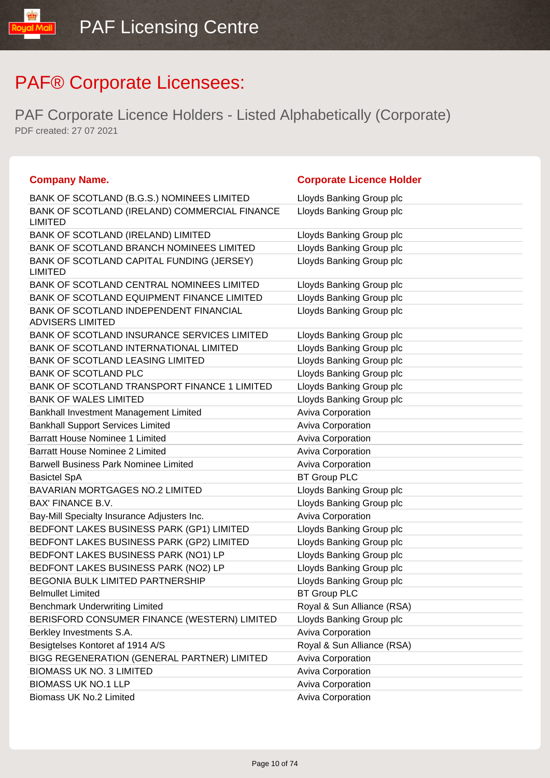| <b>Company Name.</b>                                              | <b>Corporate Licence Holder</b> |
|-------------------------------------------------------------------|---------------------------------|
| BANK OF SCOTLAND (B.G.S.) NOMINEES LIMITED                        | Lloyds Banking Group plc        |
| BANK OF SCOTLAND (IRELAND) COMMERCIAL FINANCE<br><b>LIMITED</b>   | Lloyds Banking Group plc        |
| BANK OF SCOTLAND (IRELAND) LIMITED                                | Lloyds Banking Group plc        |
| BANK OF SCOTLAND BRANCH NOMINEES LIMITED                          | Lloyds Banking Group plc        |
| BANK OF SCOTLAND CAPITAL FUNDING (JERSEY)<br><b>LIMITED</b>       | Lloyds Banking Group plc        |
| BANK OF SCOTLAND CENTRAL NOMINEES LIMITED                         | Lloyds Banking Group plc        |
| BANK OF SCOTLAND EQUIPMENT FINANCE LIMITED                        | Lloyds Banking Group plc        |
| BANK OF SCOTLAND INDEPENDENT FINANCIAL<br><b>ADVISERS LIMITED</b> | Lloyds Banking Group plc        |
| BANK OF SCOTLAND INSURANCE SERVICES LIMITED                       | Lloyds Banking Group plc        |
| BANK OF SCOTLAND INTERNATIONAL LIMITED                            | Lloyds Banking Group plc        |
| <b>BANK OF SCOTLAND LEASING LIMITED</b>                           | Lloyds Banking Group plc        |
| <b>BANK OF SCOTLAND PLC</b>                                       | Lloyds Banking Group plc        |
| BANK OF SCOTLAND TRANSPORT FINANCE 1 LIMITED                      | Lloyds Banking Group plc        |
| <b>BANK OF WALES LIMITED</b>                                      | Lloyds Banking Group plc        |
| Bankhall Investment Management Limited                            | Aviva Corporation               |
| <b>Bankhall Support Services Limited</b>                          | Aviva Corporation               |
| <b>Barratt House Nominee 1 Limited</b>                            | Aviva Corporation               |
| <b>Barratt House Nominee 2 Limited</b>                            | Aviva Corporation               |
| <b>Barwell Business Park Nominee Limited</b>                      | Aviva Corporation               |
| <b>Basictel SpA</b>                                               | <b>BT Group PLC</b>             |
| <b>BAVARIAN MORTGAGES NO.2 LIMITED</b>                            | Lloyds Banking Group plc        |
| <b>BAX' FINANCE B.V.</b>                                          | Lloyds Banking Group plc        |
| Bay-Mill Specialty Insurance Adjusters Inc.                       | Aviva Corporation               |
| BEDFONT LAKES BUSINESS PARK (GP1) LIMITED                         | Lloyds Banking Group plc        |
| BEDFONT LAKES BUSINESS PARK (GP2) LIMITED                         | Lloyds Banking Group plc        |
| BEDFONT LAKES BUSINESS PARK (NO1) LP                              | Lloyds Banking Group plc        |
| BEDFONT LAKES BUSINESS PARK (NO2) LP                              | Lloyds Banking Group plc        |
| <b>BEGONIA BULK LIMITED PARTNERSHIP</b>                           | Lloyds Banking Group plc        |
| <b>Belmullet Limited</b>                                          | <b>BT Group PLC</b>             |
| <b>Benchmark Underwriting Limited</b>                             | Royal & Sun Alliance (RSA)      |
| BERISFORD CONSUMER FINANCE (WESTERN) LIMITED                      | Lloyds Banking Group plc        |
| Berkley Investments S.A.                                          | Aviva Corporation               |
| Besigtelses Kontoret af 1914 A/S                                  | Royal & Sun Alliance (RSA)      |
| BIGG REGENERATION (GENERAL PARTNER) LIMITED                       | <b>Aviva Corporation</b>        |
| <b>BIOMASS UK NO. 3 LIMITED</b>                                   | Aviva Corporation               |
| <b>BIOMASS UK NO.1 LLP</b>                                        | <b>Aviva Corporation</b>        |
| Biomass UK No.2 Limited                                           | <b>Aviva Corporation</b>        |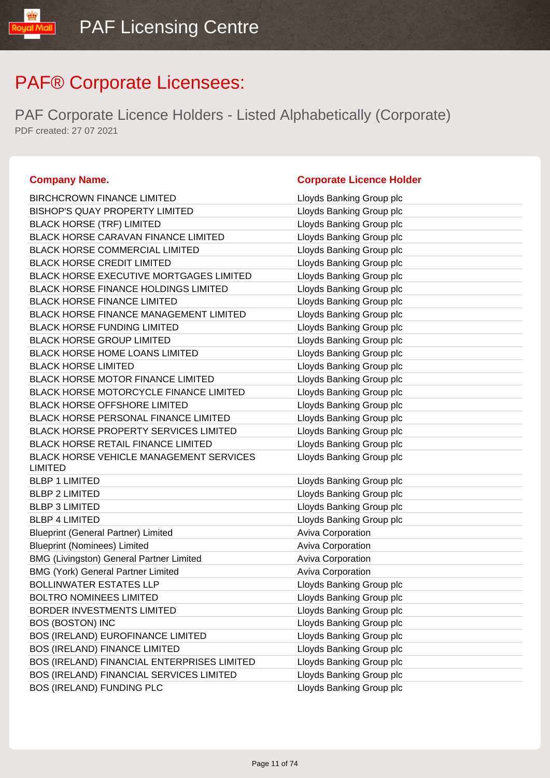PAF Corporate Licence Holders - Listed Alphabetically (Corporate) PDF created: 27 07 2021

### **Company Name. Company Name. Company Name. Company Name. Company Name. Company Name. Company Name. Company Name. Company Name. Company Name. Company Name. Company Name. Company Name. Company Name.**

| <b>BIRCHCROWN FINANCE LIMITED</b>                                | Lloyds Banking Group plc |
|------------------------------------------------------------------|--------------------------|
| <b>BISHOP'S QUAY PROPERTY LIMITED</b>                            | Lloyds Banking Group plc |
| <b>BLACK HORSE (TRF) LIMITED</b>                                 | Lloyds Banking Group plc |
| <b>BLACK HORSE CARAVAN FINANCE LIMITED</b>                       | Lloyds Banking Group plc |
| <b>BLACK HORSE COMMERCIAL LIMITED</b>                            | Lloyds Banking Group plc |
| <b>BLACK HORSE CREDIT LIMITED</b>                                | Lloyds Banking Group plc |
| BLACK HORSE EXECUTIVE MORTGAGES LIMITED                          | Lloyds Banking Group plc |
| <b>BLACK HORSE FINANCE HOLDINGS LIMITED</b>                      | Lloyds Banking Group plc |
| <b>BLACK HORSE FINANCE LIMITED</b>                               | Lloyds Banking Group plc |
| <b>BLACK HORSE FINANCE MANAGEMENT LIMITED</b>                    | Lloyds Banking Group plc |
| <b>BLACK HORSE FUNDING LIMITED</b>                               | Lloyds Banking Group plc |
| <b>BLACK HORSE GROUP LIMITED</b>                                 | Lloyds Banking Group plc |
| BLACK HORSE HOME LOANS LIMITED                                   | Lloyds Banking Group plc |
| <b>BLACK HORSE LIMITED</b>                                       | Lloyds Banking Group plc |
| <b>BLACK HORSE MOTOR FINANCE LIMITED</b>                         | Lloyds Banking Group plc |
| BLACK HORSE MOTORCYCLE FINANCE LIMITED                           | Lloyds Banking Group plc |
| <b>BLACK HORSE OFFSHORE LIMITED</b>                              | Lloyds Banking Group plc |
| <b>BLACK HORSE PERSONAL FINANCE LIMITED</b>                      | Lloyds Banking Group plc |
| BLACK HORSE PROPERTY SERVICES LIMITED                            | Lloyds Banking Group plc |
| <b>BLACK HORSE RETAIL FINANCE LIMITED</b>                        | Lloyds Banking Group plc |
| <b>BLACK HORSE VEHICLE MANAGEMENT SERVICES</b><br><b>LIMITED</b> | Lloyds Banking Group plc |
| <b>BLBP 1 LIMITED</b>                                            | Lloyds Banking Group plc |
| <b>BLBP 2 LIMITED</b>                                            | Lloyds Banking Group plc |
| <b>BLBP 3 LIMITED</b>                                            | Lloyds Banking Group plc |
| <b>BLBP 4 LIMITED</b>                                            | Lloyds Banking Group plc |
| <b>Blueprint (General Partner) Limited</b>                       | <b>Aviva Corporation</b> |
| <b>Blueprint (Nominees) Limited</b>                              | Aviva Corporation        |
| <b>BMG (Livingston) General Partner Limited</b>                  | <b>Aviva Corporation</b> |
| <b>BMG (York) General Partner Limited</b>                        | <b>Aviva Corporation</b> |
| <b>BOLLINWATER ESTATES LLP</b>                                   | Lloyds Banking Group plc |
| <b>BOLTRO NOMINEES LIMITED</b>                                   | Lloyds Banking Group plc |
| <b>BORDER INVESTMENTS LIMITED</b>                                | Lloyds Banking Group plc |
| <b>BOS (BOSTON) INC</b>                                          | Lloyds Banking Group plc |
| BOS (IRELAND) EUROFINANCE LIMITED                                | Lloyds Banking Group plc |
| <b>BOS (IRELAND) FINANCE LIMITED</b>                             | Lloyds Banking Group plc |
| BOS (IRELAND) FINANCIAL ENTERPRISES LIMITED                      | Lloyds Banking Group plc |
| BOS (IRELAND) FINANCIAL SERVICES LIMITED                         | Lloyds Banking Group plc |
| BOS (IRELAND) FUNDING PLC                                        | Lloyds Banking Group plc |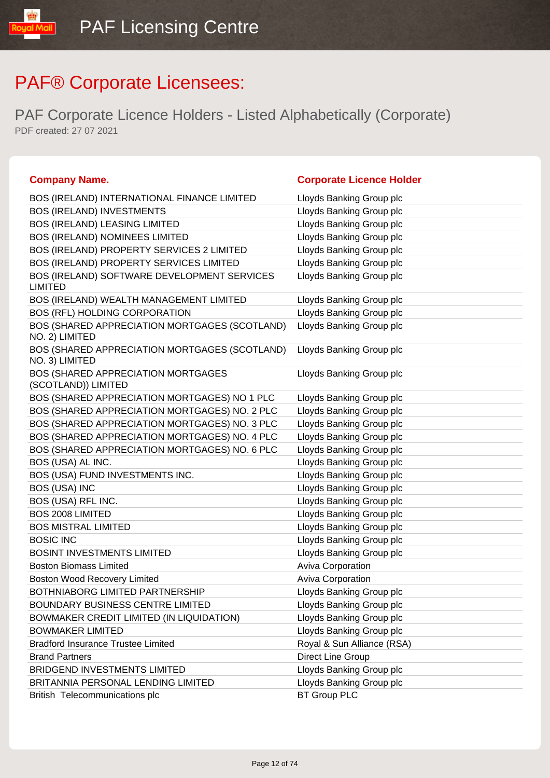| <b>Corporate Licence Holder</b> |
|---------------------------------|
| Lloyds Banking Group plc        |
| Lloyds Banking Group plc        |
| Lloyds Banking Group plc        |
| Lloyds Banking Group plc        |
| Lloyds Banking Group plc        |
| Lloyds Banking Group plc        |
| Lloyds Banking Group plc        |
| Lloyds Banking Group plc        |
| Lloyds Banking Group plc        |
| Lloyds Banking Group plc        |
| Lloyds Banking Group plc        |
| Lloyds Banking Group plc        |
| Lloyds Banking Group plc        |
| Lloyds Banking Group plc        |
| Lloyds Banking Group plc        |
| Lloyds Banking Group plc        |
| Lloyds Banking Group plc        |
| Lloyds Banking Group plc        |
| Lloyds Banking Group plc        |
| Lloyds Banking Group plc        |
| Lloyds Banking Group plc        |
| Lloyds Banking Group plc        |
| Lloyds Banking Group plc        |
| Lloyds Banking Group plc        |
| Lloyds Banking Group plc        |
| Aviva Corporation               |
| Aviva Corporation               |
| Lloyds Banking Group plc        |
| Lloyds Banking Group plc        |
| Lloyds Banking Group plc        |
| Lloyds Banking Group plc        |
| Royal & Sun Alliance (RSA)      |
| Direct Line Group               |
| Lloyds Banking Group plc        |
| Lloyds Banking Group plc        |
| <b>BT Group PLC</b>             |
|                                 |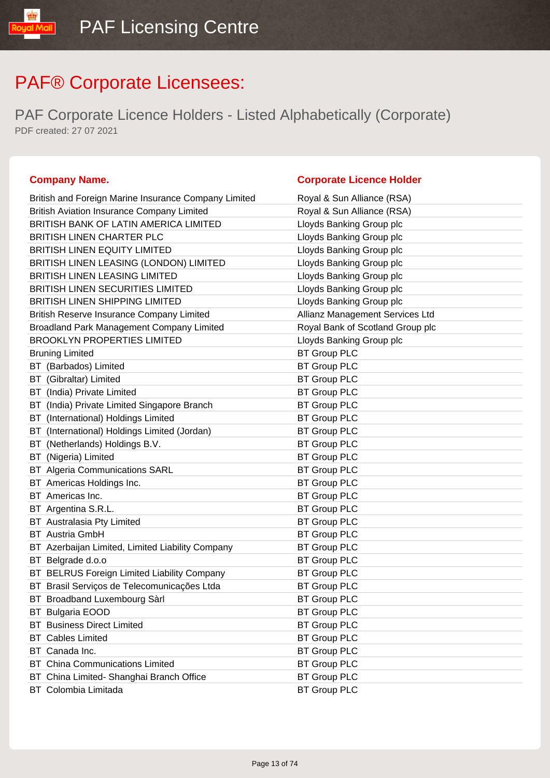PAF Corporate Licence Holders - Listed Alphabetically (Corporate) PDF created: 27 07 2021

### **Company Name. Company Name. Company Name. Company Name. Company Name. Company Name. Company Name. Company Name. Company Name. Company Name. Company Name. Company Name. Company Name. Company Name.**

| British and Foreign Marine Insurance Company Limited                      | Royal & Sun Alliance (RSA)       |
|---------------------------------------------------------------------------|----------------------------------|
| <b>British Aviation Insurance Company Limited</b>                         | Royal & Sun Alliance (RSA)       |
| BRITISH BANK OF LATIN AMERICA LIMITED                                     | Lloyds Banking Group plc         |
| <b>BRITISH LINEN CHARTER PLC</b>                                          | Lloyds Banking Group plc         |
| <b>BRITISH LINEN EQUITY LIMITED</b>                                       | Lloyds Banking Group plc         |
| BRITISH LINEN LEASING (LONDON) LIMITED                                    | Lloyds Banking Group plc         |
| <b>BRITISH LINEN LEASING LIMITED</b>                                      | Lloyds Banking Group plc         |
| <b>BRITISH LINEN SECURITIES LIMITED</b>                                   | Lloyds Banking Group plc         |
| <b>BRITISH LINEN SHIPPING LIMITED</b>                                     | Lloyds Banking Group plc         |
| British Reserve Insurance Company Limited                                 | Allianz Management Services Ltd  |
| Broadland Park Management Company Limited                                 | Royal Bank of Scotland Group plc |
| <b>BROOKLYN PROPERTIES LIMITED</b>                                        | Lloyds Banking Group plc         |
| <b>Bruning Limited</b>                                                    | <b>BT Group PLC</b>              |
| BT (Barbados) Limited                                                     | <b>BT Group PLC</b>              |
| BT (Gibraltar) Limited                                                    | <b>BT Group PLC</b>              |
|                                                                           | <b>BT Group PLC</b>              |
| BT (India) Private Limited<br>BT (India) Private Limited Singapore Branch | <b>BT Group PLC</b>              |
|                                                                           |                                  |
| BT (International) Holdings Limited                                       | <b>BT Group PLC</b>              |
| BT (International) Holdings Limited (Jordan)                              | <b>BT Group PLC</b>              |
| (Netherlands) Holdings B.V.<br>BT                                         | <b>BT Group PLC</b>              |
| BT (Nigeria) Limited                                                      | <b>BT Group PLC</b>              |
| <b>BT</b> Algeria Communications SARL                                     | <b>BT Group PLC</b>              |
| BT Americas Holdings Inc.                                                 | <b>BT Group PLC</b>              |
| BT Americas Inc.                                                          | <b>BT Group PLC</b>              |
| BT Argentina S.R.L.                                                       | <b>BT Group PLC</b>              |
| <b>BT</b> Australasia Pty Limited                                         | <b>BT Group PLC</b>              |
| <b>BT</b> Austria GmbH                                                    | <b>BT Group PLC</b>              |
| BT Azerbaijan Limited, Limited Liability Company                          | <b>BT Group PLC</b>              |
| Belgrade d.o.o<br>BT                                                      | <b>BT Group PLC</b>              |
| BT BELRUS Foreign Limited Liability Company                               | <b>BT Group PLC</b>              |
| BT Brasil Serviços de Telecomunicações Ltda                               | <b>BT Group PLC</b>              |
| BT Broadband Luxembourg Sàrl                                              | <b>BT Group PLC</b>              |
| BT Bulgaria EOOD                                                          | <b>BT Group PLC</b>              |
| <b>BT</b> Business Direct Limited                                         | <b>BT Group PLC</b>              |
| <b>BT</b> Cables Limited                                                  | <b>BT Group PLC</b>              |
| BT Canada Inc.                                                            | <b>BT Group PLC</b>              |
| <b>BT</b> China Communications Limited                                    | <b>BT Group PLC</b>              |
| BT China Limited- Shanghai Branch Office                                  | <b>BT Group PLC</b>              |
| BT Colombia Limitada                                                      | <b>BT Group PLC</b>              |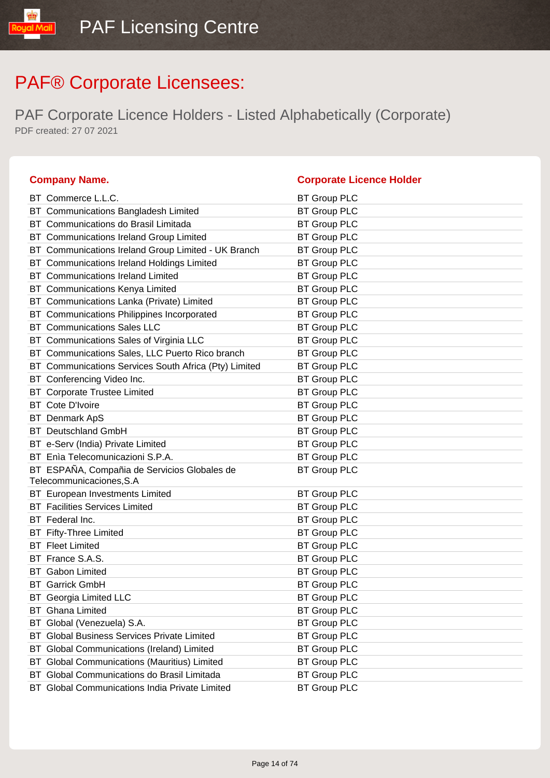| <b>Company Name.</b>                                                     | <b>Corporate Licence Holder</b> |
|--------------------------------------------------------------------------|---------------------------------|
| BT Commerce L.L.C.                                                       | <b>BT Group PLC</b>             |
| BT Communications Bangladesh Limited                                     | <b>BT Group PLC</b>             |
| Communications do Brasil Limitada<br>BT.                                 | <b>BT Group PLC</b>             |
| BT Communications Ireland Group Limited                                  | <b>BT Group PLC</b>             |
| BT Communications Ireland Group Limited - UK Branch                      | <b>BT Group PLC</b>             |
| <b>Communications Ireland Holdings Limited</b><br>ВT                     | <b>BT Group PLC</b>             |
| <b>BT</b> Communications Ireland Limited                                 | <b>BT Group PLC</b>             |
| BT Communications Kenya Limited                                          | <b>BT Group PLC</b>             |
| Communications Lanka (Private) Limited<br>BT.                            | <b>BT Group PLC</b>             |
| BT Communications Philippines Incorporated                               | <b>BT Group PLC</b>             |
| <b>BT</b> Communications Sales LLC                                       | <b>BT Group PLC</b>             |
| Communications Sales of Virginia LLC<br>ВT                               | <b>BT Group PLC</b>             |
| BT Communications Sales, LLC Puerto Rico branch                          | <b>BT Group PLC</b>             |
| BT Communications Services South Africa (Pty) Limited                    | <b>BT Group PLC</b>             |
| BT Conferencing Video Inc.                                               | <b>BT Group PLC</b>             |
| <b>BT</b> Corporate Trustee Limited                                      | <b>BT Group PLC</b>             |
| <b>BT</b> Cote D'Ivoire                                                  | <b>BT Group PLC</b>             |
| Denmark ApS<br>ВT                                                        | <b>BT Group PLC</b>             |
| <b>BT</b> Deutschland GmbH                                               | <b>BT Group PLC</b>             |
| BT e-Serv (India) Private Limited                                        | <b>BT Group PLC</b>             |
| BT Enìa Telecomunicazioni S.P.A.                                         | <b>BT Group PLC</b>             |
| BT ESPAÑA, Compañia de Servicios Globales de<br>Telecommunicaciones, S.A | <b>BT Group PLC</b>             |
| BT European Investments Limited                                          | <b>BT Group PLC</b>             |
| <b>Facilities Services Limited</b>                                       | <b>BT Group PLC</b>             |
| BT Federal Inc.                                                          | <b>BT Group PLC</b>             |
| <b>BT</b> Fifty-Three Limited                                            | <b>BT Group PLC</b>             |
| <b>BT</b> Fleet Limited                                                  | <b>BT Group PLC</b>             |
| BT France S.A.S.                                                         | <b>BT Group PLC</b>             |
| <b>BT</b> Gabon Limited                                                  | <b>BT Group PLC</b>             |
| <b>BT</b> Garrick GmbH                                                   | <b>BT Group PLC</b>             |
| <b>BT</b> Georgia Limited LLC                                            | <b>BT Group PLC</b>             |
| <b>BT</b> Ghana Limited                                                  | <b>BT Group PLC</b>             |
| Global (Venezuela) S.A.<br>ВT                                            | <b>BT Group PLC</b>             |
| <b>Global Business Services Private Limited</b><br>BT                    | <b>BT Group PLC</b>             |
| BT Global Communications (Ireland) Limited                               | <b>BT Group PLC</b>             |
| <b>Global Communications (Mauritius) Limited</b><br>ВT                   | <b>BT Group PLC</b>             |
| BT Global Communications do Brasil Limitada                              | <b>BT Group PLC</b>             |
| BT Global Communications India Private Limited                           | <b>BT Group PLC</b>             |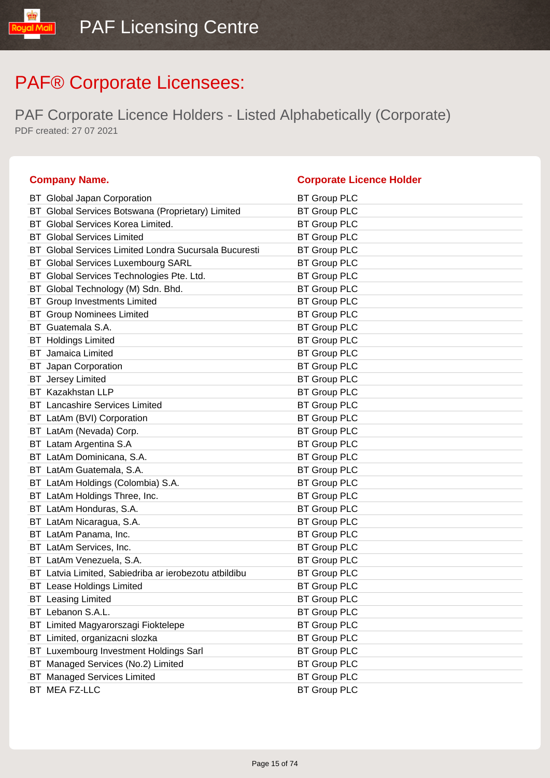| <b>Company Name.</b>                                  | <b>Corporate Licence Holder</b> |
|-------------------------------------------------------|---------------------------------|
| BT Global Japan Corporation                           | <b>BT Group PLC</b>             |
| BT Global Services Botswana (Proprietary) Limited     | <b>BT Group PLC</b>             |
| BT Global Services Korea Limited.                     | <b>BT Group PLC</b>             |
| <b>BT</b> Global Services Limited                     | <b>BT Group PLC</b>             |
| BT Global Services Limited Londra Sucursala Bucuresti | <b>BT Group PLC</b>             |
| BT Global Services Luxembourg SARL                    | <b>BT Group PLC</b>             |
| Global Services Technologies Pte. Ltd.<br>BТ          | <b>BT Group PLC</b>             |
| BT Global Technology (M) Sdn. Bhd.                    | <b>BT Group PLC</b>             |
| <b>BT</b> Group Investments Limited                   | <b>BT Group PLC</b>             |
| <b>Group Nominees Limited</b><br>BT.                  | <b>BT Group PLC</b>             |
| BT Guatemala S.A.                                     | <b>BT Group PLC</b>             |
| <b>BT</b> Holdings Limited                            | <b>BT Group PLC</b>             |
| Jamaica Limited<br>BТ                                 | <b>BT Group PLC</b>             |
| <b>BT</b> Japan Corporation                           | <b>BT Group PLC</b>             |
| <b>BT</b> Jersey Limited                              | <b>BT Group PLC</b>             |
| <b>BT</b> Kazakhstan LLP                              | <b>BT Group PLC</b>             |
| <b>BT</b> Lancashire Services Limited                 | <b>BT Group PLC</b>             |
| BT LatAm (BVI) Corporation                            | <b>BT Group PLC</b>             |
| LatAm (Nevada) Corp.<br>BT                            | <b>BT Group PLC</b>             |
| BT Latam Argentina S.A                                | <b>BT Group PLC</b>             |
| BT LatAm Dominicana, S.A.                             | <b>BT Group PLC</b>             |
| BT LatAm Guatemala, S.A.                              | <b>BT Group PLC</b>             |
| BT LatAm Holdings (Colombia) S.A.                     | <b>BT Group PLC</b>             |
| BT LatAm Holdings Three, Inc.                         | <b>BT Group PLC</b>             |
| LatAm Honduras, S.A.<br>BТ                            | <b>BT Group PLC</b>             |
| BT LatAm Nicaragua, S.A.                              | <b>BT Group PLC</b>             |
| BT LatAm Panama, Inc.                                 | <b>BT Group PLC</b>             |
| BT LatAm Services, Inc.                               | <b>BT Group PLC</b>             |
| BT LatAm Venezuela, S.A.                              | <b>BT Group PLC</b>             |
| BT Latvia Limited, Sabiedriba ar ierobezotu atbildibu | <b>BT Group PLC</b>             |
| <b>BT</b> Lease Holdings Limited                      | <b>BT Group PLC</b>             |
| <b>BT</b> Leasing Limited                             | <b>BT Group PLC</b>             |
| BT Lebanon S.A.L.                                     | <b>BT Group PLC</b>             |
| Limited Magyarorszagi Fioktelepe<br>BT                | <b>BT Group PLC</b>             |
| BT Limited, organizacni slozka                        | <b>BT Group PLC</b>             |
| BT Luxembourg Investment Holdings Sarl                | <b>BT Group PLC</b>             |
| Managed Services (No.2) Limited<br>ВT                 | <b>BT Group PLC</b>             |
| <b>BT</b> Managed Services Limited                    | <b>BT Group PLC</b>             |
| BT MEA FZ-LLC                                         | <b>BT Group PLC</b>             |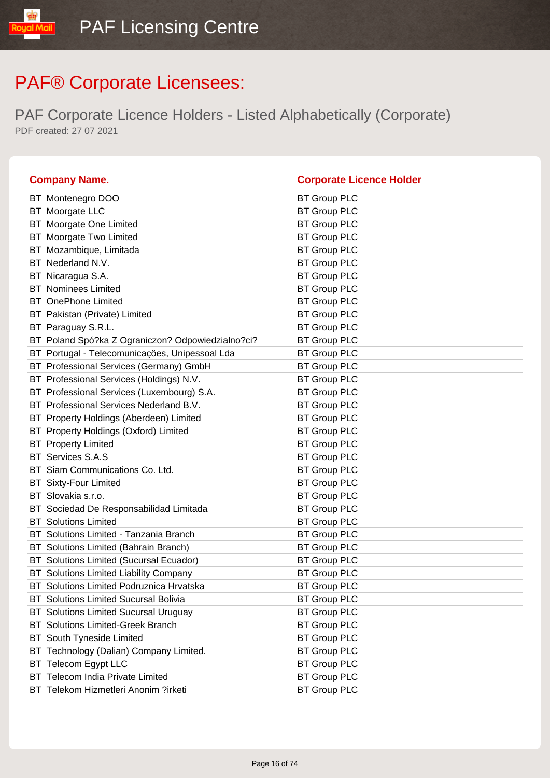| <b>Company Name.</b>                              | <b>Corporate Licence Holder</b> |
|---------------------------------------------------|---------------------------------|
| BT Montenegro DOO                                 | <b>BT Group PLC</b>             |
| BT Moorgate LLC                                   | <b>BT Group PLC</b>             |
| BT Moorgate One Limited                           | <b>BT Group PLC</b>             |
| BT Moorgate Two Limited                           | <b>BT Group PLC</b>             |
| BT Mozambique, Limitada                           | <b>BT Group PLC</b>             |
| BT Nederland N.V.                                 | <b>BT Group PLC</b>             |
| BT Nicaragua S.A.                                 | <b>BT Group PLC</b>             |
| <b>BT</b> Nominees Limited                        | <b>BT Group PLC</b>             |
| <b>BT</b> OnePhone Limited                        | <b>BT Group PLC</b>             |
| BT Pakistan (Private) Limited                     | <b>BT Group PLC</b>             |
| BT Paraguay S.R.L.                                | <b>BT Group PLC</b>             |
| BT Poland Spó?ka Z Ograniczon? Odpowiedzialno?ci? | <b>BT Group PLC</b>             |
| BT Portugal - Telecomunicações, Unipessoal Lda    | <b>BT Group PLC</b>             |
| BT Professional Services (Germany) GmbH           | <b>BT Group PLC</b>             |
| BT Professional Services (Holdings) N.V.          | <b>BT Group PLC</b>             |
| BT Professional Services (Luxembourg) S.A.        | <b>BT Group PLC</b>             |
| BT Professional Services Nederland B.V.           | <b>BT Group PLC</b>             |
| BT Property Holdings (Aberdeen) Limited           | <b>BT Group PLC</b>             |
| BT Property Holdings (Oxford) Limited             | <b>BT Group PLC</b>             |
| <b>BT</b> Property Limited                        | <b>BT Group PLC</b>             |
| BT Services S.A.S                                 | <b>BT Group PLC</b>             |
| BT Siam Communications Co. Ltd.                   | <b>BT Group PLC</b>             |
| <b>BT</b> Sixty-Four Limited                      | <b>BT Group PLC</b>             |
| BT Slovakia s.r.o.                                | <b>BT Group PLC</b>             |
| BT Sociedad De Responsabilidad Limitada           | <b>BT Group PLC</b>             |
| <b>BT</b> Solutions Limited                       | <b>BT Group PLC</b>             |
| BT Solutions Limited - Tanzania Branch            | <b>BT Group PLC</b>             |
| BT Solutions Limited (Bahrain Branch)             | <b>BT Group PLC</b>             |
| Solutions Limited (Sucursal Ecuador)<br>BT        | <b>BT Group PLC</b>             |
| BT Solutions Limited Liability Company            | <b>BT Group PLC</b>             |
| BT Solutions Limited Podruznica Hrvatska          | <b>BT Group PLC</b>             |
| <b>BT</b> Solutions Limited Sucursal Bolivia      | <b>BT Group PLC</b>             |
| <b>BT</b> Solutions Limited Sucursal Uruguay      | <b>BT Group PLC</b>             |
| <b>BT</b> Solutions Limited-Greek Branch          | <b>BT Group PLC</b>             |
| BT South Tyneside Limited                         | <b>BT Group PLC</b>             |
| BT Technology (Dalian) Company Limited.           | <b>BT Group PLC</b>             |
| BT Telecom Egypt LLC                              | <b>BT Group PLC</b>             |
| BT Telecom India Private Limited                  | <b>BT Group PLC</b>             |
| BT Telekom Hizmetleri Anonim ?irketi              | <b>BT Group PLC</b>             |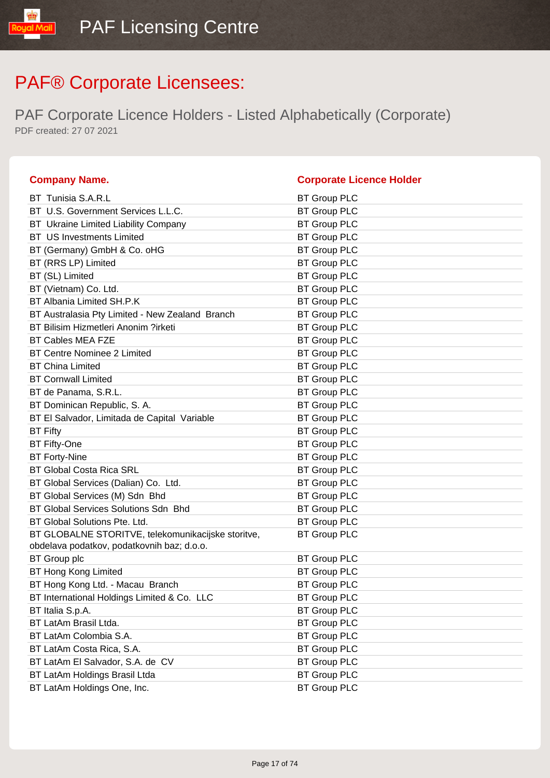| <b>Company Name.</b>                                                                             | <b>Corporate Licence Holder</b> |
|--------------------------------------------------------------------------------------------------|---------------------------------|
| BT Tunisia S.A.R.L                                                                               | <b>BT Group PLC</b>             |
| BT U.S. Government Services L.L.C.                                                               | <b>BT Group PLC</b>             |
| BT Ukraine Limited Liability Company                                                             | <b>BT Group PLC</b>             |
| <b>BT</b> US Investments Limited                                                                 | <b>BT Group PLC</b>             |
| BT (Germany) GmbH & Co. oHG                                                                      | <b>BT Group PLC</b>             |
| BT (RRS LP) Limited                                                                              | <b>BT Group PLC</b>             |
| BT (SL) Limited                                                                                  | <b>BT Group PLC</b>             |
| BT (Vietnam) Co. Ltd.                                                                            | <b>BT Group PLC</b>             |
| BT Albania Limited SH.P.K                                                                        | <b>BT Group PLC</b>             |
| BT Australasia Pty Limited - New Zealand Branch                                                  | <b>BT Group PLC</b>             |
| BT Bilisim Hizmetleri Anonim ?irketi                                                             | <b>BT Group PLC</b>             |
| <b>BT Cables MEA FZE</b>                                                                         | <b>BT Group PLC</b>             |
| <b>BT Centre Nominee 2 Limited</b>                                                               | <b>BT Group PLC</b>             |
| <b>BT China Limited</b>                                                                          | <b>BT Group PLC</b>             |
| <b>BT Cornwall Limited</b>                                                                       | <b>BT Group PLC</b>             |
| BT de Panama, S.R.L.                                                                             | <b>BT Group PLC</b>             |
| BT Dominican Republic, S. A.                                                                     | <b>BT Group PLC</b>             |
| BT El Salvador, Limitada de Capital Variable                                                     | <b>BT Group PLC</b>             |
| <b>BT Fifty</b>                                                                                  | <b>BT Group PLC</b>             |
| <b>BT Fifty-One</b>                                                                              | <b>BT Group PLC</b>             |
| <b>BT Forty-Nine</b>                                                                             | <b>BT Group PLC</b>             |
| <b>BT Global Costa Rica SRL</b>                                                                  | <b>BT Group PLC</b>             |
| BT Global Services (Dalian) Co. Ltd.                                                             | <b>BT Group PLC</b>             |
| BT Global Services (M) Sdn Bhd                                                                   | <b>BT Group PLC</b>             |
| BT Global Services Solutions Sdn Bhd                                                             | <b>BT Group PLC</b>             |
| BT Global Solutions Pte. Ltd.                                                                    | <b>BT Group PLC</b>             |
| BT GLOBALNE STORITVE, telekomunikacijske storitve,<br>obdelava podatkov, podatkovnih baz; d.o.o. | <b>BT Group PLC</b>             |
| <b>BT</b> Group plc                                                                              | <b>BT Group PLC</b>             |
| <b>BT Hong Kong Limited</b>                                                                      | <b>BT Group PLC</b>             |
| BT Hong Kong Ltd. - Macau Branch                                                                 | <b>BT Group PLC</b>             |
| BT International Holdings Limited & Co. LLC                                                      | <b>BT Group PLC</b>             |
| BT Italia S.p.A.                                                                                 | <b>BT Group PLC</b>             |
| BT LatAm Brasil Ltda.                                                                            | <b>BT Group PLC</b>             |
| BT LatAm Colombia S.A.                                                                           | <b>BT Group PLC</b>             |
| BT LatAm Costa Rica, S.A.                                                                        | <b>BT Group PLC</b>             |
| BT LatAm El Salvador, S.A. de CV                                                                 | <b>BT Group PLC</b>             |
| BT LatAm Holdings Brasil Ltda                                                                    | <b>BT Group PLC</b>             |
| BT LatAm Holdings One, Inc.                                                                      | <b>BT Group PLC</b>             |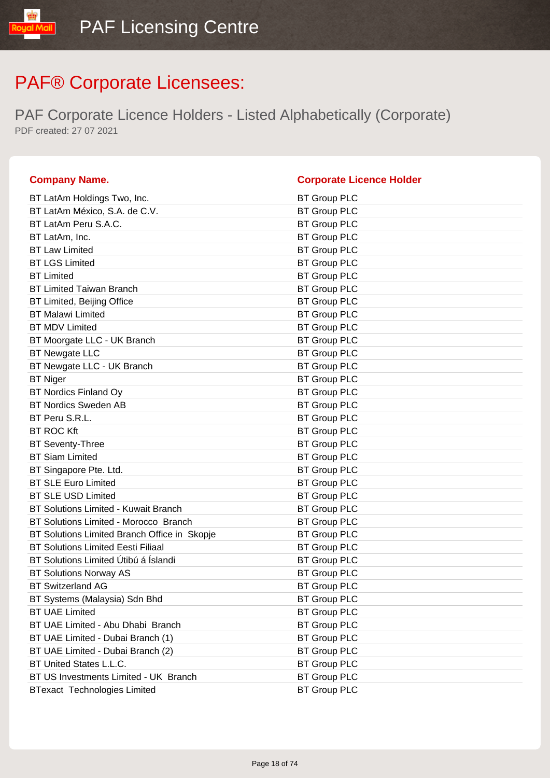| <b>Company Name.</b>                         | <b>Corporate Licence Holder</b> |
|----------------------------------------------|---------------------------------|
| BT LatAm Holdings Two, Inc.                  | <b>BT Group PLC</b>             |
| BT LatAm México, S.A. de C.V.                | <b>BT Group PLC</b>             |
| BT LatAm Peru S.A.C.                         | <b>BT Group PLC</b>             |
| BT LatAm, Inc.                               | <b>BT Group PLC</b>             |
| <b>BT Law Limited</b>                        | <b>BT Group PLC</b>             |
| <b>BT LGS Limited</b>                        | <b>BT Group PLC</b>             |
| <b>BT Limited</b>                            | <b>BT Group PLC</b>             |
| <b>BT Limited Taiwan Branch</b>              | <b>BT Group PLC</b>             |
| BT Limited, Beijing Office                   | <b>BT Group PLC</b>             |
| <b>BT Malawi Limited</b>                     | <b>BT Group PLC</b>             |
| <b>BT MDV Limited</b>                        | <b>BT Group PLC</b>             |
| BT Moorgate LLC - UK Branch                  | <b>BT Group PLC</b>             |
| <b>BT Newgate LLC</b>                        | <b>BT Group PLC</b>             |
| BT Newgate LLC - UK Branch                   | <b>BT Group PLC</b>             |
| <b>BT Niger</b>                              | <b>BT Group PLC</b>             |
| <b>BT Nordics Finland Oy</b>                 | <b>BT Group PLC</b>             |
| <b>BT Nordics Sweden AB</b>                  | <b>BT Group PLC</b>             |
| BT Peru S.R.L.                               | <b>BT Group PLC</b>             |
| <b>BT ROC Kft</b>                            | <b>BT Group PLC</b>             |
| <b>BT Seventy-Three</b>                      | <b>BT Group PLC</b>             |
| <b>BT Siam Limited</b>                       | <b>BT Group PLC</b>             |
| BT Singapore Pte. Ltd.                       | <b>BT Group PLC</b>             |
| <b>BT SLE Euro Limited</b>                   | <b>BT Group PLC</b>             |
| <b>BT SLE USD Limited</b>                    | <b>BT Group PLC</b>             |
| BT Solutions Limited - Kuwait Branch         | <b>BT Group PLC</b>             |
| BT Solutions Limited - Morocco Branch        | <b>BT Group PLC</b>             |
| BT Solutions Limited Branch Office in Skopje | <b>BT Group PLC</b>             |
| <b>BT Solutions Limited Eesti Filiaal</b>    | <b>BT Group PLC</b>             |
| BT Solutions Limited Útibú á Íslandi         | <b>BT Group PLC</b>             |
| <b>BT Solutions Norway AS</b>                | <b>BT Group PLC</b>             |
| <b>BT Switzerland AG</b>                     | <b>BT Group PLC</b>             |
| BT Systems (Malaysia) Sdn Bhd                | <b>BT Group PLC</b>             |
| <b>BT UAE Limited</b>                        | <b>BT Group PLC</b>             |
| BT UAE Limited - Abu Dhabi Branch            | <b>BT Group PLC</b>             |
| BT UAE Limited - Dubai Branch (1)            | <b>BT Group PLC</b>             |
| BT UAE Limited - Dubai Branch (2)            | <b>BT Group PLC</b>             |
| BT United States L.L.C.                      | <b>BT Group PLC</b>             |
| BT US Investments Limited - UK Branch        | <b>BT Group PLC</b>             |
| <b>BTexact Technologies Limited</b>          | <b>BT Group PLC</b>             |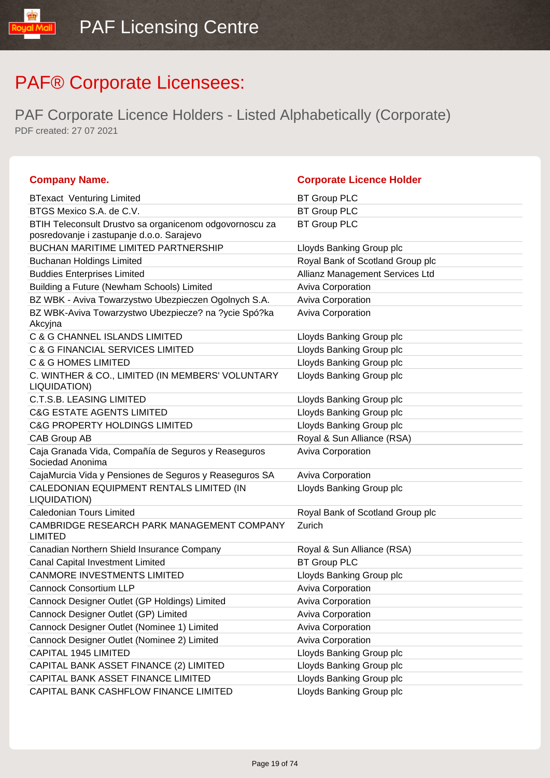| <b>Company Name.</b>                                                                                 | <b>Corporate Licence Holder</b>  |
|------------------------------------------------------------------------------------------------------|----------------------------------|
| <b>BTexact Venturing Limited</b>                                                                     | <b>BT Group PLC</b>              |
| BTGS Mexico S.A. de C.V.                                                                             | <b>BT Group PLC</b>              |
| BTIH Teleconsult Drustvo sa organicenom odgovornoscu za<br>posredovanje i zastupanje d.o.o. Sarajevo | <b>BT Group PLC</b>              |
| <b>BUCHAN MARITIME LIMITED PARTNERSHIP</b>                                                           | Lloyds Banking Group plc         |
| <b>Buchanan Holdings Limited</b>                                                                     | Royal Bank of Scotland Group plc |
| <b>Buddies Enterprises Limited</b>                                                                   | Allianz Management Services Ltd  |
| Building a Future (Newham Schools) Limited                                                           | <b>Aviva Corporation</b>         |
| BZ WBK - Aviva Towarzystwo Ubezpieczen Ogolnych S.A.                                                 | Aviva Corporation                |
| BZ WBK-Aviva Towarzystwo Ubezpiecze? na ?ycie Spó?ka<br>Akcyjna                                      | <b>Aviva Corporation</b>         |
| C & G CHANNEL ISLANDS LIMITED                                                                        | Lloyds Banking Group plc         |
| C & G FINANCIAL SERVICES LIMITED                                                                     | Lloyds Banking Group plc         |
| <b>C &amp; G HOMES LIMITED</b>                                                                       | Lloyds Banking Group plc         |
| C. WINTHER & CO., LIMITED (IN MEMBERS' VOLUNTARY<br>LIQUIDATION)                                     | Lloyds Banking Group plc         |
| <b>C.T.S.B. LEASING LIMITED</b>                                                                      | Lloyds Banking Group plc         |
| <b>C&amp;G ESTATE AGENTS LIMITED</b>                                                                 | Lloyds Banking Group plc         |
| <b>C&amp;G PROPERTY HOLDINGS LIMITED</b>                                                             | Lloyds Banking Group plc         |
| CAB Group AB                                                                                         | Royal & Sun Alliance (RSA)       |
| Caja Granada Vida, Compañía de Seguros y Reaseguros<br>Sociedad Anonima                              | Aviva Corporation                |
| CajaMurcia Vida y Pensiones de Seguros y Reaseguros SA                                               | Aviva Corporation                |
| CALEDONIAN EQUIPMENT RENTALS LIMITED (IN<br>LIQUIDATION)                                             | Lloyds Banking Group plc         |
| <b>Caledonian Tours Limited</b>                                                                      | Royal Bank of Scotland Group plc |
| CAMBRIDGE RESEARCH PARK MANAGEMENT COMPANY<br><b>LIMITED</b>                                         | Zurich                           |
| Canadian Northern Shield Insurance Company                                                           | Royal & Sun Alliance (RSA)       |
| Canal Capital Investment Limited                                                                     | <b>BT Group PLC</b>              |
| <b>CANMORE INVESTMENTS LIMITED</b>                                                                   | Lloyds Banking Group plc         |
| <b>Cannock Consortium LLP</b>                                                                        | <b>Aviva Corporation</b>         |
| Cannock Designer Outlet (GP Holdings) Limited                                                        | <b>Aviva Corporation</b>         |
| Cannock Designer Outlet (GP) Limited                                                                 | <b>Aviva Corporation</b>         |
| Cannock Designer Outlet (Nominee 1) Limited                                                          | Aviva Corporation                |
| Cannock Designer Outlet (Nominee 2) Limited                                                          | Aviva Corporation                |
| CAPITAL 1945 LIMITED                                                                                 | Lloyds Banking Group plc         |
| CAPITAL BANK ASSET FINANCE (2) LIMITED                                                               | Lloyds Banking Group plc         |
| CAPITAL BANK ASSET FINANCE LIMITED                                                                   | Lloyds Banking Group plc         |
| CAPITAL BANK CASHFLOW FINANCE LIMITED                                                                | Lloyds Banking Group plc         |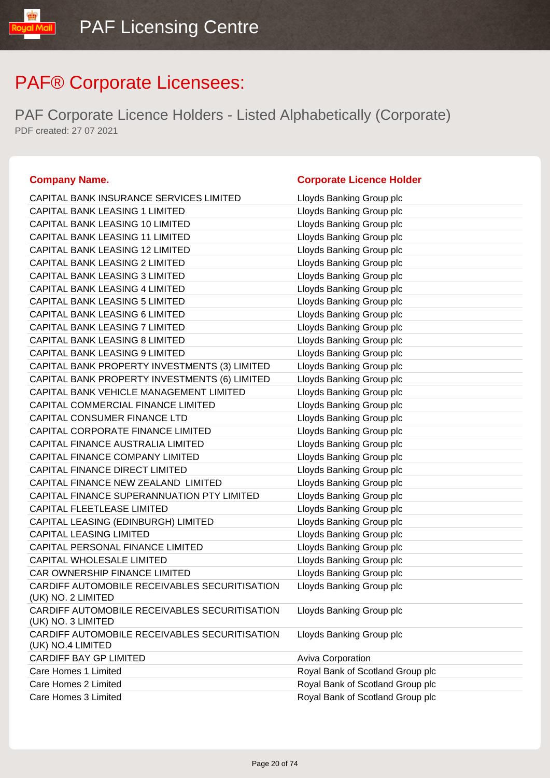PAF Corporate Licence Holders - Listed Alphabetically (Corporate) PDF created: 27 07 2021

### **Company Name. Corporate Licence Holder**

### CAPITAL BANK INSURANCE SERVICES LIMITED Lloyds Banking Group plc CAPITAL BANK LEASING 1 LIMITED Lloyds Banking Group plc CAPITAL BANK LEASING 10 LIMITED LIMITED Lloyds Banking Group plc CAPITAL BANK LEASING 11 LIMITED Lloyds Banking Group plc CAPITAL BANK LEASING 12 LIMITED Lloyds Banking Group plc CAPITAL BANK LEASING 2 LIMITED Lloyds Banking Group plc CAPITAL BANK LEASING 3 LIMITED LIGHT Lloyds Banking Group plc CAPITAL BANK LEASING 4 LIMITED Lloyds Banking Group plc CAPITAL BANK LEASING 5 LIMITED Loyds Banking Group plc CAPITAL BANK LEASING 6 LIMITED Lloyds Banking Group plc CAPITAL BANK LEASING 7 LIMITED Lloyds Banking Group plc CAPITAL BANK LEASING 8 LIMITED Lloyds Banking Group plc CAPITAL BANK LEASING 9 LIMITED LIMITED Lloyds Banking Group plc CAPITAL BANK PROPERTY INVESTMENTS (3) LIMITED Lloyds Banking Group plc CAPITAL BANK PROPERTY INVESTMENTS (6) LIMITED Lloyds Banking Group plc CAPITAL BANK VEHICLE MANAGEMENT LIMITED Lloyds Banking Group plc CAPITAL COMMERCIAL FINANCE LIMITED Loyds Banking Group plc CAPITAL CONSUMER FINANCE LTD Lloyds Banking Group plc CAPITAL CORPORATE FINANCE LIMITED Lloyds Banking Group plc CAPITAL FINANCE AUSTRALIA LIMITED Lloyds Banking Group plc CAPITAL FINANCE COMPANY LIMITED Lloyds Banking Group plc CAPITAL FINANCE DIRECT LIMITED Loyds Banking Group plc CAPITAL FINANCE NEW ZEALAND LIMITED LIDYDS Banking Group plc CAPITAL FINANCE SUPERANNUATION PTY LIMITED Lloyds Banking Group plc CAPITAL FLEETLEASE LIMITED LIGHT LIGYDS Banking Group plc CAPITAL LEASING (EDINBURGH) LIMITED Lloyds Banking Group plc CAPITAL LEASING LIMITED **Little State State CAPITAL LEASING LIMITED** CAPITAL PERSONAL FINANCE LIMITED LIMITED Lloyds Banking Group plc CAPITAL WHOLESALE LIMITED Loyds Banking Group plc CAR OWNERSHIP FINANCE LIMITED LIDYD Lloyds Banking Group plc CARDIFF AUTOMOBILE RECEIVABLES SECURITISATION (UK) NO. 2 LIMITED Lloyds Banking Group plc CARDIFF AUTOMOBILE RECEIVABLES SECURITISATION (UK) NO. 3 LIMITED Lloyds Banking Group plc CARDIFF AUTOMOBILE RECEIVABLES SECURITISATION (UK) NO.4 LIMITED Lloyds Banking Group plc CARDIFF BAY GP LIMITED Aviva Corporation Care Homes 1 Limited **Care Homes 1 Limited** Royal Bank of Scotland Group plc Care Homes 2 Limited **Care Homes 2 Limited** Royal Bank of Scotland Group plc Care Homes 3 Limited Royal Bank of Scotland Group plc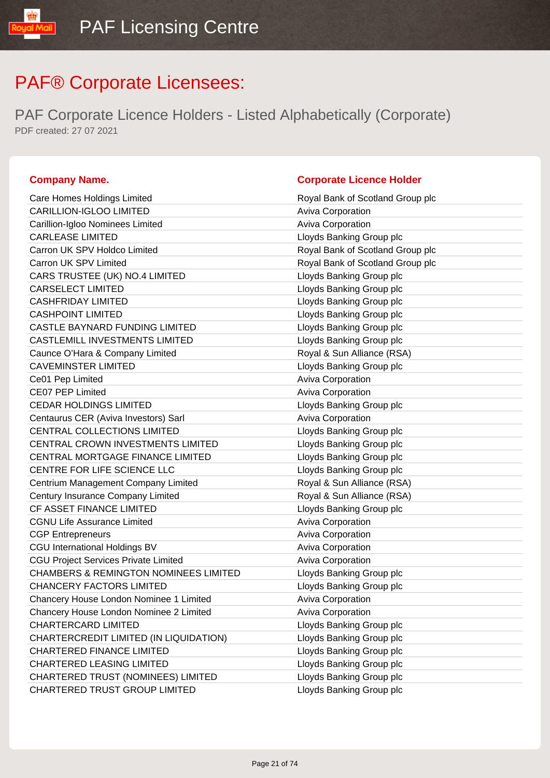PAF Corporate Licence Holders - Listed Alphabetically (Corporate) PDF created: 27 07 2021

### **Company Name. Company Name. Company Name. Company Name. Company Name. Company Name. Company Name. Company Name. Company Name. Company Name. Company Name. Company Name. Company Name. Company Name.**

ual Mail

| Care Homes Holdings Limited                      | Royal Bank of Scotland Group plc |
|--------------------------------------------------|----------------------------------|
| CARILLION-IGLOO LIMITED                          | <b>Aviva Corporation</b>         |
| Carillion-Igloo Nominees Limited                 | Aviva Corporation                |
| <b>CARLEASE LIMITED</b>                          | Lloyds Banking Group plc         |
| Carron UK SPV Holdco Limited                     | Royal Bank of Scotland Group plc |
| Carron UK SPV Limited                            | Royal Bank of Scotland Group plc |
| CARS TRUSTEE (UK) NO.4 LIMITED                   | Lloyds Banking Group plc         |
| <b>CARSELECT LIMITED</b>                         | Lloyds Banking Group plc         |
| <b>CASHFRIDAY LIMITED</b>                        | Lloyds Banking Group plc         |
| <b>CASHPOINT LIMITED</b>                         | Lloyds Banking Group plc         |
| CASTLE BAYNARD FUNDING LIMITED                   | Lloyds Banking Group plc         |
| CASTLEMILL INVESTMENTS LIMITED                   | Lloyds Banking Group plc         |
| Caunce O'Hara & Company Limited                  | Royal & Sun Alliance (RSA)       |
| <b>CAVEMINSTER LIMITED</b>                       | Lloyds Banking Group plc         |
| Ce01 Pep Limited                                 | Aviva Corporation                |
| CE07 PEP Limited                                 | Aviva Corporation                |
| <b>CEDAR HOLDINGS LIMITED</b>                    | Lloyds Banking Group plc         |
| Centaurus CER (Aviva Investors) Sarl             | Aviva Corporation                |
| CENTRAL COLLECTIONS LIMITED                      | Lloyds Banking Group plc         |
| CENTRAL CROWN INVESTMENTS LIMITED                | Lloyds Banking Group plc         |
| CENTRAL MORTGAGE FINANCE LIMITED                 | Lloyds Banking Group plc         |
| CENTRE FOR LIFE SCIENCE LLC                      | Lloyds Banking Group plc         |
| Centrium Management Company Limited              | Royal & Sun Alliance (RSA)       |
| Century Insurance Company Limited                | Royal & Sun Alliance (RSA)       |
| CF ASSET FINANCE LIMITED                         | Lloyds Banking Group plc         |
| <b>CGNU Life Assurance Limited</b>               | Aviva Corporation                |
| <b>CGP Entrepreneurs</b>                         | Aviva Corporation                |
| <b>CGU International Holdings BV</b>             | Aviva Corporation                |
| <b>CGU Project Services Private Limited</b>      | Aviva Corporation                |
| <b>CHAMBERS &amp; REMINGTON NOMINEES LIMITED</b> | Lloyds Banking Group plc         |
| <b>CHANCERY FACTORS LIMITED</b>                  | Lloyds Banking Group plc         |
| Chancery House London Nominee 1 Limited          | <b>Aviva Corporation</b>         |
| Chancery House London Nominee 2 Limited          | <b>Aviva Corporation</b>         |
| <b>CHARTERCARD LIMITED</b>                       | Lloyds Banking Group plc         |
| CHARTERCREDIT LIMITED (IN LIQUIDATION)           | Lloyds Banking Group plc         |
| <b>CHARTERED FINANCE LIMITED</b>                 | Lloyds Banking Group plc         |
| CHARTERED LEASING LIMITED                        | Lloyds Banking Group plc         |
| CHARTERED TRUST (NOMINEES) LIMITED               | Lloyds Banking Group plc         |
| CHARTERED TRUST GROUP LIMITED                    | Lloyds Banking Group plc         |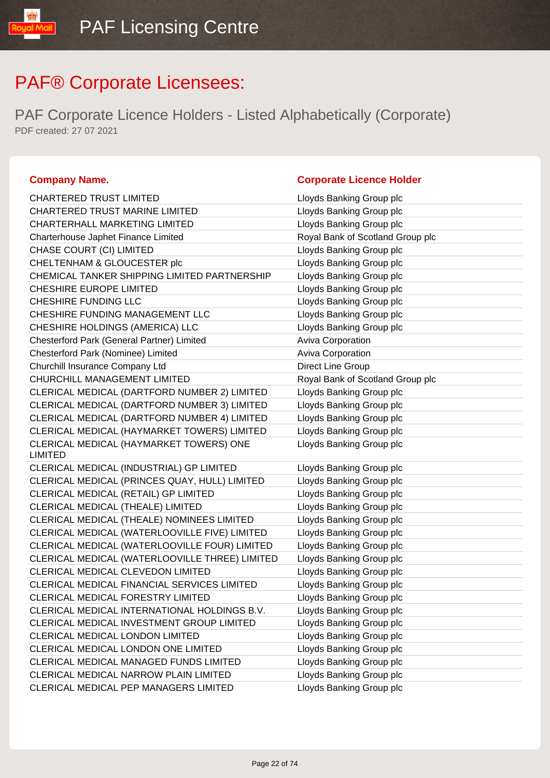PAF Corporate Licence Holders - Listed Alphabetically (Corporate) PDF created: 27 07 2021

| <b>CHARTERED TRUST LIMITED</b>                            | Lloyds Banking Group plc         |
|-----------------------------------------------------------|----------------------------------|
| CHARTERED TRUST MARINE LIMITED                            | Lloyds Banking Group plc         |
| CHARTERHALL MARKETING LIMITED                             | Lloyds Banking Group plc         |
| Charterhouse Japhet Finance Limited                       | Royal Bank of Scotland Group plc |
| CHASE COURT (CI) LIMITED                                  | Lloyds Banking Group plc         |
| CHELTENHAM & GLOUCESTER plc                               | Lloyds Banking Group plc         |
| CHEMICAL TANKER SHIPPING LIMITED PARTNERSHIP              | Lloyds Banking Group plc         |
| CHESHIRE EUROPE LIMITED                                   | Lloyds Banking Group plc         |
| CHESHIRE FUNDING LLC                                      | Lloyds Banking Group plc         |
| CHESHIRE FUNDING MANAGEMENT LLC                           | Lloyds Banking Group plc         |
| CHESHIRE HOLDINGS (AMERICA) LLC                           | Lloyds Banking Group plc         |
| Chesterford Park (General Partner) Limited                | Aviva Corporation                |
| Chesterford Park (Nominee) Limited                        | Aviva Corporation                |
| Churchill Insurance Company Ltd                           | Direct Line Group                |
| CHURCHILL MANAGEMENT LIMITED                              | Royal Bank of Scotland Group plc |
| CLERICAL MEDICAL (DARTFORD NUMBER 2) LIMITED              | Lloyds Banking Group plc         |
| CLERICAL MEDICAL (DARTFORD NUMBER 3) LIMITED              | Lloyds Banking Group plc         |
| CLERICAL MEDICAL (DARTFORD NUMBER 4) LIMITED              | Lloyds Banking Group plc         |
| CLERICAL MEDICAL (HAYMARKET TOWERS) LIMITED               | Lloyds Banking Group plc         |
| CLERICAL MEDICAL (HAYMARKET TOWERS) ONE<br><b>LIMITED</b> | Lloyds Banking Group plc         |
| CLERICAL MEDICAL (INDUSTRIAL) GP LIMITED                  | Lloyds Banking Group plc         |
| CLERICAL MEDICAL (PRINCES QUAY, HULL) LIMITED             | Lloyds Banking Group plc         |
| CLERICAL MEDICAL (RETAIL) GP LIMITED                      | Lloyds Banking Group plc         |
| CLERICAL MEDICAL (THEALE) LIMITED                         | Lloyds Banking Group plc         |
| CLERICAL MEDICAL (THEALE) NOMINEES LIMITED                | Lloyds Banking Group plc         |
| CLERICAL MEDICAL (WATERLOOVILLE FIVE) LIMITED             | Lloyds Banking Group plc         |
| CLERICAL MEDICAL (WATERLOOVILLE FOUR) LIMITED             | Lloyds Banking Group plc         |
| CLERICAL MEDICAL (WATERLOOVILLE THREE) LIMITED            | Lloyds Banking Group plc         |
| CLERICAL MEDICAL CLEVEDON LIMITED                         | Lloyds Banking Group plc         |
| CLERICAL MEDICAL FINANCIAL SERVICES LIMITED               | Lloyds Banking Group plc         |
| CLERICAL MEDICAL FORESTRY LIMITED                         | Lloyds Banking Group plc         |
| CLERICAL MEDICAL INTERNATIONAL HOLDINGS B.V.              | Lloyds Banking Group plc         |
| CLERICAL MEDICAL INVESTMENT GROUP LIMITED                 | Lloyds Banking Group plc         |
| CLERICAL MEDICAL LONDON LIMITED                           | Lloyds Banking Group plc         |
| CLERICAL MEDICAL LONDON ONE LIMITED                       | Lloyds Banking Group plc         |
| CLERICAL MEDICAL MANAGED FUNDS LIMITED                    | Lloyds Banking Group plc         |
| CLERICAL MEDICAL NARROW PLAIN LIMITED                     | Lloyds Banking Group plc         |
| CLERICAL MEDICAL PEP MANAGERS LIMITED                     | Lloyds Banking Group plc         |

### **Company Name. Company Name. Company Name. Company Name. Company Name. Company Name. Company Name. Company Name. Company Name. Company Name. Company Name. Company Name. Company Name. Company Name.**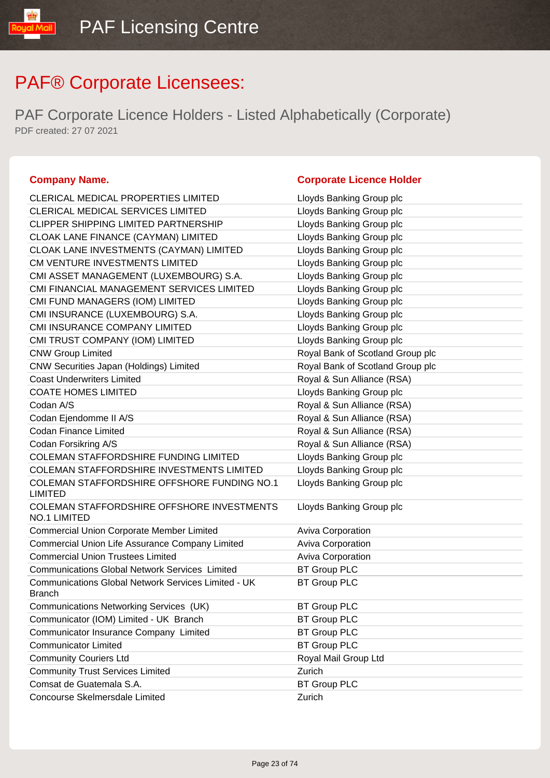PAF Corporate Licence Holders - Listed Alphabetically (Corporate) PDF created: 27 07 2021

### **Company Name. Corporate Licence Holder**

### CLERICAL MEDICAL PROPERTIES LIMITED Lloyds Banking Group plc CLERICAL MEDICAL SERVICES LIMITED LIGY Lloyds Banking Group plc CLIPPER SHIPPING LIMITED PARTNERSHIP Lloyds Banking Group plc CLOAK LANE FINANCE (CAYMAN) LIMITED Lloyds Banking Group plc CLOAK LANE INVESTMENTS (CAYMAN) LIMITED Lloyds Banking Group plc CM VENTURE INVESTMENTS LIMITED Law Lloyds Banking Group plc CMI ASSET MANAGEMENT (LUXEMBOURG) S.A. Lloyds Banking Group plc CMI FINANCIAL MANAGEMENT SERVICES LIMITED Lloyds Banking Group plc CMI FUND MANAGERS (IOM) LIMITED Line Lloyds Banking Group plc CMI INSURANCE (LUXEMBOURG) S.A. Lloyds Banking Group plc CMI INSURANCE COMPANY LIMITED Lloyds Banking Group plc CMI TRUST COMPANY (IOM) LIMITED Lattitude the Lloyds Banking Group plc CNW Group Limited Royal Bank of Scotland Group plc CNW Securities Japan (Holdings) Limited Royal Bank of Scotland Group plc Coast Underwriters Limited Coast Underwriters Limited Royal & Sun Alliance (RSA) COATE HOMES LIMITED LIQUE COATE HOMES LIMITED Codan A/S **Royal & Sun Alliance (RSA)** Codan Ejendomme II A/S **Royal & Sun Alliance (RSA)** Codan Finance Limited **Royal & Sun Alliance (RSA)** Codan Forsikring A/S **Royal & Sun Alliance (RSA)** Royal & Sun Alliance (RSA) COLEMAN STAFFORDSHIRE FUNDING LIMITED Lloyds Banking Group plc COLEMAN STAFFORDSHIRE INVESTMENTS LIMITED Lloyds Banking Group plc COLEMAN STAFFORDSHIRE OFFSHORE FUNDING NO.1 LIMITED Lloyds Banking Group plc COLEMAN STAFFORDSHIRE OFFSHORE INVESTMENTS NO.1 LIMITED Lloyds Banking Group plc Commercial Union Corporate Member Limited Aviva Corporation Commercial Union Life Assurance Company Limited Aviva Corporation Commercial Union Trustees Limited **Aviva Corporation** Aviva Corporation Communications Global Network Services Limited BT Group PLC Communications Global Network Services Limited - UK **Branch** BT Group PLC Communications Networking Services (UK) BT Group PLC Communicator (IOM) Limited - UK Branch BT Group PLC Communicator Insurance Company Limited BT Group PLC **Communicator Limited Communicator Limited Communicator Limited Communicator Communicator Limited Communicator** Community Couriers Ltd **Royal Mail Group Ltd** Royal Mail Group Ltd Community Trust Services Limited Zurich Comsat de Guatemala S.A. BT Group PLC Concourse Skelmersdale Limited **Concourse Skelmersdale Limited** Zurich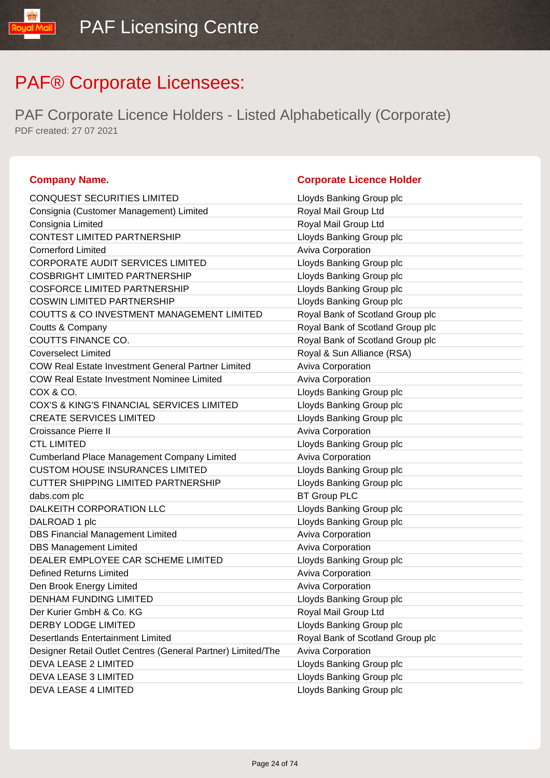PAF Corporate Licence Holders - Listed Alphabetically (Corporate) PDF created: 27 07 2021

### **Company Name. Company Name. Company Name. Company Name. Company Name. Company Name. Company Name. Company Name. Company Name. Company Name. Company Name. Company Name. Company Name. Company Name.**

ual Mail

| <b>CONQUEST SECURITIES LIMITED</b>                           | Lloyds Banking Group plc         |
|--------------------------------------------------------------|----------------------------------|
| Consignia (Customer Management) Limited                      | Royal Mail Group Ltd             |
| Consignia Limited                                            | Royal Mail Group Ltd             |
| <b>CONTEST LIMITED PARTNERSHIP</b>                           | Lloyds Banking Group plc         |
| <b>Cornerford Limited</b>                                    | Aviva Corporation                |
| <b>CORPORATE AUDIT SERVICES LIMITED</b>                      | Lloyds Banking Group plc         |
| <b>COSBRIGHT LIMITED PARTNERSHIP</b>                         | Lloyds Banking Group plc         |
| <b>COSFORCE LIMITED PARTNERSHIP</b>                          | Lloyds Banking Group plc         |
| <b>COSWIN LIMITED PARTNERSHIP</b>                            | Lloyds Banking Group plc         |
| COUTTS & CO INVESTMENT MANAGEMENT LIMITED                    | Royal Bank of Scotland Group plc |
| Coutts & Company                                             | Royal Bank of Scotland Group plc |
| COUTTS FINANCE CO.                                           | Royal Bank of Scotland Group plc |
| <b>Coverselect Limited</b>                                   | Royal & Sun Alliance (RSA)       |
| <b>COW Real Estate Investment General Partner Limited</b>    | Aviva Corporation                |
| <b>COW Real Estate Investment Nominee Limited</b>            | Aviva Corporation                |
| COX & CO.                                                    | Lloyds Banking Group plc         |
| COX'S & KING'S FINANCIAL SERVICES LIMITED                    | Lloyds Banking Group plc         |
| <b>CREATE SERVICES LIMITED</b>                               | Lloyds Banking Group plc         |
| Croissance Pierre II                                         | Aviva Corporation                |
| <b>CTL LIMITED</b>                                           | Lloyds Banking Group plc         |
| <b>Cumberland Place Management Company Limited</b>           | Aviva Corporation                |
| <b>CUSTOM HOUSE INSURANCES LIMITED</b>                       | Lloyds Banking Group plc         |
| <b>CUTTER SHIPPING LIMITED PARTNERSHIP</b>                   | Lloyds Banking Group plc         |
| dabs.com plc                                                 | <b>BT Group PLC</b>              |
| DALKEITH CORPORATION LLC                                     | Lloyds Banking Group plc         |
| DALROAD 1 plc                                                | Lloyds Banking Group plc         |
| <b>DBS Financial Management Limited</b>                      | Aviva Corporation                |
| <b>DBS Management Limited</b>                                | Aviva Corporation                |
| DEALER EMPLOYEE CAR SCHEME LIMITED                           | Lloyds Banking Group plc         |
| <b>Defined Returns Limited</b>                               | Aviva Corporation                |
| Den Brook Energy Limited                                     | Aviva Corporation                |
| <b>DENHAM FUNDING LIMITED</b>                                | Lloyds Banking Group plc         |
| Der Kurier GmbH & Co. KG                                     | Royal Mail Group Ltd             |
| <b>DERBY LODGE LIMITED</b>                                   | Lloyds Banking Group plc         |
| <b>Desertlands Entertainment Limited</b>                     | Royal Bank of Scotland Group plc |
| Designer Retail Outlet Centres (General Partner) Limited/The | Aviva Corporation                |
| <b>DEVA LEASE 2 LIMITED</b>                                  | Lloyds Banking Group plc         |
| DEVA LEASE 3 LIMITED                                         | Lloyds Banking Group plc         |
| DEVA LEASE 4 LIMITED                                         | Lloyds Banking Group plc         |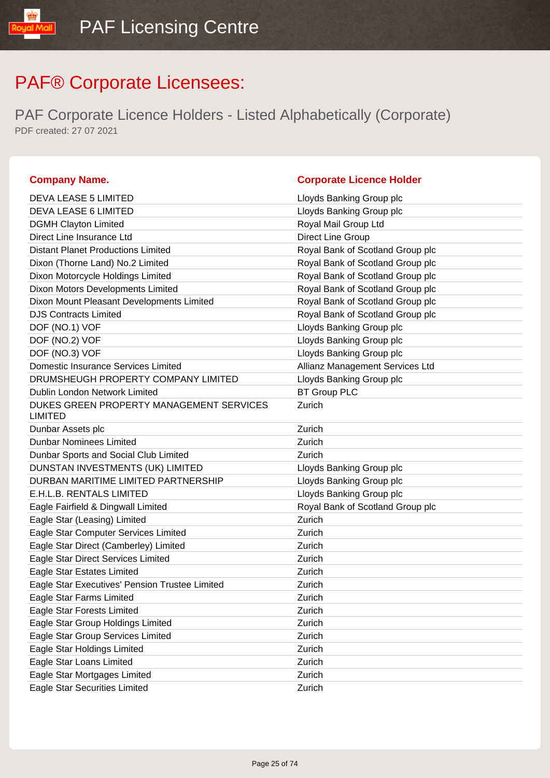PAF Corporate Licence Holders - Listed Alphabetically (Corporate) PDF created: 27 07 2021

### **Company Name. Company Name. Company Name. Company Name. Company Name. Company Name. Company Name. Company Name. Company Name. Company Name. Company Name. Company Name. Company Name. Company Name.**

| <b>DEVA LEASE 5 LIMITED</b>                                | Lloyds Banking Group plc         |
|------------------------------------------------------------|----------------------------------|
| DEVA LEASE 6 LIMITED                                       | Lloyds Banking Group plc         |
| <b>DGMH Clayton Limited</b>                                | Royal Mail Group Ltd             |
| Direct Line Insurance Ltd                                  | Direct Line Group                |
| <b>Distant Planet Productions Limited</b>                  | Royal Bank of Scotland Group plc |
| Dixon (Thorne Land) No.2 Limited                           | Royal Bank of Scotland Group plc |
| Dixon Motorcycle Holdings Limited                          | Royal Bank of Scotland Group plc |
| Dixon Motors Developments Limited                          | Royal Bank of Scotland Group plc |
| Dixon Mount Pleasant Developments Limited                  | Royal Bank of Scotland Group plc |
| <b>DJS Contracts Limited</b>                               | Royal Bank of Scotland Group plc |
| DOF (NO.1) VOF                                             | Lloyds Banking Group plc         |
| DOF (NO.2) VOF                                             | Lloyds Banking Group plc         |
| DOF (NO.3) VOF                                             | Lloyds Banking Group plc         |
| <b>Domestic Insurance Services Limited</b>                 | Allianz Management Services Ltd  |
| DRUMSHEUGH PROPERTY COMPANY LIMITED                        | Lloyds Banking Group plc         |
| Dublin London Network Limited                              | <b>BT Group PLC</b>              |
| DUKES GREEN PROPERTY MANAGEMENT SERVICES<br><b>LIMITED</b> | Zurich                           |
| Dunbar Assets plc                                          | Zurich                           |
| <b>Dunbar Nominees Limited</b>                             | Zurich                           |
| Dunbar Sports and Social Club Limited                      | Zurich                           |
| DUNSTAN INVESTMENTS (UK) LIMITED                           | Lloyds Banking Group plc         |
| DURBAN MARITIME LIMITED PARTNERSHIP                        | Lloyds Banking Group plc         |
| E.H.L.B. RENTALS LIMITED                                   | Lloyds Banking Group plc         |
| Eagle Fairfield & Dingwall Limited                         | Royal Bank of Scotland Group plc |
| Eagle Star (Leasing) Limited                               | Zurich                           |
| Eagle Star Computer Services Limited                       | Zurich                           |
| Eagle Star Direct (Camberley) Limited                      | Zurich                           |
| Eagle Star Direct Services Limited                         | Zurich                           |
| Eagle Star Estates Limited                                 | Zurich                           |
| Eagle Star Executives' Pension Trustee Limited             | Zurich                           |
| Eagle Star Farms Limited                                   | Zurich                           |
| Eagle Star Forests Limited                                 | Zurich                           |
| Eagle Star Group Holdings Limited                          | Zurich                           |
| Eagle Star Group Services Limited                          | Zurich                           |
| Eagle Star Holdings Limited                                | Zurich                           |
| Eagle Star Loans Limited                                   | Zurich                           |
| Eagle Star Mortgages Limited                               | Zurich                           |
| <b>Eagle Star Securities Limited</b>                       | Zurich                           |
|                                                            |                                  |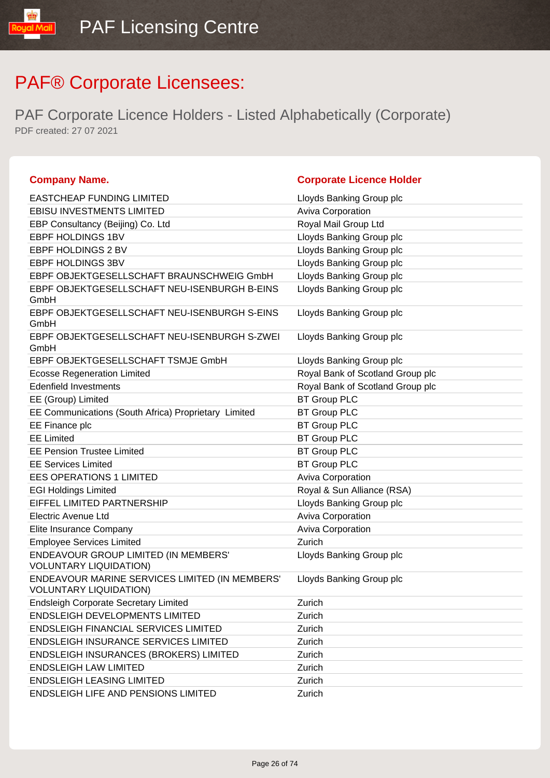| <b>Company Name.</b>                                                            | <b>Corporate Licence Holder</b>  |
|---------------------------------------------------------------------------------|----------------------------------|
| <b>EASTCHEAP FUNDING LIMITED</b>                                                | Lloyds Banking Group plc         |
| <b>EBISU INVESTMENTS LIMITED</b>                                                | <b>Aviva Corporation</b>         |
| EBP Consultancy (Beijing) Co. Ltd                                               | Royal Mail Group Ltd             |
| <b>EBPF HOLDINGS 1BV</b>                                                        | Lloyds Banking Group plc         |
| EBPF HOLDINGS 2 BV                                                              | Lloyds Banking Group plc         |
| EBPF HOLDINGS 3BV                                                               | Lloyds Banking Group plc         |
| EBPF OBJEKTGESELLSCHAFT BRAUNSCHWEIG GmbH                                       | Lloyds Banking Group plc         |
| EBPF OBJEKTGESELLSCHAFT NEU-ISENBURGH B-EINS<br>GmbH                            | Lloyds Banking Group plc         |
| EBPF OBJEKTGESELLSCHAFT NEU-ISENBURGH S-EINS<br>GmbH                            | Lloyds Banking Group plc         |
| EBPF OBJEKTGESELLSCHAFT NEU-ISENBURGH S-ZWEI<br>GmbH                            | Lloyds Banking Group plc         |
| EBPF OBJEKTGESELLSCHAFT TSMJE GmbH                                              | Lloyds Banking Group plc         |
| <b>Ecosse Regeneration Limited</b>                                              | Royal Bank of Scotland Group plc |
| <b>Edenfield Investments</b>                                                    | Royal Bank of Scotland Group plc |
| EE (Group) Limited                                                              | <b>BT Group PLC</b>              |
| EE Communications (South Africa) Proprietary Limited                            | <b>BT Group PLC</b>              |
| EE Finance plc                                                                  | <b>BT Group PLC</b>              |
| <b>EE Limited</b>                                                               | <b>BT Group PLC</b>              |
| <b>EE Pension Trustee Limited</b>                                               | <b>BT Group PLC</b>              |
| <b>EE Services Limited</b>                                                      | <b>BT Group PLC</b>              |
| <b>EES OPERATIONS 1 LIMITED</b>                                                 | Aviva Corporation                |
| <b>EGI Holdings Limited</b>                                                     | Royal & Sun Alliance (RSA)       |
| EIFFEL LIMITED PARTNERSHIP                                                      | Lloyds Banking Group plc         |
| <b>Electric Avenue Ltd</b>                                                      | Aviva Corporation                |
| Elite Insurance Company                                                         | Aviva Corporation                |
| <b>Employee Services Limited</b>                                                | Zurich                           |
| ENDEAVOUR GROUP LIMITED (IN MEMBERS'<br><b>VOLUNTARY LIQUIDATION)</b>           | Lloyds Banking Group plc         |
| ENDEAVOUR MARINE SERVICES LIMITED (IN MEMBERS'<br><b>VOLUNTARY LIQUIDATION)</b> | Lloyds Banking Group plc         |
| <b>Endsleigh Corporate Secretary Limited</b>                                    | Zurich                           |
| <b>ENDSLEIGH DEVELOPMENTS LIMITED</b>                                           | Zurich                           |
| <b>ENDSLEIGH FINANCIAL SERVICES LIMITED</b>                                     | Zurich                           |
| <b>ENDSLEIGH INSURANCE SERVICES LIMITED</b>                                     | Zurich                           |
| <b>ENDSLEIGH INSURANCES (BROKERS) LIMITED</b>                                   | Zurich                           |
| <b>ENDSLEIGH LAW LIMITED</b>                                                    | Zurich                           |
| <b>ENDSLEIGH LEASING LIMITED</b>                                                | Zurich                           |
| <b>ENDSLEIGH LIFE AND PENSIONS LIMITED</b>                                      | Zurich                           |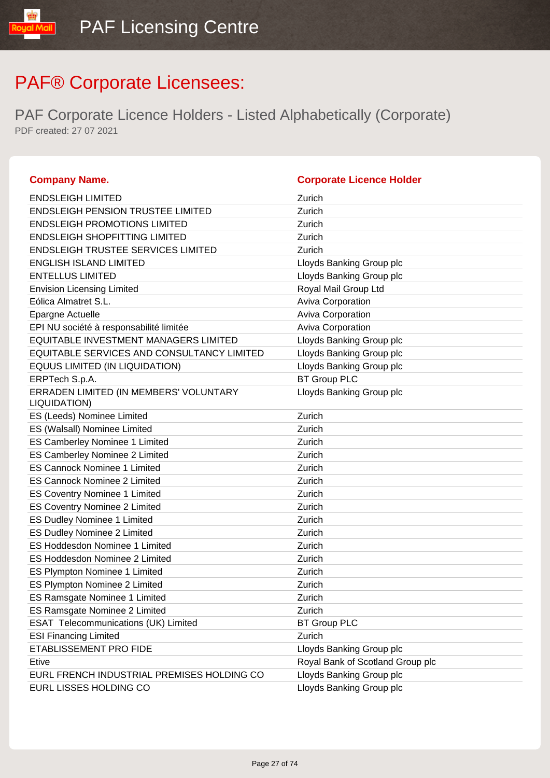| <b>Company Name.</b>                                   | <b>Corporate Licence Holder</b>  |
|--------------------------------------------------------|----------------------------------|
| <b>ENDSLEIGH LIMITED</b>                               | Zurich                           |
| <b>ENDSLEIGH PENSION TRUSTEE LIMITED</b>               | Zurich                           |
| <b>ENDSLEIGH PROMOTIONS LIMITED</b>                    | Zurich                           |
| <b>ENDSLEIGH SHOPFITTING LIMITED</b>                   | Zurich                           |
| <b>ENDSLEIGH TRUSTEE SERVICES LIMITED</b>              | Zurich                           |
| <b>ENGLISH ISLAND LIMITED</b>                          | Lloyds Banking Group plc         |
| <b>ENTELLUS LIMITED</b>                                | Lloyds Banking Group plc         |
| <b>Envision Licensing Limited</b>                      | Royal Mail Group Ltd             |
| Eólica Almatret S.L.                                   | Aviva Corporation                |
| Epargne Actuelle                                       | Aviva Corporation                |
| EPI NU société à responsabilité limitée                | Aviva Corporation                |
| EQUITABLE INVESTMENT MANAGERS LIMITED                  | Lloyds Banking Group plc         |
| EQUITABLE SERVICES AND CONSULTANCY LIMITED             | Lloyds Banking Group plc         |
| EQUUS LIMITED (IN LIQUIDATION)                         | Lloyds Banking Group plc         |
| ERPTech S.p.A.                                         | <b>BT Group PLC</b>              |
| ERRADEN LIMITED (IN MEMBERS' VOLUNTARY<br>LIQUIDATION) | Lloyds Banking Group plc         |
| ES (Leeds) Nominee Limited                             | Zurich                           |
| ES (Walsall) Nominee Limited                           | Zurich                           |
| ES Camberley Nominee 1 Limited                         | Zurich                           |
| ES Camberley Nominee 2 Limited                         | Zurich                           |
| <b>ES Cannock Nominee 1 Limited</b>                    | Zurich                           |
| <b>ES Cannock Nominee 2 Limited</b>                    | Zurich                           |
| <b>ES Coventry Nominee 1 Limited</b>                   | Zurich                           |
| <b>ES Coventry Nominee 2 Limited</b>                   | Zurich                           |
| ES Dudley Nominee 1 Limited                            | Zurich                           |
| <b>ES Dudley Nominee 2 Limited</b>                     | Zurich                           |
| ES Hoddesdon Nominee 1 Limited                         | Zurich                           |
| ES Hoddesdon Nominee 2 Limited                         | Zurich                           |
| ES Plympton Nominee 1 Limited                          | Zurich                           |
| ES Plympton Nominee 2 Limited                          | Zurich                           |
| ES Ramsgate Nominee 1 Limited                          | Zurich                           |
| ES Ramsgate Nominee 2 Limited                          | Zurich                           |
| ESAT Telecommunications (UK) Limited                   | <b>BT Group PLC</b>              |
| <b>ESI Financing Limited</b>                           | Zurich                           |
| ETABLISSEMENT PRO FIDE                                 | Lloyds Banking Group plc         |
| Etive                                                  | Royal Bank of Scotland Group plc |
| EURL FRENCH INDUSTRIAL PREMISES HOLDING CO             | Lloyds Banking Group plc         |
| EURL LISSES HOLDING CO                                 | Lloyds Banking Group plc         |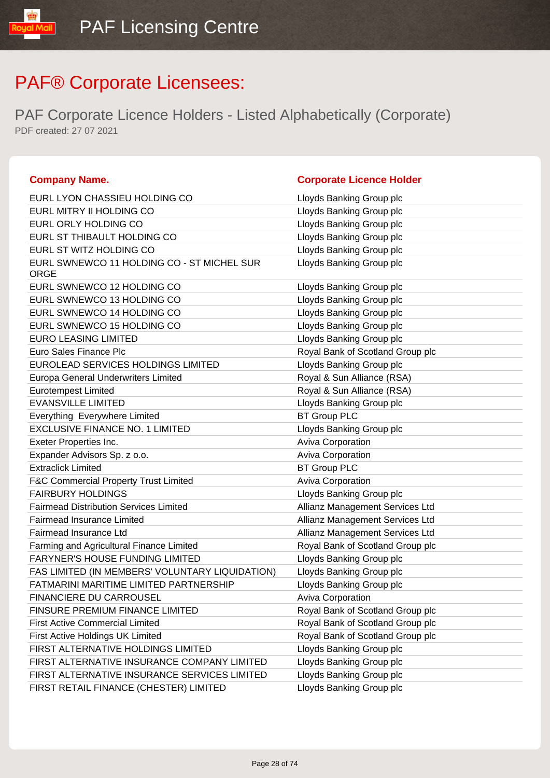| <b>Company Name.</b>                               | <b>Corporate Licence Holder</b>  |
|----------------------------------------------------|----------------------------------|
| EURL LYON CHASSIEU HOLDING CO                      | Lloyds Banking Group plc         |
| EURL MITRY II HOLDING CO                           | Lloyds Banking Group plc         |
| EURL ORLY HOLDING CO                               | Lloyds Banking Group plc         |
| EURL ST THIBAULT HOLDING CO                        | Lloyds Banking Group plc         |
| EURL ST WITZ HOLDING CO                            | Lloyds Banking Group plc         |
| EURL SWNEWCO 11 HOLDING CO - ST MICHEL SUR<br>ORGE | Lloyds Banking Group plc         |
| EURL SWNEWCO 12 HOLDING CO                         | Lloyds Banking Group plc         |
| EURL SWNEWCO 13 HOLDING CO                         | Lloyds Banking Group plc         |
| EURL SWNEWCO 14 HOLDING CO                         | Lloyds Banking Group plc         |
| EURL SWNEWCO 15 HOLDING CO                         | Lloyds Banking Group plc         |
| <b>EURO LEASING LIMITED</b>                        | Lloyds Banking Group plc         |
| Euro Sales Finance Plc                             | Royal Bank of Scotland Group plc |
| EUROLEAD SERVICES HOLDINGS LIMITED                 | Lloyds Banking Group plc         |
| Europa General Underwriters Limited                | Royal & Sun Alliance (RSA)       |
| <b>Eurotempest Limited</b>                         | Royal & Sun Alliance (RSA)       |
| <b>EVANSVILLE LIMITED</b>                          | Lloyds Banking Group plc         |
| Everything Everywhere Limited                      | <b>BT Group PLC</b>              |
| <b>EXCLUSIVE FINANCE NO. 1 LIMITED</b>             | Lloyds Banking Group plc         |
| Exeter Properties Inc.                             | Aviva Corporation                |
| Expander Advisors Sp. z o.o.                       | Aviva Corporation                |
| <b>Extraclick Limited</b>                          | <b>BT Group PLC</b>              |
| <b>F&amp;C Commercial Property Trust Limited</b>   | Aviva Corporation                |
| <b>FAIRBURY HOLDINGS</b>                           | Lloyds Banking Group plc         |
| <b>Fairmead Distribution Services Limited</b>      | Allianz Management Services Ltd  |
| <b>Fairmead Insurance Limited</b>                  | Allianz Management Services Ltd  |
| Fairmead Insurance Ltd                             | Allianz Management Services Ltd  |
| Farming and Agricultural Finance Limited           | Royal Bank of Scotland Group plc |
| <b>FARYNER'S HOUSE FUNDING LIMITED</b>             | Lloyds Banking Group plc         |
| FAS LIMITED (IN MEMBERS' VOLUNTARY LIQUIDATION)    | Lloyds Banking Group plc         |
| FATMARINI MARITIME LIMITED PARTNERSHIP             | Lloyds Banking Group plc         |
| <b>FINANCIERE DU CARROUSEL</b>                     | Aviva Corporation                |
| FINSURE PREMIUM FINANCE LIMITED                    | Royal Bank of Scotland Group plc |
| <b>First Active Commercial Limited</b>             | Royal Bank of Scotland Group plc |
| First Active Holdings UK Limited                   | Royal Bank of Scotland Group plc |
| FIRST ALTERNATIVE HOLDINGS LIMITED                 | Lloyds Banking Group plc         |
| FIRST ALTERNATIVE INSURANCE COMPANY LIMITED        | Lloyds Banking Group plc         |
| FIRST ALTERNATIVE INSURANCE SERVICES LIMITED       | Lloyds Banking Group plc         |
| FIRST RETAIL FINANCE (CHESTER) LIMITED             | Lloyds Banking Group plc         |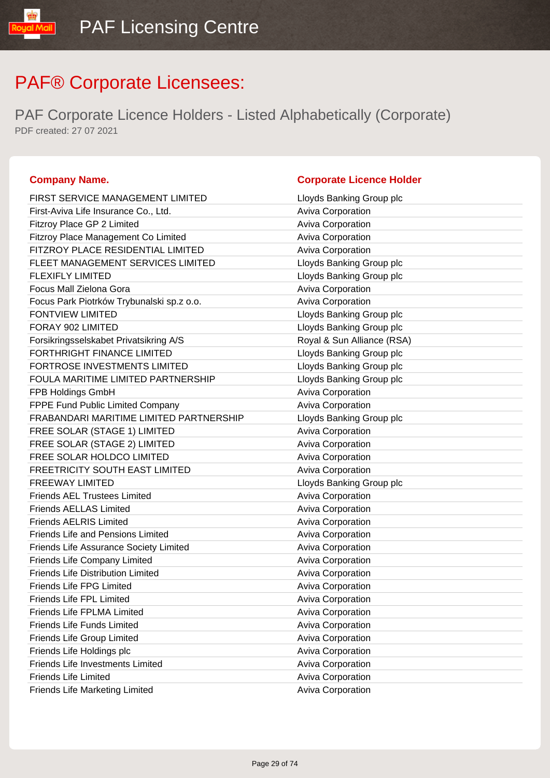PAF Corporate Licence Holders - Listed Alphabetically (Corporate) PDF created: 27 07 2021

| FIRST SERVICE MANAGEMENT LIMITED          | Lloyds Banking Group plc  |
|-------------------------------------------|---------------------------|
| First-Aviva Life Insurance Co., Ltd.      | Aviva Corporation         |
| Fitzroy Place GP 2 Limited                | Aviva Corporation         |
| Fitzroy Place Management Co Limited       | Aviva Corporation         |
| FITZROY PLACE RESIDENTIAL LIMITED         | Aviva Corporation         |
| FLEET MANAGEMENT SERVICES LIMITED         | Lloyds Banking Group plc  |
| <b>FLEXIFLY LIMITED</b>                   | Lloyds Banking Group plc  |
| Focus Mall Zielona Gora                   | Aviva Corporation         |
| Focus Park Piotrków Trybunalski sp.z o.o. | Aviva Corporation         |
| <b>FONTVIEW LIMITED</b>                   | Lloyds Banking Group plc  |
| FORAY 902 LIMITED                         | Lloyds Banking Group plc  |
| Forsikringsselskabet Privatsikring A/S    | Royal & Sun Alliance (RS, |
| <b>FORTHRIGHT FINANCE LIMITED</b>         | Lloyds Banking Group plc  |
| FORTROSE INVESTMENTS LIMITED              | Lloyds Banking Group plc  |
| FOULA MARITIME LIMITED PARTNERSHIP        | Lloyds Banking Group plc  |
| FPB Holdings GmbH                         | Aviva Corporation         |
| FPPE Fund Public Limited Company          | Aviva Corporation         |
| FRABANDARI MARITIME LIMITED PARTNERSHIP   | Lloyds Banking Group plc  |
| FREE SOLAR (STAGE 1) LIMITED              | Aviva Corporation         |
| FREE SOLAR (STAGE 2) LIMITED              | Aviva Corporation         |
| FREE SOLAR HOLDCO LIMITED                 | Aviva Corporation         |
| FREETRICITY SOUTH EAST LIMITED            | Aviva Corporation         |
| <b>FREEWAY LIMITED</b>                    | Lloyds Banking Group plc  |
| <b>Friends AEL Trustees Limited</b>       | Aviva Corporation         |
| <b>Friends AELLAS Limited</b>             | Aviva Corporation         |
| <b>Friends AELRIS Limited</b>             | Aviva Corporation         |
| <b>Friends Life and Pensions Limited</b>  | Aviva Corporation         |
| Friends Life Assurance Society Limited    | Aviva Corporation         |
| Friends Life Company Limited              | Aviva Corporation         |
| <b>Friends Life Distribution Limited</b>  | Aviva Corporation         |
| <b>Friends Life FPG Limited</b>           | Aviva Corporation         |
| <b>Friends Life FPL Limited</b>           | Aviva Corporation         |
| Friends Life FPLMA Limited                | Aviva Corporation         |
| <b>Friends Life Funds Limited</b>         | Aviva Corporation         |
| Friends Life Group Limited                | Aviva Corporation         |
| Friends Life Holdings plc                 | Aviva Corporation         |
| <b>Friends Life Investments Limited</b>   | Aviva Corporation         |
| <b>Friends Life Limited</b>               | Aviva Corporation         |
|                                           |                           |

### **Company Name. Company Name. Company Name. Company Name. Company Name. Company Name. Company Name. Company Name. Company Name. Company Name. Company Name. Company Name. Company Name. Company Name.**

| Filst-Aviva Lile Illsulatice CO., Ltd.    | Aviva Corporation          |
|-------------------------------------------|----------------------------|
| Fitzroy Place GP 2 Limited                | <b>Aviva Corporation</b>   |
| Fitzroy Place Management Co Limited       | Aviva Corporation          |
| FITZROY PLACE RESIDENTIAL LIMITED         | Aviva Corporation          |
| FLEET MANAGEMENT SERVICES LIMITED         | Lloyds Banking Group plc   |
| <b>FLEXIFLY LIMITED</b>                   | Lloyds Banking Group plc   |
| Focus Mall Zielona Gora                   | Aviva Corporation          |
| Focus Park Piotrków Trybunalski sp.z o.o. | Aviva Corporation          |
| <b>FONTVIEW LIMITED</b>                   | Lloyds Banking Group plc   |
| FORAY 902 LIMITED                         | Lloyds Banking Group plc   |
| Forsikringsselskabet Privatsikring A/S    | Royal & Sun Alliance (RSA) |
| FORTHRIGHT FINANCE LIMITED                | Lloyds Banking Group plc   |
| FORTROSE INVESTMENTS LIMITED              | Lloyds Banking Group plc   |
| FOULA MARITIME LIMITED PARTNERSHIP        | Lloyds Banking Group plc   |
| FPB Holdings GmbH                         | Aviva Corporation          |
| <b>FPPE Fund Public Limited Company</b>   | Aviva Corporation          |
| FRABANDARI MARITIME LIMITED PARTNERSHIP   | Lloyds Banking Group plc   |
| FREE SOLAR (STAGE 1) LIMITED              | Aviva Corporation          |
| FREE SOLAR (STAGE 2) LIMITED              | Aviva Corporation          |
| FREE SOLAR HOLDCO LIMITED                 | Aviva Corporation          |
| FREETRICITY SOUTH EAST LIMITED            | <b>Aviva Corporation</b>   |
| <b>FREEWAY LIMITED</b>                    | Lloyds Banking Group plc   |
| <b>Friends AEL Trustees Limited</b>       | Aviva Corporation          |
| <b>Friends AELLAS Limited</b>             | Aviva Corporation          |
| <b>Friends AELRIS Limited</b>             | <b>Aviva Corporation</b>   |
| <b>Friends Life and Pensions Limited</b>  | Aviva Corporation          |
| Friends Life Assurance Society Limited    | Aviva Corporation          |
| Friends Life Company Limited              | Aviva Corporation          |
| <b>Friends Life Distribution Limited</b>  | <b>Aviva Corporation</b>   |
| <b>Friends Life FPG Limited</b>           | <b>Aviva Corporation</b>   |
| <b>Friends Life FPL Limited</b>           | <b>Aviva Corporation</b>   |
| <b>Friends Life FPLMA Limited</b>         | <b>Aviva Corporation</b>   |
| Friends Life Funds Limited                | Aviva Corporation          |
| <b>Friends Life Group Limited</b>         | <b>Aviva Corporation</b>   |
| Friends Life Holdings plc                 | Aviva Corporation          |
| <b>Friends Life Investments Limited</b>   | Aviva Corporation          |
| <b>Friends Life Limited</b>               | <b>Aviva Corporation</b>   |
| <b>Friends Life Marketing Limited</b>     | Aviva Corporation          |
|                                           |                            |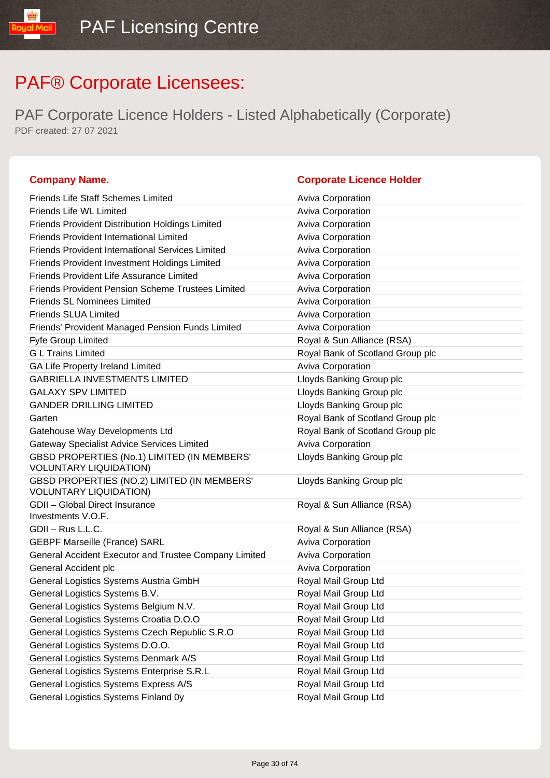PAF Corporate Licence Holders - Listed Alphabetically (Corporate) PDF created: 27 07 2021

### **Company Name. Corporate Licence Holder**

### Friends Life Staff Schemes Limited **Aviva Corporation** Friends Life WL Limited **Aviva Corporation** Aviva Corporation Friends Provident Distribution Holdings Limited Aviva Corporation Friends Provident International Limited Aviva Corporation Friends Provident International Services Limited Triends Aviva Corporation Friends Provident Investment Holdings Limited Aviva Corporation Friends Provident Life Assurance Limited Aviva Corporation Friends Provident Pension Scheme Trustees Limited Aviva Corporation Friends SL Nominees Limited **Aviva Corporation** Aviva Corporation Friends SLUA Limited **Aviva Corporation** Aviva Corporation Friends' Provident Managed Pension Funds Limited Aviva Corporation Fyfe Group Limited **Royal & Sun Alliance (RSA)** G L Trains Limited **Group planets and Critical Contract Contract Critical** Royal Bank of Scotland Group plc GA Life Property Ireland Limited **Aviva Corporation** Aviva Corporation GABRIELLA INVESTMENTS LIMITED LIMITED Lloyds Banking Group plc GALAXY SPV LIMITED **EXAMPLE 2008** Lloyds Banking Group plc GANDER DRILLING LIMITED **Example 2** Lloyds Banking Group plc Garten **Garten Garten Garten Garten Garten Group plc Garten Group plc Group plc Group plc Group plc Group plc Group plc Group plc Group plc Group plc Group plc Group plc Group plc Grou** Gatehouse Way Developments Ltd **Royal Bank of Scotland Group plc** Royal Bank of Scotland Group plc Gateway Specialist Advice Services Limited **Aviva Corporation** GBSD PROPERTIES (No.1) LIMITED (IN MEMBERS' VOLUNTARY LIQUIDATION) Lloyds Banking Group plc GBSD PROPERTIES (NO.2) LIMITED (IN MEMBERS' VOLUNTARY LIQUIDATION) Lloyds Banking Group plc GDII – Global Direct Insurance Investments V.O.F. Royal & Sun Alliance (RSA) GDII – Rus L.L.C. **Royal & Sun Alliance (RSA)** GEBPF Marseille (France) SARL Aviva Corporation Aviva Corporation General Accident Executor and Trustee Company Limited Aviva Corporation General Accident plc Aviva Corporation **Containers** Aviva Corporation General Logistics Systems Austria GmbH Royal Mail Group Ltd General Logistics Systems B.V. **Royal Mail Group Ltd** Royal Mail Group Ltd General Logistics Systems Belgium N.V. Royal Mail Group Ltd General Logistics Systems Croatia D.O.O Royal Mail Group Ltd General Logistics Systems Czech Republic S.R.O Royal Mail Group Ltd General Logistics Systems D.O.O. **Royal Mail Group Ltd** Royal Mail Group Ltd General Logistics Systems Denmark A/S Royal Mail Group Ltd General Logistics Systems Enterprise S.R.L Royal Mail Group Ltd General Logistics Systems Express A/S Royal Mail Group Ltd General Logistics Systems Finland 0y **Royal Mail Group Ltd** Royal Mail Group Ltd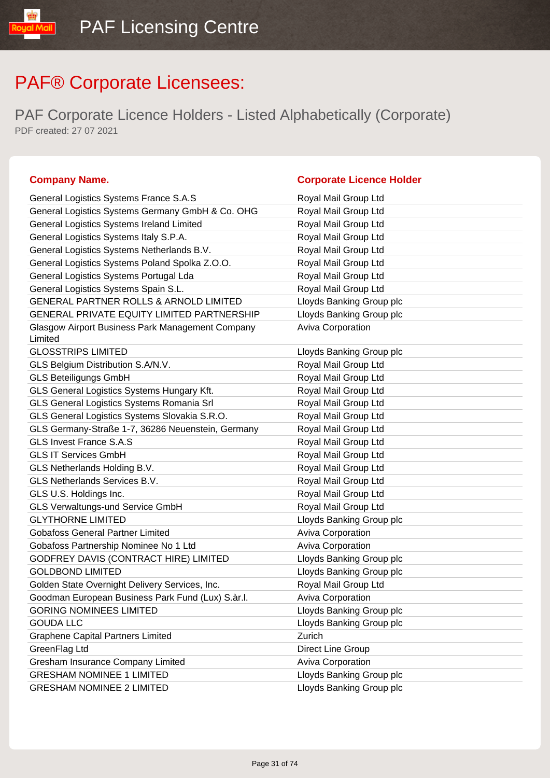PAF Corporate Licence Holders - Listed Alphabetically (Corporate) PDF created: 27 07 2021

### **Company Name. Company Name. Company Name. Company Name. Company Name. Company Name. Company Name. Company Name. Company Name. Company Name. Company Name. Company Name. Company Name. Company Name.**

IibM loud

| General Logistics Systems France S.A.S                      | Royal Mail Group Ltd     |
|-------------------------------------------------------------|--------------------------|
| General Logistics Systems Germany GmbH & Co. OHG            | Royal Mail Group Ltd     |
| General Logistics Systems Ireland Limited                   | Royal Mail Group Ltd     |
| General Logistics Systems Italy S.P.A.                      | Royal Mail Group Ltd     |
| General Logistics Systems Netherlands B.V.                  | Royal Mail Group Ltd     |
| General Logistics Systems Poland Spolka Z.O.O.              | Royal Mail Group Ltd     |
| General Logistics Systems Portugal Lda                      | Royal Mail Group Ltd     |
| General Logistics Systems Spain S.L.                        | Royal Mail Group Ltd     |
| GENERAL PARTNER ROLLS & ARNOLD LIMITED                      | Lloyds Banking Group plc |
| <b>GENERAL PRIVATE EQUITY LIMITED PARTNERSHIP</b>           | Lloyds Banking Group plc |
| Glasgow Airport Business Park Management Company<br>Limited | Aviva Corporation        |
| <b>GLOSSTRIPS LIMITED</b>                                   | Lloyds Banking Group plc |
| GLS Belgium Distribution S.A/N.V.                           | Royal Mail Group Ltd     |
| <b>GLS Beteiligungs GmbH</b>                                | Royal Mail Group Ltd     |
| GLS General Logistics Systems Hungary Kft.                  | Royal Mail Group Ltd     |
| GLS General Logistics Systems Romania Srl                   | Royal Mail Group Ltd     |
| GLS General Logistics Systems Slovakia S.R.O.               | Royal Mail Group Ltd     |
| GLS Germany-Straße 1-7, 36286 Neuenstein, Germany           | Royal Mail Group Ltd     |
| <b>GLS Invest France S.A.S</b>                              | Royal Mail Group Ltd     |
| <b>GLS IT Services GmbH</b>                                 | Royal Mail Group Ltd     |
| GLS Netherlands Holding B.V.                                | Royal Mail Group Ltd     |
| GLS Netherlands Services B.V.                               | Royal Mail Group Ltd     |
| GLS U.S. Holdings Inc.                                      | Royal Mail Group Ltd     |
| <b>GLS Verwaltungs-und Service GmbH</b>                     | Royal Mail Group Ltd     |
| <b>GLYTHORNE LIMITED</b>                                    | Lloyds Banking Group plc |
| <b>Gobafoss General Partner Limited</b>                     | Aviva Corporation        |
| Gobafoss Partnership Nominee No 1 Ltd                       | Aviva Corporation        |
| GODFREY DAVIS (CONTRACT HIRE) LIMITED                       | Lloyds Banking Group plc |
| <b>GOLDBOND LIMITED</b>                                     | Lloyds Banking Group plc |
| Golden State Overnight Delivery Services, Inc.              | Royal Mail Group Ltd     |
| Goodman European Business Park Fund (Lux) S.àr.I.           | <b>Aviva Corporation</b> |
| <b>GORING NOMINEES LIMITED</b>                              | Lloyds Banking Group plc |
| <b>GOUDA LLC</b>                                            | Lloyds Banking Group plc |
| <b>Graphene Capital Partners Limited</b>                    | Zurich                   |
| GreenFlag Ltd                                               | Direct Line Group        |
| Gresham Insurance Company Limited                           | Aviva Corporation        |
| <b>GRESHAM NOMINEE 1 LIMITED</b>                            | Lloyds Banking Group plc |
| <b>GRESHAM NOMINEE 2 LIMITED</b>                            | Lloyds Banking Group plc |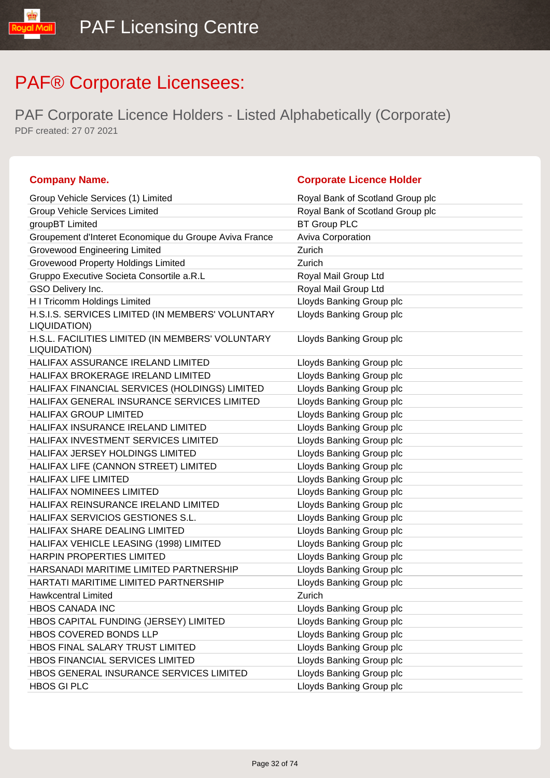| <b>Company Name.</b>                                             | <b>Corporate Licence Holder</b>  |
|------------------------------------------------------------------|----------------------------------|
| Group Vehicle Services (1) Limited                               | Royal Bank of Scotland Group plc |
| <b>Group Vehicle Services Limited</b>                            | Royal Bank of Scotland Group plc |
| groupBT Limited                                                  | <b>BT Group PLC</b>              |
| Groupement d'Interet Economique du Groupe Aviva France           | Aviva Corporation                |
| <b>Grovewood Engineering Limited</b>                             | Zurich                           |
| <b>Grovewood Property Holdings Limited</b>                       | Zurich                           |
| Gruppo Executive Societa Consortile a.R.L                        | Royal Mail Group Ltd             |
| GSO Delivery Inc.                                                | Royal Mail Group Ltd             |
| H I Tricomm Holdings Limited                                     | Lloyds Banking Group plc         |
| H.S.I.S. SERVICES LIMITED (IN MEMBERS' VOLUNTARY<br>LIQUIDATION) | Lloyds Banking Group plc         |
| H.S.L. FACILITIES LIMITED (IN MEMBERS' VOLUNTARY<br>LIQUIDATION) | Lloyds Banking Group plc         |
| HALIFAX ASSURANCE IRELAND LIMITED                                | Lloyds Banking Group plc         |
| <b>HALIFAX BROKERAGE IRELAND LIMITED</b>                         | Lloyds Banking Group plc         |
| HALIFAX FINANCIAL SERVICES (HOLDINGS) LIMITED                    | Lloyds Banking Group plc         |
| HALIFAX GENERAL INSURANCE SERVICES LIMITED                       | Lloyds Banking Group plc         |
| <b>HALIFAX GROUP LIMITED</b>                                     | Lloyds Banking Group plc         |
| HALIFAX INSURANCE IRELAND LIMITED                                | Lloyds Banking Group plc         |
| <b>HALIFAX INVESTMENT SERVICES LIMITED</b>                       | Lloyds Banking Group plc         |
| HALIFAX JERSEY HOLDINGS LIMITED                                  | Lloyds Banking Group plc         |
| HALIFAX LIFE (CANNON STREET) LIMITED                             | Lloyds Banking Group plc         |
| HALIFAX LIFE LIMITED                                             | Lloyds Banking Group plc         |
| <b>HALIFAX NOMINEES LIMITED</b>                                  | Lloyds Banking Group plc         |
| HALIFAX REINSURANCE IRELAND LIMITED                              | Lloyds Banking Group plc         |
| HALIFAX SERVICIOS GESTIONES S.L.                                 | Lloyds Banking Group plc         |
| HALIFAX SHARE DEALING LIMITED                                    | Lloyds Banking Group plc         |
| HALIFAX VEHICLE LEASING (1998) LIMITED                           | Lloyds Banking Group plc         |
| HARPIN PROPERTIES LIMITED                                        | Lloyds Banking Group plc         |
| HARSANADI MARITIME LIMITED PARTNERSHIP                           | Lloyds Banking Group plc         |
| HARTATI MARITIME LIMITED PARTNERSHIP                             | Lloyds Banking Group plc         |
| <b>Hawkcentral Limited</b>                                       | Zurich                           |
| <b>HBOS CANADA INC</b>                                           | Lloyds Banking Group plc         |
| HBOS CAPITAL FUNDING (JERSEY) LIMITED                            | Lloyds Banking Group plc         |
| HBOS COVERED BONDS LLP                                           | Lloyds Banking Group plc         |
| HBOS FINAL SALARY TRUST LIMITED                                  | Lloyds Banking Group plc         |
| HBOS FINANCIAL SERVICES LIMITED                                  | Lloyds Banking Group plc         |
| HBOS GENERAL INSURANCE SERVICES LIMITED                          | Lloyds Banking Group plc         |
| <b>HBOS GI PLC</b>                                               | Lloyds Banking Group plc         |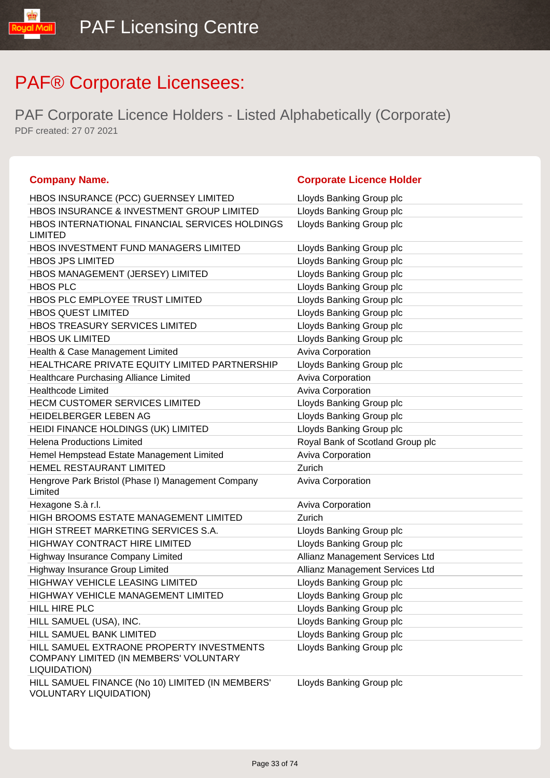| <b>Company Name.</b>                                                                                | <b>Corporate Licence Holder</b>  |
|-----------------------------------------------------------------------------------------------------|----------------------------------|
| HBOS INSURANCE (PCC) GUERNSEY LIMITED                                                               | Lloyds Banking Group plc         |
| HBOS INSURANCE & INVESTMENT GROUP LIMITED                                                           | Lloyds Banking Group plc         |
| HBOS INTERNATIONAL FINANCIAL SERVICES HOLDINGS<br><b>LIMITED</b>                                    | Lloyds Banking Group plc         |
| HBOS INVESTMENT FUND MANAGERS LIMITED                                                               | Lloyds Banking Group plc         |
| <b>HBOS JPS LIMITED</b>                                                                             | Lloyds Banking Group plc         |
| HBOS MANAGEMENT (JERSEY) LIMITED                                                                    | Lloyds Banking Group plc         |
| <b>HBOS PLC</b>                                                                                     | Lloyds Banking Group plc         |
| HBOS PLC EMPLOYEE TRUST LIMITED                                                                     | Lloyds Banking Group plc         |
| <b>HBOS QUEST LIMITED</b>                                                                           | Lloyds Banking Group plc         |
| HBOS TREASURY SERVICES LIMITED                                                                      | Lloyds Banking Group plc         |
| <b>HBOS UK LIMITED</b>                                                                              | Lloyds Banking Group plc         |
| Health & Case Management Limited                                                                    | Aviva Corporation                |
| HEALTHCARE PRIVATE EQUITY LIMITED PARTNERSHIP                                                       | Lloyds Banking Group plc         |
| Healthcare Purchasing Alliance Limited                                                              | Aviva Corporation                |
| <b>Healthcode Limited</b>                                                                           | <b>Aviva Corporation</b>         |
| <b>HECM CUSTOMER SERVICES LIMITED</b>                                                               | Lloyds Banking Group plc         |
| HEIDELBERGER LEBEN AG                                                                               | Lloyds Banking Group plc         |
| HEIDI FINANCE HOLDINGS (UK) LIMITED                                                                 | Lloyds Banking Group plc         |
| <b>Helena Productions Limited</b>                                                                   | Royal Bank of Scotland Group plc |
| Hemel Hempstead Estate Management Limited                                                           | Aviva Corporation                |
| HEMEL RESTAURANT LIMITED                                                                            | Zurich                           |
| Hengrove Park Bristol (Phase I) Management Company<br>Limited                                       | <b>Aviva Corporation</b>         |
| Hexagone S.à r.l.                                                                                   | <b>Aviva Corporation</b>         |
| HIGH BROOMS ESTATE MANAGEMENT LIMITED                                                               | Zurich                           |
| HIGH STREET MARKETING SERVICES S.A.                                                                 | Lloyds Banking Group plc         |
| HIGHWAY CONTRACT HIRE LIMITED                                                                       | Lloyds Banking Group plc         |
| Highway Insurance Company Limited                                                                   | Allianz Management Services Ltd  |
| Highway Insurance Group Limited                                                                     | Allianz Management Services Ltd  |
| <b>HIGHWAY VEHICLE LEASING LIMITED</b>                                                              | Lloyds Banking Group plc         |
| HIGHWAY VEHICLE MANAGEMENT LIMITED                                                                  | Lloyds Banking Group plc         |
| HILL HIRE PLC                                                                                       | Lloyds Banking Group plc         |
| HILL SAMUEL (USA), INC.                                                                             | Lloyds Banking Group plc         |
| HILL SAMUEL BANK LIMITED                                                                            | Lloyds Banking Group plc         |
| HILL SAMUEL EXTRAONE PROPERTY INVESTMENTS<br>COMPANY LIMITED (IN MEMBERS' VOLUNTARY<br>LIQUIDATION) | Lloyds Banking Group plc         |
| HILL SAMUEL FINANCE (No 10) LIMITED (IN MEMBERS'<br><b>VOLUNTARY LIQUIDATION)</b>                   | Lloyds Banking Group plc         |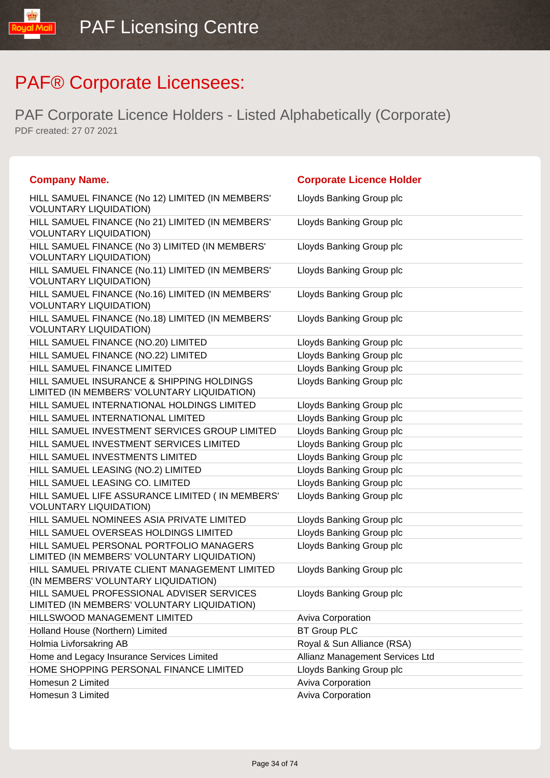| <b>Company Name.</b>                                                                     | <b>Corporate Licence Holder</b> |
|------------------------------------------------------------------------------------------|---------------------------------|
| HILL SAMUEL FINANCE (No 12) LIMITED (IN MEMBERS'<br><b>VOLUNTARY LIQUIDATION)</b>        | Lloyds Banking Group plc        |
| HILL SAMUEL FINANCE (No 21) LIMITED (IN MEMBERS'<br><b>VOLUNTARY LIQUIDATION)</b>        | Lloyds Banking Group plc        |
| HILL SAMUEL FINANCE (No 3) LIMITED (IN MEMBERS'<br><b>VOLUNTARY LIQUIDATION)</b>         | Lloyds Banking Group plc        |
| HILL SAMUEL FINANCE (No.11) LIMITED (IN MEMBERS'<br><b>VOLUNTARY LIQUIDATION)</b>        | Lloyds Banking Group plc        |
| HILL SAMUEL FINANCE (No.16) LIMITED (IN MEMBERS'<br><b>VOLUNTARY LIQUIDATION)</b>        | Lloyds Banking Group plc        |
| HILL SAMUEL FINANCE (No.18) LIMITED (IN MEMBERS'<br><b>VOLUNTARY LIQUIDATION)</b>        | Lloyds Banking Group plc        |
| HILL SAMUEL FINANCE (NO.20) LIMITED                                                      | Lloyds Banking Group plc        |
| HILL SAMUEL FINANCE (NO.22) LIMITED                                                      | Lloyds Banking Group plc        |
| HILL SAMUEL FINANCE LIMITED                                                              | Lloyds Banking Group plc        |
| HILL SAMUEL INSURANCE & SHIPPING HOLDINGS<br>LIMITED (IN MEMBERS' VOLUNTARY LIQUIDATION) | Lloyds Banking Group plc        |
| HILL SAMUEL INTERNATIONAL HOLDINGS LIMITED                                               | Lloyds Banking Group plc        |
| HILL SAMUEL INTERNATIONAL LIMITED                                                        | Lloyds Banking Group plc        |
| HILL SAMUEL INVESTMENT SERVICES GROUP LIMITED                                            | Lloyds Banking Group plc        |
| HILL SAMUEL INVESTMENT SERVICES LIMITED                                                  | Lloyds Banking Group plc        |
| HILL SAMUEL INVESTMENTS LIMITED                                                          | Lloyds Banking Group plc        |
| HILL SAMUEL LEASING (NO.2) LIMITED                                                       | Lloyds Banking Group plc        |
| HILL SAMUEL LEASING CO. LIMITED                                                          | Lloyds Banking Group plc        |
| HILL SAMUEL LIFE ASSURANCE LIMITED (IN MEMBERS'<br><b>VOLUNTARY LIQUIDATION)</b>         | Lloyds Banking Group plc        |
| HILL SAMUEL NOMINEES ASIA PRIVATE LIMITED                                                | Lloyds Banking Group plc        |
| HILL SAMUEL OVERSEAS HOLDINGS LIMITED                                                    | Lloyds Banking Group plc        |
| HILL SAMUEL PERSONAL PORTFOLIO MANAGERS<br>LIMITED (IN MEMBERS' VOLUNTARY LIQUIDATION)   | Lloyds Banking Group plc        |
| HILL SAMUEL PRIVATE CLIENT MANAGEMENT LIMITED<br>(IN MEMBERS' VOLUNTARY LIQUIDATION)     | Lloyds Banking Group plc        |
| HILL SAMUEL PROFESSIONAL ADVISER SERVICES<br>LIMITED (IN MEMBERS' VOLUNTARY LIQUIDATION) | Lloyds Banking Group plc        |
| HILLSWOOD MANAGEMENT LIMITED                                                             | <b>Aviva Corporation</b>        |
| Holland House (Northern) Limited                                                         | <b>BT Group PLC</b>             |
| Holmia Livforsakring AB                                                                  | Royal & Sun Alliance (RSA)      |
| Home and Legacy Insurance Services Limited                                               | Allianz Management Services Ltd |
| HOME SHOPPING PERSONAL FINANCE LIMITED                                                   | Lloyds Banking Group plc        |
| Homesun 2 Limited                                                                        | <b>Aviva Corporation</b>        |
| Homesun 3 Limited                                                                        | <b>Aviva Corporation</b>        |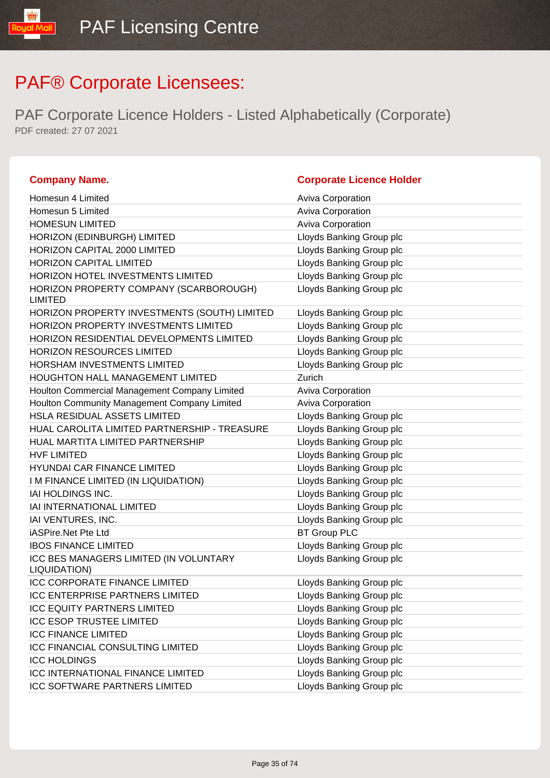| <b>Company Name.</b>                                     | <b>Corporate Licence Holder</b> |
|----------------------------------------------------------|---------------------------------|
| Homesun 4 Limited                                        | Aviva Corporation               |
| Homesun 5 Limited                                        | Aviva Corporation               |
| <b>HOMESUN LIMITED</b>                                   | Aviva Corporation               |
| HORIZON (EDINBURGH) LIMITED                              | Lloyds Banking Group plc        |
| HORIZON CAPITAL 2000 LIMITED                             | Lloyds Banking Group plc        |
| HORIZON CAPITAL LIMITED                                  | Lloyds Banking Group plc        |
| HORIZON HOTEL INVESTMENTS LIMITED                        | Lloyds Banking Group plc        |
| HORIZON PROPERTY COMPANY (SCARBOROUGH)<br><b>LIMITED</b> | Lloyds Banking Group plc        |
| HORIZON PROPERTY INVESTMENTS (SOUTH) LIMITED             | Lloyds Banking Group plc        |
| HORIZON PROPERTY INVESTMENTS LIMITED                     | Lloyds Banking Group plc        |
| HORIZON RESIDENTIAL DEVELOPMENTS LIMITED                 | Lloyds Banking Group plc        |
| HORIZON RESOURCES LIMITED                                | Lloyds Banking Group plc        |
| HORSHAM INVESTMENTS LIMITED                              | Lloyds Banking Group plc        |
| <b>HOUGHTON HALL MANAGEMENT LIMITED</b>                  | Zurich                          |
| Houlton Commercial Management Company Limited            | Aviva Corporation               |
| Houlton Community Management Company Limited             | Aviva Corporation               |
| <b>HSLA RESIDUAL ASSETS LIMITED</b>                      | Lloyds Banking Group plc        |
| HUAL CAROLITA LIMITED PARTNERSHIP - TREASURE             | Lloyds Banking Group plc        |
| HUAL MARTITA LIMITED PARTNERSHIP                         | Lloyds Banking Group plc        |
| <b>HVF LIMITED</b>                                       | Lloyds Banking Group plc        |
| HYUNDAI CAR FINANCE LIMITED                              | Lloyds Banking Group plc        |
| I M FINANCE LIMITED (IN LIQUIDATION)                     | Lloyds Banking Group plc        |
| IAI HOLDINGS INC.                                        | Lloyds Banking Group plc        |
| IAI INTERNATIONAL LIMITED                                | Lloyds Banking Group plc        |
| IAI VENTURES, INC.                                       | Lloyds Banking Group plc        |
| iASPire.Net Pte Ltd                                      | <b>BT Group PLC</b>             |
| <b>IBOS FINANCE LIMITED</b>                              | Lloyds Banking Group plc        |
| ICC BES MANAGERS LIMITED (IN VOLUNTARY<br>LIQUIDATION)   | Lloyds Banking Group plc        |
| <b>ICC CORPORATE FINANCE LIMITED</b>                     | Lloyds Banking Group plc        |
| <b>ICC ENTERPRISE PARTNERS LIMITED</b>                   | Lloyds Banking Group plc        |
| <b>ICC EQUITY PARTNERS LIMITED</b>                       | Lloyds Banking Group plc        |
| <b>ICC ESOP TRUSTEE LIMITED</b>                          | Lloyds Banking Group plc        |
| <b>ICC FINANCE LIMITED</b>                               | Lloyds Banking Group plc        |
| <b>ICC FINANCIAL CONSULTING LIMITED</b>                  | Lloyds Banking Group plc        |
| <b>ICC HOLDINGS</b>                                      | Lloyds Banking Group plc        |
| <b>ICC INTERNATIONAL FINANCE LIMITED</b>                 | Lloyds Banking Group plc        |
| <b>ICC SOFTWARE PARTNERS LIMITED</b>                     | Lloyds Banking Group plc        |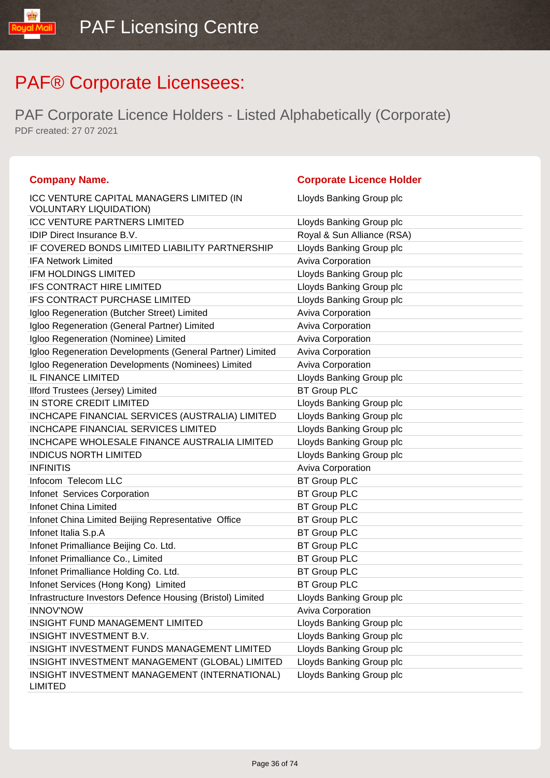| <b>Company Name.</b>                                                      | <b>Corporate Licence Holder</b> |
|---------------------------------------------------------------------------|---------------------------------|
| ICC VENTURE CAPITAL MANAGERS LIMITED (IN<br><b>VOLUNTARY LIQUIDATION)</b> | Lloyds Banking Group plc        |
| <b>ICC VENTURE PARTNERS LIMITED</b>                                       | Lloyds Banking Group plc        |
| <b>IDIP Direct Insurance B.V.</b>                                         | Royal & Sun Alliance (RSA)      |
| IF COVERED BONDS LIMITED LIABILITY PARTNERSHIP                            | Lloyds Banking Group plc        |
| <b>IFA Network Limited</b>                                                | <b>Aviva Corporation</b>        |
| <b>IFM HOLDINGS LIMITED</b>                                               | Lloyds Banking Group plc        |
| IFS CONTRACT HIRE LIMITED                                                 | Lloyds Banking Group plc        |
| IFS CONTRACT PURCHASE LIMITED                                             | Lloyds Banking Group plc        |
| Igloo Regeneration (Butcher Street) Limited                               | Aviva Corporation               |
| Igloo Regeneration (General Partner) Limited                              | <b>Aviva Corporation</b>        |
| Igloo Regeneration (Nominee) Limited                                      | <b>Aviva Corporation</b>        |
| Igloo Regeneration Developments (General Partner) Limited                 | <b>Aviva Corporation</b>        |
| Igloo Regeneration Developments (Nominees) Limited                        | <b>Aviva Corporation</b>        |
| <b>IL FINANCE LIMITED</b>                                                 | Lloyds Banking Group plc        |
| Ilford Trustees (Jersey) Limited                                          | <b>BT Group PLC</b>             |
| IN STORE CREDIT LIMITED                                                   | Lloyds Banking Group plc        |
| INCHCAPE FINANCIAL SERVICES (AUSTRALIA) LIMITED                           | Lloyds Banking Group plc        |
| <b>INCHCAPE FINANCIAL SERVICES LIMITED</b>                                | Lloyds Banking Group plc        |
| INCHCAPE WHOLESALE FINANCE AUSTRALIA LIMITED                              | Lloyds Banking Group plc        |
| <b>INDICUS NORTH LIMITED</b>                                              | Lloyds Banking Group plc        |
| <b>INFINITIS</b>                                                          | Aviva Corporation               |
| Infocom Telecom LLC                                                       | <b>BT Group PLC</b>             |
| Infonet Services Corporation                                              | <b>BT Group PLC</b>             |
| <b>Infonet China Limited</b>                                              | <b>BT Group PLC</b>             |
| Infonet China Limited Beijing Representative Office                       | <b>BT Group PLC</b>             |
| Infonet Italia S.p.A                                                      | <b>BT Group PLC</b>             |
| Infonet Primalliance Beijing Co. Ltd.                                     | <b>BT Group PLC</b>             |
| Infonet Primalliance Co., Limited                                         | <b>BT Group PLC</b>             |
| Infonet Primalliance Holding Co. Ltd.                                     | <b>BT Group PLC</b>             |
| Infonet Services (Hong Kong) Limited                                      | <b>BT Group PLC</b>             |
| Infrastructure Investors Defence Housing (Bristol) Limited                | Lloyds Banking Group plc        |
| <b>INNOV'NOW</b>                                                          | <b>Aviva Corporation</b>        |
| <b>INSIGHT FUND MANAGEMENT LIMITED</b>                                    | Lloyds Banking Group plc        |
| INSIGHT INVESTMENT B.V.                                                   | Lloyds Banking Group plc        |
| INSIGHT INVESTMENT FUNDS MANAGEMENT LIMITED                               | Lloyds Banking Group plc        |
| INSIGHT INVESTMENT MANAGEMENT (GLOBAL) LIMITED                            | Lloyds Banking Group plc        |
| INSIGHT INVESTMENT MANAGEMENT (INTERNATIONAL)<br><b>LIMITED</b>           | Lloyds Banking Group plc        |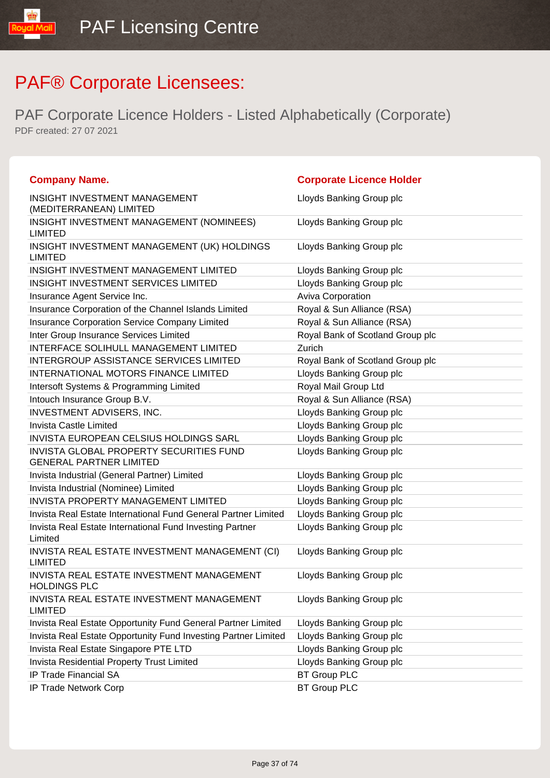| <b>Company Name.</b>                                                | <b>Corporate Licence Holder</b>  |
|---------------------------------------------------------------------|----------------------------------|
| INSIGHT INVESTMENT MANAGEMENT                                       | Lloyds Banking Group plc         |
| (MEDITERRANEAN) LIMITED                                             |                                  |
| INSIGHT INVESTMENT MANAGEMENT (NOMINEES)<br><b>LIMITED</b>          | Lloyds Banking Group plc         |
| INSIGHT INVESTMENT MANAGEMENT (UK) HOLDINGS<br><b>LIMITED</b>       | Lloyds Banking Group plc         |
| INSIGHT INVESTMENT MANAGEMENT LIMITED                               | Lloyds Banking Group plc         |
| <b>INSIGHT INVESTMENT SERVICES LIMITED</b>                          | Lloyds Banking Group plc         |
| Insurance Agent Service Inc.                                        | Aviva Corporation                |
| Insurance Corporation of the Channel Islands Limited                | Royal & Sun Alliance (RSA)       |
| Insurance Corporation Service Company Limited                       | Royal & Sun Alliance (RSA)       |
| Inter Group Insurance Services Limited                              | Royal Bank of Scotland Group plc |
| <b>INTERFACE SOLIHULL MANAGEMENT LIMITED</b>                        | Zurich                           |
| <b>INTERGROUP ASSISTANCE SERVICES LIMITED</b>                       | Royal Bank of Scotland Group plc |
| INTERNATIONAL MOTORS FINANCE LIMITED                                | Lloyds Banking Group plc         |
| Intersoft Systems & Programming Limited                             | Royal Mail Group Ltd             |
| Intouch Insurance Group B.V.                                        | Royal & Sun Alliance (RSA)       |
| INVESTMENT ADVISERS, INC.                                           | Lloyds Banking Group plc         |
| Invista Castle Limited                                              | Lloyds Banking Group plc         |
| INVISTA EUROPEAN CELSIUS HOLDINGS SARL                              | Lloyds Banking Group plc         |
| INVISTA GLOBAL PROPERTY SECURITIES FUND                             | Lloyds Banking Group plc         |
| <b>GENERAL PARTNER LIMITED</b>                                      |                                  |
| Invista Industrial (General Partner) Limited                        | Lloyds Banking Group plc         |
| Invista Industrial (Nominee) Limited                                | Lloyds Banking Group plc         |
| <b>INVISTA PROPERTY MANAGEMENT LIMITED</b>                          | Lloyds Banking Group plc         |
| Invista Real Estate International Fund General Partner Limited      | Lloyds Banking Group plc         |
| Invista Real Estate International Fund Investing Partner<br>Limited | Lloyds Banking Group plc         |
| INVISTA REAL ESTATE INVESTMENT MANAGEMENT (CI)<br><b>LIMITED</b>    | Lloyds Banking Group plc         |
| INVISTA REAL ESTATE INVESTMENT MANAGEMENT<br><b>HOLDINGS PLC</b>    | Lloyds Banking Group plc         |
| INVISTA REAL ESTATE INVESTMENT MANAGEMENT<br><b>LIMITED</b>         | Lloyds Banking Group plc         |
| Invista Real Estate Opportunity Fund General Partner Limited        | Lloyds Banking Group plc         |
| Invista Real Estate Opportunity Fund Investing Partner Limited      | Lloyds Banking Group plc         |
| Invista Real Estate Singapore PTE LTD                               | Lloyds Banking Group plc         |
| Invista Residential Property Trust Limited                          | Lloyds Banking Group plc         |
| IP Trade Financial SA                                               | <b>BT Group PLC</b>              |
| IP Trade Network Corp                                               | <b>BT Group PLC</b>              |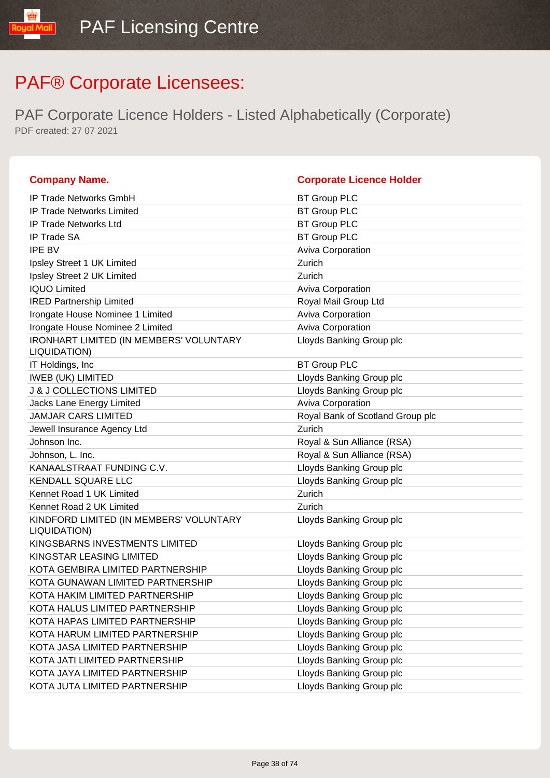| <b>Company Name.</b>                                           | <b>Corporate Licence Holder</b>  |
|----------------------------------------------------------------|----------------------------------|
| <b>IP Trade Networks GmbH</b>                                  | <b>BT Group PLC</b>              |
| <b>IP Trade Networks Limited</b>                               | <b>BT Group PLC</b>              |
| <b>IP Trade Networks Ltd</b>                                   | <b>BT Group PLC</b>              |
| <b>IP Trade SA</b>                                             | <b>BT Group PLC</b>              |
| <b>IPE BV</b>                                                  | <b>Aviva Corporation</b>         |
| Ipsley Street 1 UK Limited                                     | Zurich                           |
| Ipsley Street 2 UK Limited                                     | Zurich                           |
| <b>IQUO Limited</b>                                            | <b>Aviva Corporation</b>         |
| <b>IRED Partnership Limited</b>                                | Royal Mail Group Ltd             |
| Irongate House Nominee 1 Limited                               | <b>Aviva Corporation</b>         |
| Irongate House Nominee 2 Limited                               | Aviva Corporation                |
| <b>IRONHART LIMITED (IN MEMBERS' VOLUNTARY</b><br>LIQUIDATION) | Lloyds Banking Group plc         |
| IT Holdings, Inc.                                              | <b>BT Group PLC</b>              |
| <b>IWEB (UK) LIMITED</b>                                       | Lloyds Banking Group plc         |
| <b>J &amp; J COLLECTIONS LIMITED</b>                           | Lloyds Banking Group plc         |
| Jacks Lane Energy Limited                                      | <b>Aviva Corporation</b>         |
| <b>JAMJAR CARS LIMITED</b>                                     | Royal Bank of Scotland Group plc |
| Jewell Insurance Agency Ltd                                    | Zurich                           |
| Johnson Inc.                                                   | Royal & Sun Alliance (RSA)       |
| Johnson, L. Inc.                                               | Royal & Sun Alliance (RSA)       |
| KANAALSTRAAT FUNDING C.V.                                      | Lloyds Banking Group plc         |
| <b>KENDALL SQUARE LLC</b>                                      | Lloyds Banking Group plc         |
| Kennet Road 1 UK Limited                                       | Zurich                           |
| Kennet Road 2 UK Limited                                       | Zurich                           |
| KINDFORD LIMITED (IN MEMBERS' VOLUNTARY<br>LIQUIDATION)        | Lloyds Banking Group plc         |
| KINGSBARNS INVESTMENTS LIMITED                                 | Lloyds Banking Group plc         |
| KINGSTAR LEASING LIMITED                                       | Lloyds Banking Group plc         |
| KOTA GEMBIRA LIMITED PARTNERSHIP                               | Lloyds Banking Group plc         |
| KOTA GUNAWAN LIMITED PARTNERSHIP                               | Lloyds Banking Group plc         |
| KOTA HAKIM LIMITED PARTNERSHIP                                 | Lloyds Banking Group plc         |
| KOTA HALUS LIMITED PARTNERSHIP                                 | Lloyds Banking Group plc         |
| KOTA HAPAS LIMITED PARTNERSHIP                                 | Lloyds Banking Group plc         |
| KOTA HARUM LIMITED PARTNERSHIP                                 | Lloyds Banking Group plc         |
| KOTA JASA LIMITED PARTNERSHIP                                  | Lloyds Banking Group plc         |
| KOTA JATI LIMITED PARTNERSHIP                                  | Lloyds Banking Group plc         |
| KOTA JAYA LIMITED PARTNERSHIP                                  | Lloyds Banking Group plc         |
| KOTA JUTA LIMITED PARTNERSHIP                                  | Lloyds Banking Group plc         |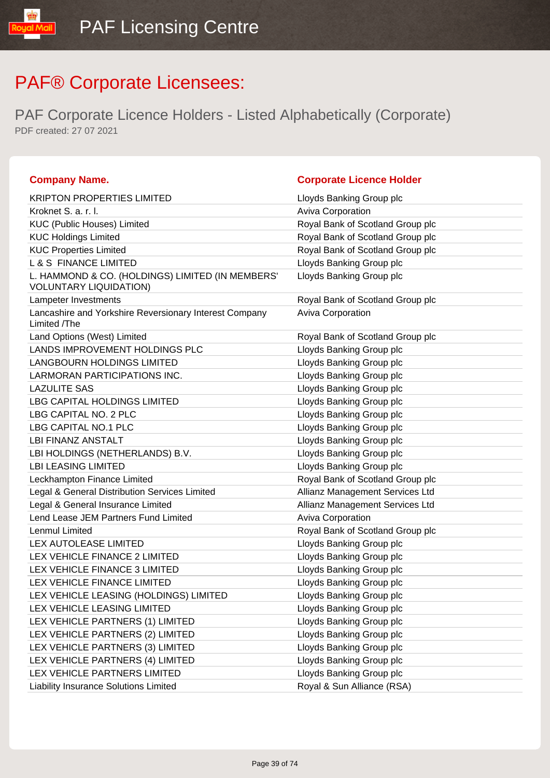| <b>Company Name.</b>                                                              | <b>Corporate Licence Holder</b>  |
|-----------------------------------------------------------------------------------|----------------------------------|
| <b>KRIPTON PROPERTIES LIMITED</b>                                                 | Lloyds Banking Group plc         |
| Kroknet S. a. r. l.                                                               | <b>Aviva Corporation</b>         |
| KUC (Public Houses) Limited                                                       | Royal Bank of Scotland Group plc |
| <b>KUC Holdings Limited</b>                                                       | Royal Bank of Scotland Group plc |
| <b>KUC Properties Limited</b>                                                     | Royal Bank of Scotland Group plc |
| <b>L &amp; S FINANCE LIMITED</b>                                                  | Lloyds Banking Group plc         |
| L. HAMMOND & CO. (HOLDINGS) LIMITED (IN MEMBERS'<br><b>VOLUNTARY LIQUIDATION)</b> | Lloyds Banking Group plc         |
| Lampeter Investments                                                              | Royal Bank of Scotland Group plc |
| Lancashire and Yorkshire Reversionary Interest Company<br>Limited /The            | Aviva Corporation                |
| Land Options (West) Limited                                                       | Royal Bank of Scotland Group plc |
| LANDS IMPROVEMENT HOLDINGS PLC                                                    | Lloyds Banking Group plc         |
| <b>LANGBOURN HOLDINGS LIMITED</b>                                                 | Lloyds Banking Group plc         |
| LARMORAN PARTICIPATIONS INC.                                                      | Lloyds Banking Group plc         |
| <b>LAZULITE SAS</b>                                                               | Lloyds Banking Group plc         |
| <b>LBG CAPITAL HOLDINGS LIMITED</b>                                               | Lloyds Banking Group plc         |
| LBG CAPITAL NO. 2 PLC                                                             | Lloyds Banking Group plc         |
| LBG CAPITAL NO.1 PLC                                                              | Lloyds Banking Group plc         |
| <b>LBI FINANZ ANSTALT</b>                                                         | Lloyds Banking Group plc         |
| LBI HOLDINGS (NETHERLANDS) B.V.                                                   | Lloyds Banking Group plc         |
| <b>LBI LEASING LIMITED</b>                                                        | Lloyds Banking Group plc         |
| Leckhampton Finance Limited                                                       | Royal Bank of Scotland Group plc |
| Legal & General Distribution Services Limited                                     | Allianz Management Services Ltd  |
| Legal & General Insurance Limited                                                 | Allianz Management Services Ltd  |
| Lend Lease JEM Partners Fund Limited                                              | Aviva Corporation                |
| Lenmul Limited                                                                    | Royal Bank of Scotland Group plc |
| LEX AUTOLEASE LIMITED                                                             | Lloyds Banking Group plc         |
| LEX VEHICLE FINANCE 2 LIMITED                                                     | Lloyds Banking Group plc         |
| LEX VEHICLE FINANCE 3 LIMITED                                                     | Lloyds Banking Group plc         |
| LEX VEHICLE FINANCE LIMITED                                                       | Lloyds Banking Group plc         |
| LEX VEHICLE LEASING (HOLDINGS) LIMITED                                            | Lloyds Banking Group plc         |
| LEX VEHICLE LEASING LIMITED                                                       | Lloyds Banking Group plc         |
| LEX VEHICLE PARTNERS (1) LIMITED                                                  | Lloyds Banking Group plc         |
| LEX VEHICLE PARTNERS (2) LIMITED                                                  | Lloyds Banking Group plc         |
| LEX VEHICLE PARTNERS (3) LIMITED                                                  | Lloyds Banking Group plc         |
| LEX VEHICLE PARTNERS (4) LIMITED                                                  | Lloyds Banking Group plc         |
| LEX VEHICLE PARTNERS LIMITED                                                      | Lloyds Banking Group plc         |
| Liability Insurance Solutions Limited                                             | Royal & Sun Alliance (RSA)       |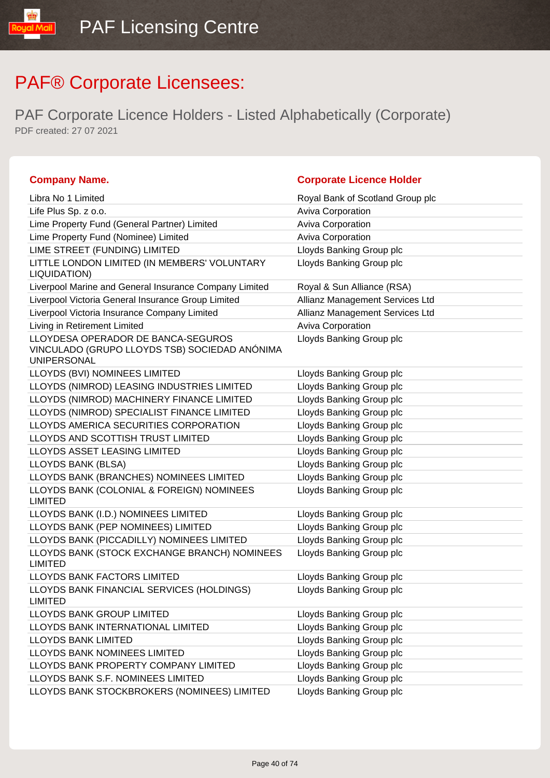lipM louo!

| <b>Company Name.</b>                                                                                      | <b>Corporate Licence Holder</b>  |
|-----------------------------------------------------------------------------------------------------------|----------------------------------|
| Libra No 1 Limited                                                                                        | Royal Bank of Scotland Group plc |
| Life Plus Sp. z o.o.                                                                                      | Aviva Corporation                |
| Lime Property Fund (General Partner) Limited                                                              | Aviva Corporation                |
| Lime Property Fund (Nominee) Limited                                                                      | <b>Aviva Corporation</b>         |
| LIME STREET (FUNDING) LIMITED                                                                             | Lloyds Banking Group plc         |
| LITTLE LONDON LIMITED (IN MEMBERS' VOLUNTARY<br>LIQUIDATION)                                              | Lloyds Banking Group plc         |
| Liverpool Marine and General Insurance Company Limited                                                    | Royal & Sun Alliance (RSA)       |
| Liverpool Victoria General Insurance Group Limited                                                        | Allianz Management Services Ltd  |
| Liverpool Victoria Insurance Company Limited                                                              | Allianz Management Services Ltd  |
| Living in Retirement Limited                                                                              | Aviva Corporation                |
| LLOYDESA OPERADOR DE BANCA-SEGUROS<br>VINCULADO (GRUPO LLOYDS TSB) SOCIEDAD ANÓNIMA<br><b>UNIPERSONAL</b> | Lloyds Banking Group plc         |
| LLOYDS (BVI) NOMINEES LIMITED                                                                             | Lloyds Banking Group plc         |
| LLOYDS (NIMROD) LEASING INDUSTRIES LIMITED                                                                | Lloyds Banking Group plc         |
| LLOYDS (NIMROD) MACHINERY FINANCE LIMITED                                                                 | Lloyds Banking Group plc         |
| LLOYDS (NIMROD) SPECIALIST FINANCE LIMITED                                                                | Lloyds Banking Group plc         |
| LLOYDS AMERICA SECURITIES CORPORATION                                                                     | Lloyds Banking Group plc         |
| LLOYDS AND SCOTTISH TRUST LIMITED                                                                         | Lloyds Banking Group plc         |
| LLOYDS ASSET LEASING LIMITED                                                                              | Lloyds Banking Group plc         |
| LLOYDS BANK (BLSA)                                                                                        | Lloyds Banking Group plc         |
| LLOYDS BANK (BRANCHES) NOMINEES LIMITED                                                                   | Lloyds Banking Group plc         |
| LLOYDS BANK (COLONIAL & FOREIGN) NOMINEES<br><b>LIMITED</b>                                               | Lloyds Banking Group plc         |
| LLOYDS BANK (I.D.) NOMINEES LIMITED                                                                       | Lloyds Banking Group plc         |
| LLOYDS BANK (PEP NOMINEES) LIMITED                                                                        | Lloyds Banking Group plc         |
| LLOYDS BANK (PICCADILLY) NOMINEES LIMITED                                                                 | Lloyds Banking Group plc         |
| LLOYDS BANK (STOCK EXCHANGE BRANCH) NOMINEES<br><b>LIMITED</b>                                            | Lloyds Banking Group plc         |
| LLOYDS BANK FACTORS LIMITED                                                                               | Lloyds Banking Group plc         |
| LLOYDS BANK FINANCIAL SERVICES (HOLDINGS)<br><b>LIMITED</b>                                               | Lloyds Banking Group plc         |
| LLOYDS BANK GROUP LIMITED                                                                                 | Lloyds Banking Group plc         |
| LLOYDS BANK INTERNATIONAL LIMITED                                                                         | Lloyds Banking Group plc         |
| <b>LLOYDS BANK LIMITED</b>                                                                                | Lloyds Banking Group plc         |
| LLOYDS BANK NOMINEES LIMITED                                                                              | Lloyds Banking Group plc         |
| LLOYDS BANK PROPERTY COMPANY LIMITED                                                                      | Lloyds Banking Group plc         |
| LLOYDS BANK S.F. NOMINEES LIMITED                                                                         | Lloyds Banking Group plc         |
| LLOYDS BANK STOCKBROKERS (NOMINEES) LIMITED                                                               | Lloyds Banking Group plc         |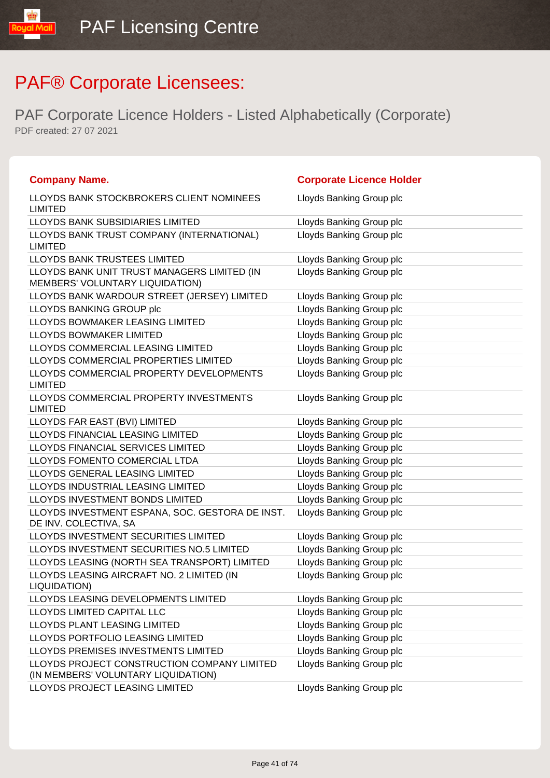| <b>Company Name.</b>                                                               | <b>Corporate Licence Holder</b> |
|------------------------------------------------------------------------------------|---------------------------------|
| LLOYDS BANK STOCKBROKERS CLIENT NOMINEES<br><b>LIMITED</b>                         | Lloyds Banking Group plc        |
| <b>LLOYDS BANK SUBSIDIARIES LIMITED</b>                                            | Lloyds Banking Group plc        |
| LLOYDS BANK TRUST COMPANY (INTERNATIONAL)<br><b>LIMITED</b>                        | Lloyds Banking Group plc        |
| LLOYDS BANK TRUSTEES LIMITED                                                       | Lloyds Banking Group plc        |
| LLOYDS BANK UNIT TRUST MANAGERS LIMITED (IN<br>MEMBERS' VOLUNTARY LIQUIDATION)     | Lloyds Banking Group plc        |
| LLOYDS BANK WARDOUR STREET (JERSEY) LIMITED                                        | Lloyds Banking Group plc        |
| LLOYDS BANKING GROUP plc                                                           | Lloyds Banking Group plc        |
| LLOYDS BOWMAKER LEASING LIMITED                                                    | Lloyds Banking Group plc        |
| LLOYDS BOWMAKER LIMITED                                                            | Lloyds Banking Group plc        |
| LLOYDS COMMERCIAL LEASING LIMITED                                                  | Lloyds Banking Group plc        |
| LLOYDS COMMERCIAL PROPERTIES LIMITED                                               | Lloyds Banking Group plc        |
| LLOYDS COMMERCIAL PROPERTY DEVELOPMENTS<br><b>LIMITED</b>                          | Lloyds Banking Group plc        |
| LLOYDS COMMERCIAL PROPERTY INVESTMENTS<br><b>LIMITED</b>                           | Lloyds Banking Group plc        |
| LLOYDS FAR EAST (BVI) LIMITED                                                      | Lloyds Banking Group plc        |
| LLOYDS FINANCIAL LEASING LIMITED                                                   | Lloyds Banking Group plc        |
| LLOYDS FINANCIAL SERVICES LIMITED                                                  | Lloyds Banking Group plc        |
| LLOYDS FOMENTO COMERCIAL LTDA                                                      | Lloyds Banking Group plc        |
| LLOYDS GENERAL LEASING LIMITED                                                     | Lloyds Banking Group plc        |
| LLOYDS INDUSTRIAL LEASING LIMITED                                                  | Lloyds Banking Group plc        |
| LLOYDS INVESTMENT BONDS LIMITED                                                    | Lloyds Banking Group plc        |
| LLOYDS INVESTMENT ESPANA, SOC. GESTORA DE INST.<br>DE INV. COLECTIVA, SA           | Lloyds Banking Group plc        |
| LLOYDS INVESTMENT SECURITIES LIMITED                                               | Lloyds Banking Group plc        |
| LLOYDS INVESTMENT SECURITIES NO.5 LIMITED                                          | Lloyds Banking Group plc        |
| LLOYDS LEASING (NORTH SEA TRANSPORT) LIMITED                                       | Lloyds Banking Group plc        |
| LLOYDS LEASING AIRCRAFT NO. 2 LIMITED (IN<br>LIQUIDATION)                          | Lloyds Banking Group plc        |
| LLOYDS LEASING DEVELOPMENTS LIMITED                                                | Lloyds Banking Group plc        |
| LLOYDS LIMITED CAPITAL LLC                                                         | Lloyds Banking Group plc        |
| LLOYDS PLANT LEASING LIMITED                                                       | Lloyds Banking Group plc        |
| LLOYDS PORTFOLIO LEASING LIMITED                                                   | Lloyds Banking Group plc        |
| LLOYDS PREMISES INVESTMENTS LIMITED                                                | Lloyds Banking Group plc        |
| LLOYDS PROJECT CONSTRUCTION COMPANY LIMITED<br>(IN MEMBERS' VOLUNTARY LIQUIDATION) | Lloyds Banking Group plc        |
| LLOYDS PROJECT LEASING LIMITED                                                     | Lloyds Banking Group plc        |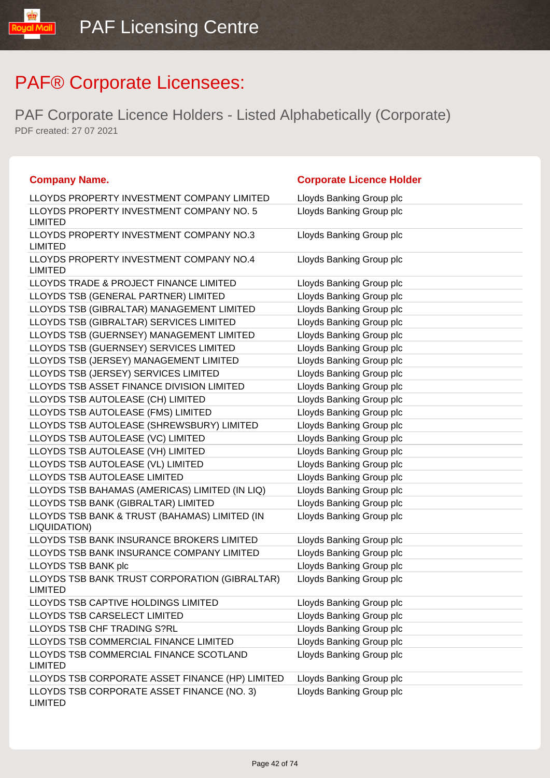| <b>Company Name.</b>                                            | <b>Corporate Licence Holder</b> |
|-----------------------------------------------------------------|---------------------------------|
| LLOYDS PROPERTY INVESTMENT COMPANY LIMITED                      | Lloyds Banking Group plc        |
| LLOYDS PROPERTY INVESTMENT COMPANY NO. 5<br><b>LIMITED</b>      | Lloyds Banking Group plc        |
| LLOYDS PROPERTY INVESTMENT COMPANY NO.3<br><b>LIMITED</b>       | Lloyds Banking Group plc        |
| LLOYDS PROPERTY INVESTMENT COMPANY NO.4<br><b>LIMITED</b>       | Lloyds Banking Group plc        |
| LLOYDS TRADE & PROJECT FINANCE LIMITED                          | Lloyds Banking Group plc        |
| LLOYDS TSB (GENERAL PARTNER) LIMITED                            | Lloyds Banking Group plc        |
| LLOYDS TSB (GIBRALTAR) MANAGEMENT LIMITED                       | Lloyds Banking Group plc        |
| LLOYDS TSB (GIBRALTAR) SERVICES LIMITED                         | Lloyds Banking Group plc        |
| LLOYDS TSB (GUERNSEY) MANAGEMENT LIMITED                        | Lloyds Banking Group plc        |
| LLOYDS TSB (GUERNSEY) SERVICES LIMITED                          | Lloyds Banking Group plc        |
| LLOYDS TSB (JERSEY) MANAGEMENT LIMITED                          | Lloyds Banking Group plc        |
| LLOYDS TSB (JERSEY) SERVICES LIMITED                            | Lloyds Banking Group plc        |
| LLOYDS TSB ASSET FINANCE DIVISION LIMITED                       | Lloyds Banking Group plc        |
| LLOYDS TSB AUTOLEASE (CH) LIMITED                               | Lloyds Banking Group plc        |
| LLOYDS TSB AUTOLEASE (FMS) LIMITED                              | Lloyds Banking Group plc        |
| LLOYDS TSB AUTOLEASE (SHREWSBURY) LIMITED                       | Lloyds Banking Group plc        |
| LLOYDS TSB AUTOLEASE (VC) LIMITED                               | Lloyds Banking Group plc        |
| LLOYDS TSB AUTOLEASE (VH) LIMITED                               | Lloyds Banking Group plc        |
| LLOYDS TSB AUTOLEASE (VL) LIMITED                               | Lloyds Banking Group plc        |
| LLOYDS TSB AUTOLEASE LIMITED                                    | Lloyds Banking Group plc        |
| LLOYDS TSB BAHAMAS (AMERICAS) LIMITED (IN LIQ)                  | Lloyds Banking Group plc        |
| LLOYDS TSB BANK (GIBRALTAR) LIMITED                             | Lloyds Banking Group plc        |
| LLOYDS TSB BANK & TRUST (BAHAMAS) LIMITED (IN<br>LIQUIDATION)   | Lloyds Banking Group plc        |
| LLOYDS TSB BANK INSURANCE BROKERS LIMITED                       | Lloyds Banking Group plc        |
| LLOYDS TSB BANK INSURANCE COMPANY LIMITED                       | Lloyds Banking Group plc        |
| LLOYDS TSB BANK plc                                             | Lloyds Banking Group plc        |
| LLOYDS TSB BANK TRUST CORPORATION (GIBRALTAR)<br><b>LIMITED</b> | Lloyds Banking Group plc        |
| LLOYDS TSB CAPTIVE HOLDINGS LIMITED                             | Lloyds Banking Group plc        |
| LLOYDS TSB CARSELECT LIMITED                                    | Lloyds Banking Group plc        |
| LLOYDS TSB CHF TRADING S?RL                                     | Lloyds Banking Group plc        |
| LLOYDS TSB COMMERCIAL FINANCE LIMITED                           | Lloyds Banking Group plc        |
| LLOYDS TSB COMMERCIAL FINANCE SCOTLAND<br><b>LIMITED</b>        | Lloyds Banking Group plc        |
| LLOYDS TSB CORPORATE ASSET FINANCE (HP) LIMITED                 | Lloyds Banking Group plc        |
| LLOYDS TSB CORPORATE ASSET FINANCE (NO. 3)<br><b>LIMITED</b>    | Lloyds Banking Group plc        |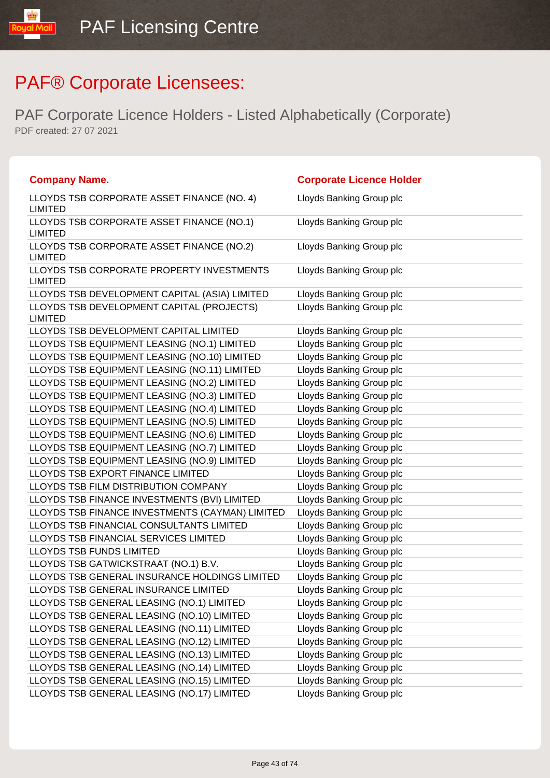| <b>Company Name.</b>                                         | <b>Corporate Licence Holder</b> |
|--------------------------------------------------------------|---------------------------------|
| LLOYDS TSB CORPORATE ASSET FINANCE (NO. 4)<br><b>LIMITED</b> | Lloyds Banking Group plc        |
| LLOYDS TSB CORPORATE ASSET FINANCE (NO.1)<br><b>LIMITED</b>  | Lloyds Banking Group plc        |
| LLOYDS TSB CORPORATE ASSET FINANCE (NO.2)<br><b>LIMITED</b>  | Lloyds Banking Group plc        |
| LLOYDS TSB CORPORATE PROPERTY INVESTMENTS<br><b>LIMITED</b>  | Lloyds Banking Group plc        |
| LLOYDS TSB DEVELOPMENT CAPITAL (ASIA) LIMITED                | Lloyds Banking Group plc        |
| LLOYDS TSB DEVELOPMENT CAPITAL (PROJECTS)<br><b>LIMITED</b>  | Lloyds Banking Group plc        |
| LLOYDS TSB DEVELOPMENT CAPITAL LIMITED                       | Lloyds Banking Group plc        |
| LLOYDS TSB EQUIPMENT LEASING (NO.1) LIMITED                  | Lloyds Banking Group plc        |
| LLOYDS TSB EQUIPMENT LEASING (NO.10) LIMITED                 | Lloyds Banking Group plc        |
| LLOYDS TSB EQUIPMENT LEASING (NO.11) LIMITED                 | Lloyds Banking Group plc        |
| LLOYDS TSB EQUIPMENT LEASING (NO.2) LIMITED                  | Lloyds Banking Group plc        |
| LLOYDS TSB EQUIPMENT LEASING (NO.3) LIMITED                  | Lloyds Banking Group plc        |
| LLOYDS TSB EQUIPMENT LEASING (NO.4) LIMITED                  | Lloyds Banking Group plc        |
| LLOYDS TSB EQUIPMENT LEASING (NO.5) LIMITED                  | Lloyds Banking Group plc        |
| LLOYDS TSB EQUIPMENT LEASING (NO.6) LIMITED                  | Lloyds Banking Group plc        |
| LLOYDS TSB EQUIPMENT LEASING (NO.7) LIMITED                  | Lloyds Banking Group plc        |
| LLOYDS TSB EQUIPMENT LEASING (NO.9) LIMITED                  | Lloyds Banking Group plc        |
| LLOYDS TSB EXPORT FINANCE LIMITED                            | Lloyds Banking Group plc        |
| LLOYDS TSB FILM DISTRIBUTION COMPANY                         | Lloyds Banking Group plc        |
| LLOYDS TSB FINANCE INVESTMENTS (BVI) LIMITED                 | Lloyds Banking Group plc        |
| LLOYDS TSB FINANCE INVESTMENTS (CAYMAN) LIMITED              | Lloyds Banking Group plc        |
| LLOYDS TSB FINANCIAL CONSULTANTS LIMITED                     | Lloyds Banking Group plc        |
| LLOYDS TSB FINANCIAL SERVICES LIMITED                        | Lloyds Banking Group plc        |
| <b>LLOYDS TSB FUNDS LIMITED</b>                              | Lloyds Banking Group plc        |
| LLOYDS TSB GATWICKSTRAAT (NO.1) B.V.                         | Lloyds Banking Group plc        |
| LLOYDS TSB GENERAL INSURANCE HOLDINGS LIMITED                | Lloyds Banking Group plc        |
| LLOYDS TSB GENERAL INSURANCE LIMITED                         | Lloyds Banking Group plc        |
| LLOYDS TSB GENERAL LEASING (NO.1) LIMITED                    | Lloyds Banking Group plc        |
| LLOYDS TSB GENERAL LEASING (NO.10) LIMITED                   | Lloyds Banking Group plc        |
| LLOYDS TSB GENERAL LEASING (NO.11) LIMITED                   | Lloyds Banking Group plc        |
| LLOYDS TSB GENERAL LEASING (NO.12) LIMITED                   | Lloyds Banking Group plc        |
| LLOYDS TSB GENERAL LEASING (NO.13) LIMITED                   | Lloyds Banking Group plc        |
| LLOYDS TSB GENERAL LEASING (NO.14) LIMITED                   | Lloyds Banking Group plc        |
| LLOYDS TSB GENERAL LEASING (NO.15) LIMITED                   | Lloyds Banking Group plc        |
| LLOYDS TSB GENERAL LEASING (NO.17) LIMITED                   | Lloyds Banking Group plc        |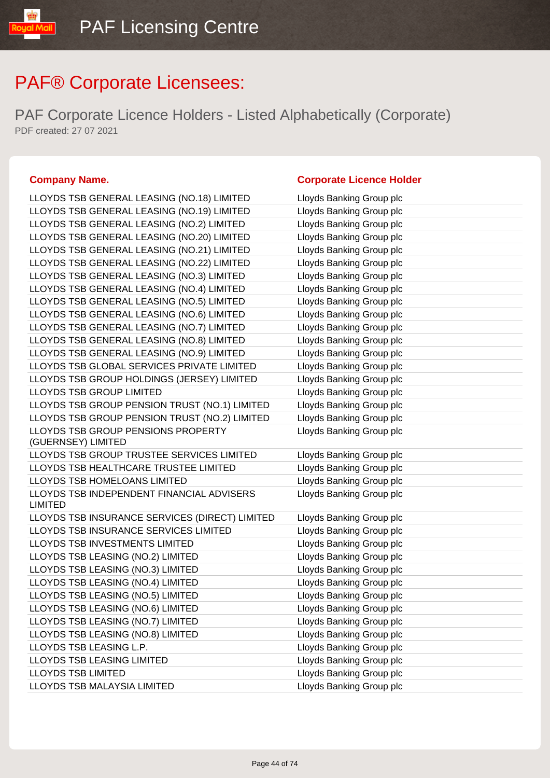PAF Corporate Licence Holders - Listed Alphabetically (Corporate) PDF created: 27 07 2021

LLOYDS TSB GENERAL LEASING (NO.18) LIMITED Lloyds Banking Group plc LLOYDS TSB GENERAL LEASING (NO.19) LIMITED Lloyds Banking Group plc LLOYDS TSB GEN LLOYDS TSB GEN LLOYDS TSB GEN LLOYDS TSB GEN LLOYDS TSB GEN LLOYDS TSB GEN LLOYDS TSB GEN LLOYDS TSB GEN LLOYDS TSB GEN LLOYDS TSB GEN LLOYDS TSB GEN LLOYDS TSB GLOI LLOYDS TSB GRO LLOYDS TSB GRO LLOYDS TSB GRO LLOYDS TSB GRO LLOYDS TSB GRO (GUERNSEY) LIMIT LLOYDS TSB GRO LLOYDS TSB HEAL LLOYDS TSB HOM LLOYDS TSB INDE LIMITED LLOYDS TSB INSU LLOYDS TSB INSU LLOYDS TSB INVE LLOYDS TSB LEAS LLOYDS TSB LEAS LLOYDS TSB LEAS LLOYDS TSB LEAS LLOYDS TSB LEAS LLOYDS TSB LEAS LLOYDS TSB LEAS LLOYDS TSB LEAS LLOYDS TSB LEAS LLOYDS TSB LIMIT

### **Company Name. Corporate Licence Holder**

| LLOYDS TSB GENERAL LEASING (NO.19) LIMITED     | Lloyds Banking Group pic |
|------------------------------------------------|--------------------------|
| LLOYDS TSB GENERAL LEASING (NO.2) LIMITED      | Lloyds Banking Group plc |
| LLOYDS TSB GENERAL LEASING (NO.20) LIMITED     | Lloyds Banking Group plc |
| LLOYDS TSB GENERAL LEASING (NO.21) LIMITED     | Lloyds Banking Group plc |
| LLOYDS TSB GENERAL LEASING (NO.22) LIMITED     | Lloyds Banking Group plc |
| LLOYDS TSB GENERAL LEASING (NO.3) LIMITED      | Lloyds Banking Group plc |
| LLOYDS TSB GENERAL LEASING (NO.4) LIMITED      | Lloyds Banking Group plc |
| LLOYDS TSB GENERAL LEASING (NO.5) LIMITED      | Lloyds Banking Group plc |
| LLOYDS TSB GENERAL LEASING (NO.6) LIMITED      | Lloyds Banking Group plc |
| LLOYDS TSB GENERAL LEASING (NO.7) LIMITED      | Lloyds Banking Group plc |
| LLOYDS TSB GENERAL LEASING (NO.8) LIMITED      | Lloyds Banking Group plc |
| LLOYDS TSB GENERAL LEASING (NO.9) LIMITED      | Lloyds Banking Group plc |
| LLOYDS TSB GLOBAL SERVICES PRIVATE LIMITED     | Lloyds Banking Group plc |
| LLOYDS TSB GROUP HOLDINGS (JERSEY) LIMITED     | Lloyds Banking Group plc |
| <b>LLOYDS TSB GROUP LIMITED</b>                | Lloyds Banking Group plc |
| LLOYDS TSB GROUP PENSION TRUST (NO.1) LIMITED  | Lloyds Banking Group plc |
| LLOYDS TSB GROUP PENSION TRUST (NO.2) LIMITED  | Lloyds Banking Group plc |
| LLOYDS TSB GROUP PENSIONS PROPERTY             | Lloyds Banking Group plc |
| (GUERNSEY) LIMITED                             |                          |
| LLOYDS TSB GROUP TRUSTEE SERVICES LIMITED      | Lloyds Banking Group plc |
| LLOYDS TSB HEALTHCARE TRUSTEE LIMITED          | Lloyds Banking Group plc |
| LLOYDS TSB HOMELOANS LIMITED                   | Lloyds Banking Group plc |
| LLOYDS TSB INDEPENDENT FINANCIAL ADVISERS      | Lloyds Banking Group plc |
| <b>LIMITED</b>                                 |                          |
| LLOYDS TSB INSURANCE SERVICES (DIRECT) LIMITED | Lloyds Banking Group plc |
| LLOYDS TSB INSURANCE SERVICES LIMITED          | Lloyds Banking Group plc |
| LLOYDS TSB INVESTMENTS LIMITED                 | Lloyds Banking Group plc |
| LLOYDS TSB LEASING (NO.2) LIMITED              | Lloyds Banking Group plc |
| LLOYDS TSB LEASING (NO.3) LIMITED              | Lloyds Banking Group plc |
| LLOYDS TSB LEASING (NO.4) LIMITED              | Lloyds Banking Group plc |
| LLOYDS TSB LEASING (NO.5) LIMITED              | Lloyds Banking Group plc |
| LLOYDS TSB LEASING (NO.6) LIMITED              | Lloyds Banking Group plc |
| LLOYDS TSB LEASING (NO.7) LIMITED              | Lloyds Banking Group plc |
| LLOYDS TSB LEASING (NO.8) LIMITED              | Lloyds Banking Group plc |
| LLOYDS TSB LEASING L.P.                        | Lloyds Banking Group plc |
| LLOYDS TSB LEASING LIMITED                     | Lloyds Banking Group plc |
| <b>LLOYDS TSB LIMITED</b>                      | Lloyds Banking Group plc |
| LLOYDS TSB MALAYSIA LIMITED                    | Lloyds Banking Group plc |
|                                                |                          |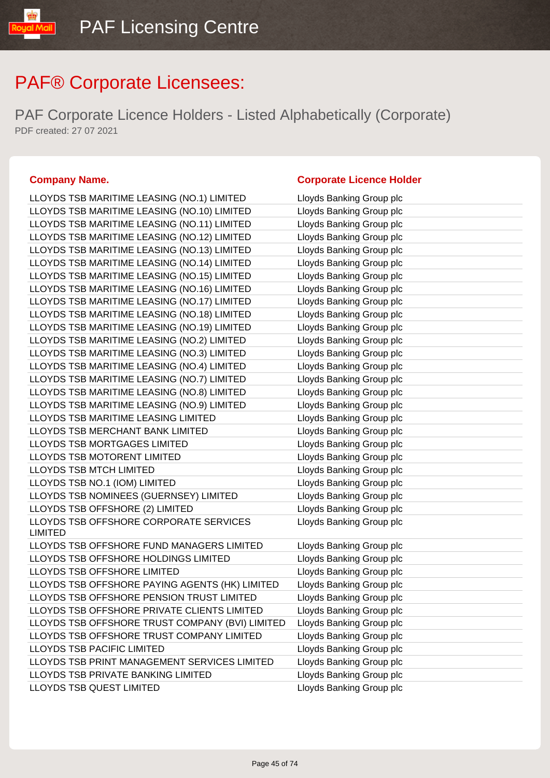PAF Corporate Licence Holders - Listed Alphabetically (Corporate) PDF created: 27 07 2021

linM Inu

| LLOYDS TSB MARITIME LEASING (NO.10) LIMITED       | Lloyds Banking Group plc |
|---------------------------------------------------|--------------------------|
| LLOYDS TSB MARITIME LEASING (NO.11) LIMITED       | Lloyds Banking Group plc |
| LLOYDS TSB MARITIME LEASING (NO.12) LIMITED       | Lloyds Banking Group plc |
| LLOYDS TSB MARITIME LEASING (NO.13) LIMITED       | Lloyds Banking Group plc |
| LLOYDS TSB MARITIME LEASING (NO.14) LIMITED       | Lloyds Banking Group plc |
| LLOYDS TSB MARITIME LEASING (NO.15) LIMITED       | Lloyds Banking Group plc |
| LLOYDS TSB MARITIME LEASING (NO.16) LIMITED       | Lloyds Banking Group plc |
| LLOYDS TSB MARITIME LEASING (NO.17) LIMITED       | Lloyds Banking Group plc |
| LLOYDS TSB MARITIME LEASING (NO.18) LIMITED       | Lloyds Banking Group plc |
| LLOYDS TSB MARITIME LEASING (NO.19) LIMITED       | Lloyds Banking Group plc |
| LLOYDS TSB MARITIME LEASING (NO.2) LIMITED        | Lloyds Banking Group plc |
| LLOYDS TSB MARITIME LEASING (NO.3) LIMITED        | Lloyds Banking Group plc |
| LLOYDS TSB MARITIME LEASING (NO.4) LIMITED        | Lloyds Banking Group plc |
| LLOYDS TSB MARITIME LEASING (NO.7) LIMITED        | Lloyds Banking Group plc |
| LLOYDS TSB MARITIME LEASING (NO.8) LIMITED        | Lloyds Banking Group plc |
| LLOYDS TSB MARITIME LEASING (NO.9) LIMITED        | Lloyds Banking Group plc |
| LLOYDS TSB MARITIME LEASING LIMITED               | Lloyds Banking Group plc |
| LLOYDS TSB MERCHANT BANK LIMITED                  | Lloyds Banking Group plc |
| LLOYDS TSB MORTGAGES LIMITED                      | Lloyds Banking Group plc |
| LLOYDS TSB MOTORENT LIMITED                       | Lloyds Banking Group plc |
| LLOYDS TSB MTCH LIMITED                           | Lloyds Banking Group plc |
| LLOYDS TSB NO.1 (IOM) LIMITED                     | Lloyds Banking Group plc |
| LLOYDS TSB NOMINEES (GUERNSEY) LIMITED            | Lloyds Banking Group plc |
| LLOYDS TSB OFFSHORE (2) LIMITED                   | Lloyds Banking Group plc |
| LLOYDS TSB OFFSHORE CORPORATE SERVICES<br>LIMITED | Lloyds Banking Group plc |
| LLOYDS TSB OFFSHORE FUND MANAGERS LIMITED         | Lloyds Banking Group plc |
| LLOYDS TSB OFFSHORE HOLDINGS LIMITED              | Lloyds Banking Group plc |
| LLOYDS TSB OFFSHORE LIMITED                       | Lloyds Banking Group plc |
| LLOYDS TSB OFFSHORE PAYING AGENTS (HK) LIMITED    | Lloyds Banking Group plc |
| LLOYDS TSB OFFSHORE PENSION TRUST LIMITED         | Lloyds Banking Group plc |
| LLOYDS TSB OFFSHORE PRIVATE CLIENTS LIMITED       | Lloyds Banking Group plc |
| LLOYDS TSB OFFSHORE TRUST COMPANY (BVI) LIMITED   | Lloyds Banking Group plc |
| LLOYDS TSB OFFSHORE TRUST COMPANY LIMITED         | Lloyds Banking Group plc |
| LLOYDS TSB PACIFIC LIMITED                        | Lloyds Banking Group plc |
| LLOYDS TSB PRINT MANAGEMENT SERVICES LIMITED      | Lloyds Banking Group plc |
| LLOYDS TSB PRIVATE BANKING LIMITED                | Lloyds Banking Group plc |
| <b>LLOYDS TSB QUEST LIMITED</b>                   | Lloyds Banking Group plc |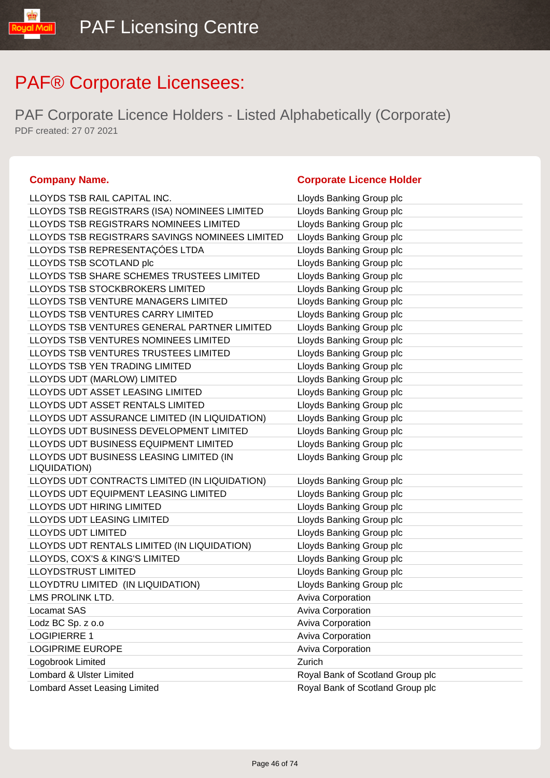| <b>Company Name.</b>                           | <b>Corporate Licence Holder</b>  |
|------------------------------------------------|----------------------------------|
| LLOYDS TSB RAIL CAPITAL INC.                   | Lloyds Banking Group plc         |
| LLOYDS TSB REGISTRARS (ISA) NOMINEES LIMITED   | Lloyds Banking Group plc         |
| LLOYDS TSB REGISTRARS NOMINEES LIMITED         | Lloyds Banking Group plc         |
| LLOYDS TSB REGISTRARS SAVINGS NOMINEES LIMITED | Lloyds Banking Group plc         |
| LLOYDS TSB REPRESENTAÇÕES LTDA                 | Lloyds Banking Group plc         |
| LLOYDS TSB SCOTLAND plc                        | Lloyds Banking Group plc         |
| LLOYDS TSB SHARE SCHEMES TRUSTEES LIMITED      | Lloyds Banking Group plc         |
| LLOYDS TSB STOCKBROKERS LIMITED                | Lloyds Banking Group plc         |
| LLOYDS TSB VENTURE MANAGERS LIMITED            | Lloyds Banking Group plc         |
| LLOYDS TSB VENTURES CARRY LIMITED              | Lloyds Banking Group plc         |
| LLOYDS TSB VENTURES GENERAL PARTNER LIMITED    | Lloyds Banking Group plc         |
| LLOYDS TSB VENTURES NOMINEES LIMITED           | Lloyds Banking Group plc         |
| LLOYDS TSB VENTURES TRUSTEES LIMITED           | Lloyds Banking Group plc         |
| <b>LLOYDS TSB YEN TRADING LIMITED</b>          | Lloyds Banking Group plc         |
| LLOYDS UDT (MARLOW) LIMITED                    | Lloyds Banking Group plc         |
| <b>LLOYDS UDT ASSET LEASING LIMITED</b>        | Lloyds Banking Group plc         |
| LLOYDS UDT ASSET RENTALS LIMITED               | Lloyds Banking Group plc         |
| LLOYDS UDT ASSURANCE LIMITED (IN LIQUIDATION)  | Lloyds Banking Group plc         |
| LLOYDS UDT BUSINESS DEVELOPMENT LIMITED        | Lloyds Banking Group plc         |
| LLOYDS UDT BUSINESS EQUIPMENT LIMITED          | Lloyds Banking Group plc         |
| LLOYDS UDT BUSINESS LEASING LIMITED (IN        | Lloyds Banking Group plc         |
| LIQUIDATION)                                   |                                  |
| LLOYDS UDT CONTRACTS LIMITED (IN LIQUIDATION)  | Lloyds Banking Group plc         |
| LLOYDS UDT EQUIPMENT LEASING LIMITED           | Lloyds Banking Group plc         |
| LLOYDS UDT HIRING LIMITED                      | Lloyds Banking Group plc         |
| <b>LLOYDS UDT LEASING LIMITED</b>              | Lloyds Banking Group plc         |
| <b>LLOYDS UDT LIMITED</b>                      | Lloyds Banking Group plc         |
| LLOYDS UDT RENTALS LIMITED (IN LIQUIDATION)    | Lloyds Banking Group plc         |
| LLOYDS, COX'S & KING'S LIMITED                 | Lloyds Banking Group plc         |
| <b>LLOYDSTRUST LIMITED</b>                     | Lloyds Banking Group plc         |
| LLOYDTRU LIMITED (IN LIQUIDATION)              | Lloyds Banking Group plc         |
| LMS PROLINK LTD.                               | Aviva Corporation                |
| Locamat SAS                                    | <b>Aviva Corporation</b>         |
| Lodz BC Sp. z o.o                              | <b>Aviva Corporation</b>         |
| <b>LOGIPIERRE 1</b>                            | Aviva Corporation                |
| <b>LOGIPRIME EUROPE</b>                        | Aviva Corporation                |
| Logobrook Limited                              | Zurich                           |
| Lombard & Ulster Limited                       | Royal Bank of Scotland Group plc |
| Lombard Asset Leasing Limited                  | Royal Bank of Scotland Group plc |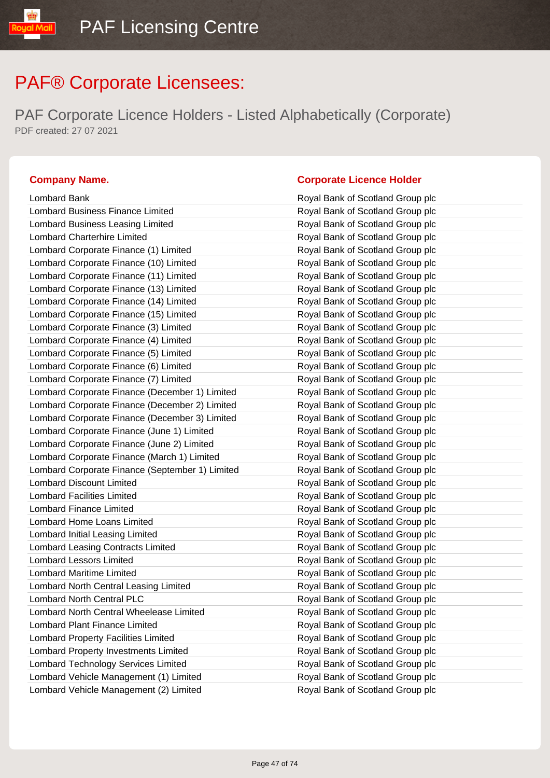PAF Corporate Licence Holders - Listed Alphabetically (Corporate) PDF created: 27 07 2021

| Lombard Bank                                    | Royal Bank of Scotland Group plc |
|-------------------------------------------------|----------------------------------|
| <b>Lombard Business Finance Limited</b>         | Royal Bank of Scotland Group plc |
| Lombard Business Leasing Limited                | Royal Bank of Scotland Group plc |
| <b>Lombard Charterhire Limited</b>              | Royal Bank of Scotland Group plc |
| Lombard Corporate Finance (1) Limited           | Royal Bank of Scotland Group plc |
| Lombard Corporate Finance (10) Limited          | Royal Bank of Scotland Group plc |
| Lombard Corporate Finance (11) Limited          | Royal Bank of Scotland Group plc |
| Lombard Corporate Finance (13) Limited          | Royal Bank of Scotland Group plc |
| Lombard Corporate Finance (14) Limited          | Royal Bank of Scotland Group plc |
| Lombard Corporate Finance (15) Limited          | Royal Bank of Scotland Group plc |
| Lombard Corporate Finance (3) Limited           | Royal Bank of Scotland Group plc |
| Lombard Corporate Finance (4) Limited           | Royal Bank of Scotland Group plc |
| Lombard Corporate Finance (5) Limited           | Royal Bank of Scotland Group plc |
| Lombard Corporate Finance (6) Limited           | Royal Bank of Scotland Group plc |
| Lombard Corporate Finance (7) Limited           | Royal Bank of Scotland Group plc |
| Lombard Corporate Finance (December 1) Limited  | Royal Bank of Scotland Group plc |
| Lombard Corporate Finance (December 2) Limited  | Royal Bank of Scotland Group plc |
| Lombard Corporate Finance (December 3) Limited  | Royal Bank of Scotland Group plc |
| Lombard Corporate Finance (June 1) Limited      | Royal Bank of Scotland Group plc |
| Lombard Corporate Finance (June 2) Limited      | Royal Bank of Scotland Group plc |
| Lombard Corporate Finance (March 1) Limited     | Royal Bank of Scotland Group plc |
| Lombard Corporate Finance (September 1) Limited | Royal Bank of Scotland Group plc |
| <b>Lombard Discount Limited</b>                 | Royal Bank of Scotland Group plc |
| <b>Lombard Facilities Limited</b>               | Royal Bank of Scotland Group plc |
| <b>Lombard Finance Limited</b>                  | Royal Bank of Scotland Group plc |
| Lombard Home Loans Limited                      | Royal Bank of Scotland Group plc |
| Lombard Initial Leasing Limited                 | Royal Bank of Scotland Group plc |
| <b>Lombard Leasing Contracts Limited</b>        | Royal Bank of Scotland Group plc |
| <b>Lombard Lessors Limited</b>                  | Royal Bank of Scotland Group plc |
| <b>Lombard Maritime Limited</b>                 | Royal Bank of Scotland Group plc |
| Lombard North Central Leasing Limited           | Royal Bank of Scotland Group plc |
| <b>Lombard North Central PLC</b>                | Royal Bank of Scotland Group plc |
| Lombard North Central Wheelease Limited         | Royal Bank of Scotland Group plc |
| <b>Lombard Plant Finance Limited</b>            | Royal Bank of Scotland Group plc |
| <b>Lombard Property Facilities Limited</b>      | Royal Bank of Scotland Group plc |
| Lombard Property Investments Limited            | Royal Bank of Scotland Group plc |
| Lombard Technology Services Limited             | Royal Bank of Scotland Group plc |
| Lombard Vehicle Management (1) Limited          | Royal Bank of Scotland Group plc |

| Lombard Bank                                    | Royal Bank of Scotland Group plc |
|-------------------------------------------------|----------------------------------|
| Lombard Business Finance Limited                | Royal Bank of Scotland Group plc |
| Lombard Business Leasing Limited                | Royal Bank of Scotland Group plc |
| <b>Lombard Charterhire Limited</b>              | Royal Bank of Scotland Group plc |
| Lombard Corporate Finance (1) Limited           | Royal Bank of Scotland Group plc |
| Lombard Corporate Finance (10) Limited          | Royal Bank of Scotland Group plc |
| Lombard Corporate Finance (11) Limited          | Royal Bank of Scotland Group plc |
| Lombard Corporate Finance (13) Limited          | Royal Bank of Scotland Group plc |
| Lombard Corporate Finance (14) Limited          | Royal Bank of Scotland Group plc |
| Lombard Corporate Finance (15) Limited          | Royal Bank of Scotland Group plc |
| Lombard Corporate Finance (3) Limited           | Royal Bank of Scotland Group plc |
| Lombard Corporate Finance (4) Limited           | Royal Bank of Scotland Group plc |
| Lombard Corporate Finance (5) Limited           | Royal Bank of Scotland Group plc |
| Lombard Corporate Finance (6) Limited           | Royal Bank of Scotland Group plc |
| Lombard Corporate Finance (7) Limited           | Royal Bank of Scotland Group plc |
| Lombard Corporate Finance (December 1) Limited  | Royal Bank of Scotland Group plc |
| Lombard Corporate Finance (December 2) Limited  | Royal Bank of Scotland Group plc |
| Lombard Corporate Finance (December 3) Limited  | Royal Bank of Scotland Group plc |
| Lombard Corporate Finance (June 1) Limited      | Royal Bank of Scotland Group plc |
| Lombard Corporate Finance (June 2) Limited      | Royal Bank of Scotland Group plc |
| Lombard Corporate Finance (March 1) Limited     | Royal Bank of Scotland Group plc |
| Lombard Corporate Finance (September 1) Limited | Royal Bank of Scotland Group plc |
| <b>Lombard Discount Limited</b>                 | Royal Bank of Scotland Group plc |
| <b>Lombard Facilities Limited</b>               | Royal Bank of Scotland Group plc |
| <b>Lombard Finance Limited</b>                  | Royal Bank of Scotland Group plc |
| Lombard Home Loans Limited                      | Royal Bank of Scotland Group plc |
| Lombard Initial Leasing Limited                 | Royal Bank of Scotland Group plc |
| Lombard Leasing Contracts Limited               | Royal Bank of Scotland Group plc |
| <b>Lombard Lessors Limited</b>                  | Royal Bank of Scotland Group plc |
| <b>Lombard Maritime Limited</b>                 | Royal Bank of Scotland Group plc |
| Lombard North Central Leasing Limited           | Royal Bank of Scotland Group plc |
| <b>Lombard North Central PLC</b>                | Royal Bank of Scotland Group plc |
| Lombard North Central Wheelease Limited         | Royal Bank of Scotland Group plc |
| <b>Lombard Plant Finance Limited</b>            | Royal Bank of Scotland Group plc |
| Lombard Property Facilities Limited             | Royal Bank of Scotland Group plc |
| <b>Lombard Property Investments Limited</b>     | Royal Bank of Scotland Group plc |
| Lombard Technology Services Limited             | Royal Bank of Scotland Group plc |
| Lombard Vehicle Management (1) Limited          | Royal Bank of Scotland Group plc |
| Lombard Vehicle Management (2) Limited          | Royal Bank of Scotland Group plc |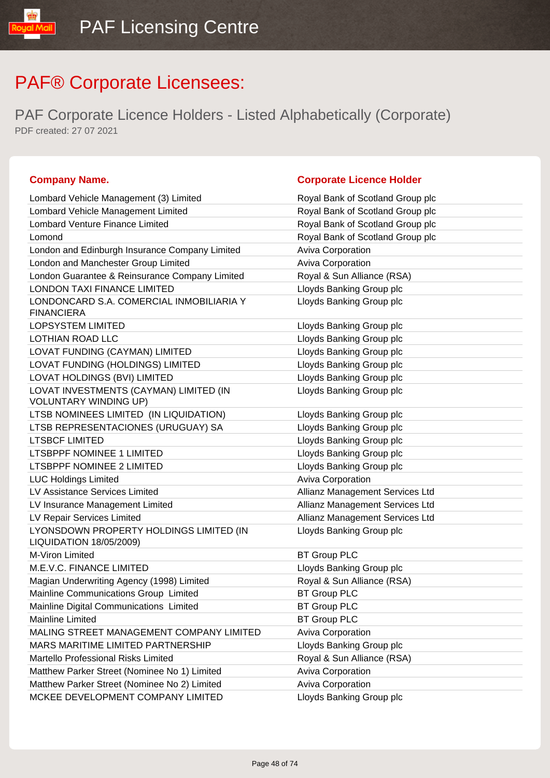PAF Corporate Licence Holders - Listed Alphabetically (Corporate) PDF created: 27 07 2021

| Lombard Vehicle Management (3) Limited                                    | Royal Bank of Scotland Group plc |
|---------------------------------------------------------------------------|----------------------------------|
| Lombard Vehicle Management Limited                                        | Royal Bank of Scotland Group plc |
| <b>Lombard Venture Finance Limited</b>                                    | Royal Bank of Scotland Group plc |
| Lomond                                                                    | Royal Bank of Scotland Group plc |
| London and Edinburgh Insurance Company Limited                            | Aviva Corporation                |
| London and Manchester Group Limited                                       | Aviva Corporation                |
| London Guarantee & Reinsurance Company Limited                            | Royal & Sun Alliance (RSA)       |
| <b>LONDON TAXI FINANCE LIMITED</b>                                        | Lloyds Banking Group plc         |
| LONDONCARD S.A. COMERCIAL INMOBILIARIA Y<br><b>FINANCIERA</b>             | Lloyds Banking Group plc         |
| LOPSYSTEM LIMITED                                                         | Lloyds Banking Group plc         |
| LOTHIAN ROAD LLC                                                          | Lloyds Banking Group plc         |
| LOVAT FUNDING (CAYMAN) LIMITED                                            | Lloyds Banking Group plc         |
| LOVAT FUNDING (HOLDINGS) LIMITED                                          | Lloyds Banking Group plc         |
| LOVAT HOLDINGS (BVI) LIMITED                                              | Lloyds Banking Group plc         |
| LOVAT INVESTMENTS (CAYMAN) LIMITED (IN<br><b>VOLUNTARY WINDING UP)</b>    | Lloyds Banking Group plc         |
| LTSB NOMINEES LIMITED (IN LIQUIDATION)                                    | Lloyds Banking Group plc         |
| LTSB REPRESENTACIONES (URUGUAY) SA                                        | Lloyds Banking Group plc         |
| <b>LTSBCF LIMITED</b>                                                     | Lloyds Banking Group plc         |
| <b>LTSBPPF NOMINEE 1 LIMITED</b>                                          | Lloyds Banking Group plc         |
| LTSBPPF NOMINEE 2 LIMITED                                                 | Lloyds Banking Group plc         |
| <b>LUC Holdings Limited</b>                                               | Aviva Corporation                |
| LV Assistance Services Limited                                            | Allianz Management Services Ltd  |
| LV Insurance Management Limited                                           | Allianz Management Services Ltd  |
| LV Repair Services Limited                                                | Allianz Management Services Ltd  |
| LYONSDOWN PROPERTY HOLDINGS LIMITED (IN<br><b>LIQUIDATION 18/05/2009)</b> | Lloyds Banking Group plc         |
| M-Viron Limited                                                           | <b>BT Group PLC</b>              |
| M.E.V.C. FINANCE LIMITED                                                  | Lloyds Banking Group plc         |
| Magian Underwriting Agency (1998) Limited                                 | Royal & Sun Alliance (RSA)       |
| Mainline Communications Group Limited                                     | <b>BT Group PLC</b>              |
| Mainline Digital Communications Limited                                   | <b>BT Group PLC</b>              |
| Mainline Limited                                                          | <b>BT Group PLC</b>              |
| MALING STREET MANAGEMENT COMPANY LIMITED                                  | <b>Aviva Corporation</b>         |
| MARS MARITIME LIMITED PARTNERSHIP                                         | Lloyds Banking Group plc         |
| Martello Professional Risks Limited                                       | Royal & Sun Alliance (RSA)       |
| Matthew Parker Street (Nominee No 1) Limited                              | <b>Aviva Corporation</b>         |
| Matthew Parker Street (Nominee No 2) Limited                              | <b>Aviva Corporation</b>         |
| MCKEE DEVELOPMENT COMPANY LIMITED                                         | Lloyds Banking Group plc         |

| Royal Bank of Scotland Group plc |
|----------------------------------|
| Royal Bank of Scotland Group plc |
| Royal Bank of Scotland Group plc |
| Royal Bank of Scotland Group plc |
| <b>Aviva Corporation</b>         |
| <b>Aviva Corporation</b>         |
| Royal & Sun Alliance (RSA)       |
| Lloyds Banking Group plc         |
| Lloyds Banking Group plc         |
| Lloyds Banking Group plc         |
| Lloyds Banking Group plc         |
| Lloyds Banking Group plc         |
| Lloyds Banking Group plc         |
| Lloyds Banking Group plc         |
| Lloyds Banking Group plc         |
| Lloyds Banking Group plc         |
| Lloyds Banking Group plc         |
| Lloyds Banking Group plc         |
| Lloyds Banking Group plc         |
| Lloyds Banking Group plc         |
| <b>Aviva Corporation</b>         |
| Allianz Management Services Ltd  |
| Allianz Management Services Ltd  |
| Allianz Management Services Ltd  |
| Lloyds Banking Group plc         |
| <b>BT Group PLC</b>              |
| Lloyds Banking Group plc         |
| Royal & Sun Alliance (RSA)       |
| <b>BT Group PLC</b>              |
| <b>BT Group PLC</b>              |
| <b>BT Group PLC</b>              |
| <b>Aviva Corporation</b>         |
| Lloyds Banking Group plc         |
| Royal & Sun Alliance (RSA)       |
| <b>Aviva Corporation</b>         |
| <b>Aviva Corporation</b>         |
| Lloyds Banking Group plc         |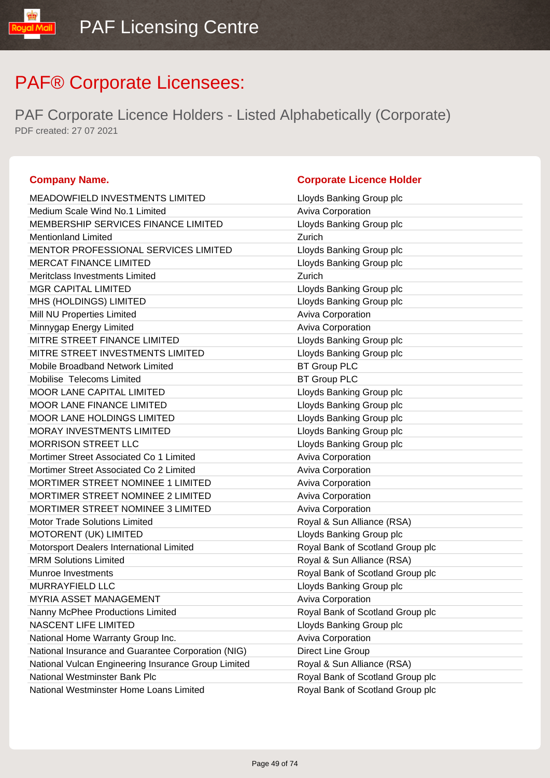PAF Corporate Licence Holders - Listed Alphabetically (Corporate) PDF created: 27 07 2021

### **Company Name. Company Name. Company Name. Company Name. Company Name. Company Name. Company Name. Company Name. Company Name. Company Name. Company Name. Company Name. Company Name. Company Name.**

IibM loud

| <b>MEADOWFIELD INVESTMENTS LIMITED</b>              | Lloyds Banking Group plc         |
|-----------------------------------------------------|----------------------------------|
| Medium Scale Wind No.1 Limited                      | <b>Aviva Corporation</b>         |
| MEMBERSHIP SERVICES FINANCE LIMITED                 | Lloyds Banking Group plc         |
| <b>Mentionland Limited</b>                          | Zurich                           |
| MENTOR PROFESSIONAL SERVICES LIMITED                | Lloyds Banking Group plc         |
| <b>MERCAT FINANCE LIMITED</b>                       | Lloyds Banking Group plc         |
| Meritclass Investments Limited                      | Zurich                           |
| <b>MGR CAPITAL LIMITED</b>                          | Lloyds Banking Group plc         |
| MHS (HOLDINGS) LIMITED                              | Lloyds Banking Group plc         |
| Mill NU Properties Limited                          | Aviva Corporation                |
| Minnygap Energy Limited                             | Aviva Corporation                |
| MITRE STREET FINANCE LIMITED                        | Lloyds Banking Group plc         |
| MITRE STREET INVESTMENTS LIMITED                    | Lloyds Banking Group plc         |
| Mobile Broadband Network Limited                    | <b>BT Group PLC</b>              |
| Mobilise Telecoms Limited                           | <b>BT Group PLC</b>              |
| <b>MOOR LANE CAPITAL LIMITED</b>                    | Lloyds Banking Group plc         |
| <b>MOOR LANE FINANCE LIMITED</b>                    | Lloyds Banking Group plc         |
| <b>MOOR LANE HOLDINGS LIMITED</b>                   | Lloyds Banking Group plc         |
| <b>MORAY INVESTMENTS LIMITED</b>                    | Lloyds Banking Group plc         |
| <b>MORRISON STREET LLC</b>                          | Lloyds Banking Group plc         |
| Mortimer Street Associated Co 1 Limited             | Aviva Corporation                |
| Mortimer Street Associated Co 2 Limited             | Aviva Corporation                |
| MORTIMER STREET NOMINEE 1 LIMITED                   | <b>Aviva Corporation</b>         |
| MORTIMER STREET NOMINEE 2 LIMITED                   | <b>Aviva Corporation</b>         |
| <b>MORTIMER STREET NOMINEE 3 LIMITED</b>            | Aviva Corporation                |
| <b>Motor Trade Solutions Limited</b>                | Royal & Sun Alliance (RSA)       |
| MOTORENT (UK) LIMITED                               | Lloyds Banking Group plc         |
| Motorsport Dealers International Limited            | Royal Bank of Scotland Group plc |
| <b>MRM Solutions Limited</b>                        | Royal & Sun Alliance (RSA)       |
| <b>Munroe Investments</b>                           | Royal Bank of Scotland Group plc |
| MURRAYFIELD LLC                                     | Lloyds Banking Group plc         |
| <b>MYRIA ASSET MANAGEMENT</b>                       | Aviva Corporation                |
| Nanny McPhee Productions Limited                    | Royal Bank of Scotland Group plc |
| NASCENT LIFE LIMITED                                | Lloyds Banking Group plc         |
| National Home Warranty Group Inc.                   | <b>Aviva Corporation</b>         |
| National Insurance and Guarantee Corporation (NIG)  | Direct Line Group                |
| National Vulcan Engineering Insurance Group Limited | Royal & Sun Alliance (RSA)       |
| National Westminster Bank Plc                       | Royal Bank of Scotland Group plc |
| National Westminster Home Loans Limited             | Royal Bank of Scotland Group plc |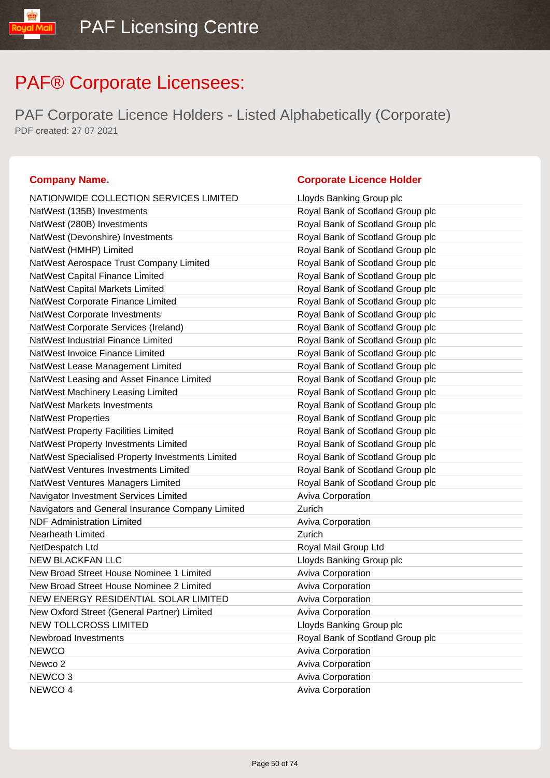PAF Corporate Licence Holders - Listed Alphabetically (Corporate) PDF created: 27 07 2021

### **Company Name. Company Name. Company Name. Company Name. Company Name. Company Name. Company Name. Company Name. Company Name. Company Name. Company Name. Company Name. Company Name. Company Name.**

byal Mail

| NATIONWIDE COLLECTION SERVICES LIMITED           | Lloyds Banking Group plc         |
|--------------------------------------------------|----------------------------------|
| NatWest (135B) Investments                       | Royal Bank of Scotland Group plc |
| NatWest (280B) Investments                       | Royal Bank of Scotland Group plc |
| NatWest (Devonshire) Investments                 | Royal Bank of Scotland Group plc |
| NatWest (HMHP) Limited                           | Royal Bank of Scotland Group plc |
| NatWest Aerospace Trust Company Limited          | Royal Bank of Scotland Group plc |
| NatWest Capital Finance Limited                  | Royal Bank of Scotland Group plc |
| NatWest Capital Markets Limited                  | Royal Bank of Scotland Group plc |
| NatWest Corporate Finance Limited                | Royal Bank of Scotland Group plc |
| <b>NatWest Corporate Investments</b>             | Royal Bank of Scotland Group plc |
| NatWest Corporate Services (Ireland)             | Royal Bank of Scotland Group plc |
| NatWest Industrial Finance Limited               | Royal Bank of Scotland Group plc |
| NatWest Invoice Finance Limited                  | Royal Bank of Scotland Group plc |
| NatWest Lease Management Limited                 | Royal Bank of Scotland Group plc |
| NatWest Leasing and Asset Finance Limited        | Royal Bank of Scotland Group plc |
| NatWest Machinery Leasing Limited                | Royal Bank of Scotland Group plc |
| <b>NatWest Markets Investments</b>               | Royal Bank of Scotland Group plc |
| <b>NatWest Properties</b>                        | Royal Bank of Scotland Group plc |
| NatWest Property Facilities Limited              | Royal Bank of Scotland Group plc |
| NatWest Property Investments Limited             | Royal Bank of Scotland Group plc |
| NatWest Specialised Property Investments Limited | Royal Bank of Scotland Group plc |
| NatWest Ventures Investments Limited             | Royal Bank of Scotland Group plc |
| NatWest Ventures Managers Limited                | Royal Bank of Scotland Group plc |
| Navigator Investment Services Limited            | Aviva Corporation                |
| Navigators and General Insurance Company Limited | Zurich                           |
| <b>NDF Administration Limited</b>                | <b>Aviva Corporation</b>         |
| Nearheath Limited                                | Zurich                           |
| NetDespatch Ltd                                  | Royal Mail Group Ltd             |
| <b>NEW BLACKFAN LLC</b>                          | Lloyds Banking Group plc         |
| New Broad Street House Nominee 1 Limited         | Aviva Corporation                |
| New Broad Street House Nominee 2 Limited         | Aviva Corporation                |
| NEW ENERGY RESIDENTIAL SOLAR LIMITED             | Aviva Corporation                |
| New Oxford Street (General Partner) Limited      | Aviva Corporation                |
| <b>NEW TOLLCROSS LIMITED</b>                     | Lloyds Banking Group plc         |
| Newbroad Investments                             | Royal Bank of Scotland Group plc |
| <b>NEWCO</b>                                     | <b>Aviva Corporation</b>         |
| Newco <sub>2</sub>                               | Aviva Corporation                |
| NEWCO <sub>3</sub>                               | Aviva Corporation                |
| NEWCO 4                                          | <b>Aviva Corporation</b>         |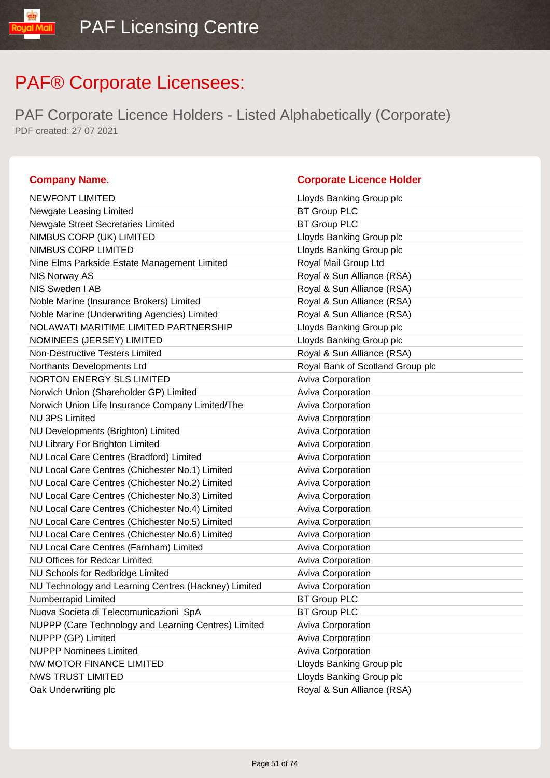linM Inu

| <b>Company Name.</b>                                 | <b>Corporate Licence Holder</b>  |
|------------------------------------------------------|----------------------------------|
| <b>NEWFONT LIMITED</b>                               | Lloyds Banking Group plc         |
| Newgate Leasing Limited                              | <b>BT Group PLC</b>              |
| <b>Newgate Street Secretaries Limited</b>            | <b>BT Group PLC</b>              |
| NIMBUS CORP (UK) LIMITED                             | Lloyds Banking Group plc         |
| NIMBUS CORP LIMITED                                  | Lloyds Banking Group plc         |
| Nine Elms Parkside Estate Management Limited         | Royal Mail Group Ltd             |
| NIS Norway AS                                        | Royal & Sun Alliance (RSA)       |
| NIS Sweden I AB                                      | Royal & Sun Alliance (RSA)       |
| Noble Marine (Insurance Brokers) Limited             | Royal & Sun Alliance (RSA)       |
| Noble Marine (Underwriting Agencies) Limited         | Royal & Sun Alliance (RSA)       |
| NOLAWATI MARITIME LIMITED PARTNERSHIP                | Lloyds Banking Group plc         |
| NOMINEES (JERSEY) LIMITED                            | Lloyds Banking Group plc         |
| Non-Destructive Testers Limited                      | Royal & Sun Alliance (RSA)       |
| Northants Developments Ltd                           | Royal Bank of Scotland Group plc |
| NORTON ENERGY SLS LIMITED                            | Aviva Corporation                |
| Norwich Union (Shareholder GP) Limited               | Aviva Corporation                |
| Norwich Union Life Insurance Company Limited/The     | <b>Aviva Corporation</b>         |
| <b>NU 3PS Limited</b>                                | <b>Aviva Corporation</b>         |
| NU Developments (Brighton) Limited                   | <b>Aviva Corporation</b>         |
| NU Library For Brighton Limited                      | <b>Aviva Corporation</b>         |
| NU Local Care Centres (Bradford) Limited             | Aviva Corporation                |
| NU Local Care Centres (Chichester No.1) Limited      | Aviva Corporation                |
| NU Local Care Centres (Chichester No.2) Limited      | Aviva Corporation                |
| NU Local Care Centres (Chichester No.3) Limited      | Aviva Corporation                |
| NU Local Care Centres (Chichester No.4) Limited      | <b>Aviva Corporation</b>         |
| NU Local Care Centres (Chichester No.5) Limited      | <b>Aviva Corporation</b>         |
| NU Local Care Centres (Chichester No.6) Limited      | <b>Aviva Corporation</b>         |
| NU Local Care Centres (Farnham) Limited              | Aviva Corporation                |
| <b>NU Offices for Redcar Limited</b>                 | <b>Aviva Corporation</b>         |
| NU Schools for Redbridge Limited                     | Aviva Corporation                |
| NU Technology and Learning Centres (Hackney) Limited | <b>Aviva Corporation</b>         |
| Numberrapid Limited                                  | <b>BT Group PLC</b>              |
| Nuova Societa di Telecomunicazioni SpA               | <b>BT Group PLC</b>              |
| NUPPP (Care Technology and Learning Centres) Limited | Aviva Corporation                |
| NUPPP (GP) Limited                                   | <b>Aviva Corporation</b>         |
| <b>NUPPP Nominees Limited</b>                        | Aviva Corporation                |
| NW MOTOR FINANCE LIMITED                             | Lloyds Banking Group plc         |
| <b>NWS TRUST LIMITED</b>                             | Lloyds Banking Group plc         |
| Oak Underwriting plc                                 | Royal & Sun Alliance (RSA)       |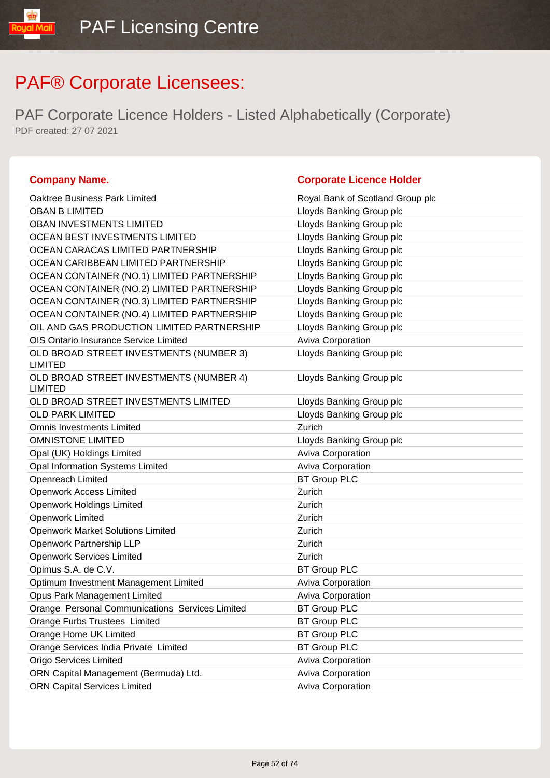PAF Corporate Licence Holders - Listed Alphabetically (Corporate) PDF created: 27 07 2021

### **Company Name. Corporate Licence Holder** Oaktree Business Park Limited Royal Bank of Scotland Group plc OBAN B LIMITED **Letter COBAN B LIMITED Lloyds Banking Group plc** OBAN INVESTMENTS LIMITED LATER LATER LIMITED LOYDIS Banking Group plc OCEAN BEST INVESTMENTS LIMITED Law Lloyds Banking Group plc OCEAN CARACAS LIMITED PARTNERSHIP Lloyds Banking Group plc OCEAN CARIBBEAN LIMITED PARTNERSHIP Lloyds Banking Group plc OCEAN CONTAINER (NO.1) LIMITED PARTNERSHIP Lloyds Banking Group plc OCEAN CONTAINER (NO.2) LIMITED PARTNERSHIP Lloyds Banking Group plc OCEAN CONTAINER (NO.3) LIMITED PARTNERSHIP Lloyds Banking Group plc OCEAN CONTAINER (NO.4) LIMITED PARTNERSHIP Lloyds Banking Group plc OIL AND GAS PRODUCTION LIMITED PARTNERSHIP Lloyds Banking Group plc OIS Ontario Insurance Service Limited **Aviva Corporation** Aviva Corporation OLD BROAD STREET INVESTMENTS (NUMBER 3) LIMITED Lloyds Banking Group plc OLD BROAD STREET INVESTMENTS (NUMBER 4) LIMITED Lloyds Banking Group plc OLD BROAD STREET INVESTMENTS LIMITED Loyds Banking Group plc OLD PARK LIMITED **Let us a control of the COLD** PARK LIMITED **Omnis Investments Limited COMPANY Zurich Zurich** OMNISTONE LIMITED **Latter and Struck and Struck and Struck** Lloyds Banking Group plc Opal (UK) Holdings Limited Aviva Corporation Aviva Corporation Opal Information Systems Limited **Aviva Corporation** Aviva Corporation Openreach Limited BT Group PLC Openwork Access Limited **Zurich Zurich** Openwork Holdings Limited **Zurich Zurich** Openwork Limited **Zurich Zurich** Openwork Market Solutions Limited **Zurich** Zurich Openwork Partnership LLP Zurich Openwork Services Limited **Zurich Zurich** Opimus S.A. de C.V. BT Group PLC Optimum Investment Management Limited **Aviva Corporation** Aviva Corporation Opus Park Management Limited **Aviva Corporation** Aviva Corporation Orange Personal Communications Services Limited BT Group PLC Orange Furbs Trustees Limited BT Group PLC Orange Home UK Limited **BT Group PLC** Orange Services India Private Limited BT Group PLC Origo Services Limited **Aviva Corporation** Aviva Corporation ORN Capital Management (Bermuda) Ltd. Aviva Corporation

ORN Capital Services Limited **Aviva Corporation** Aviva Corporation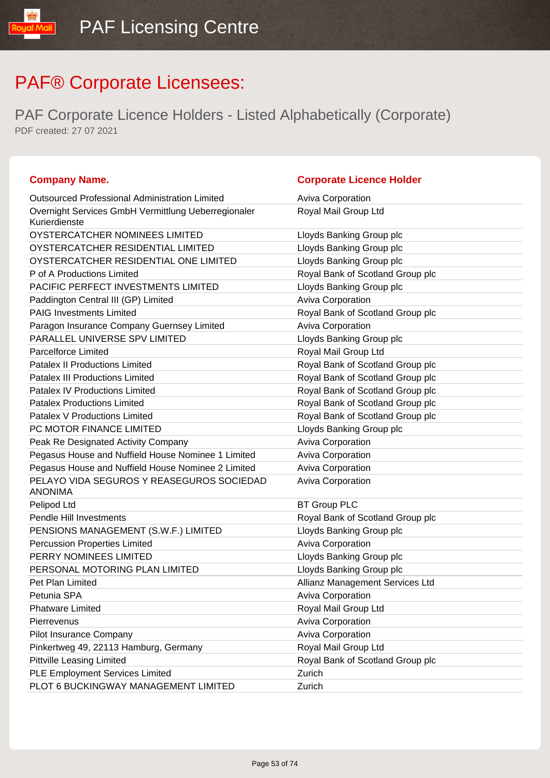| <b>Company Name.</b>                                                 | <b>Corporate Licence Holder</b>  |
|----------------------------------------------------------------------|----------------------------------|
| <b>Outsourced Professional Administration Limited</b>                | <b>Aviva Corporation</b>         |
| Overnight Services GmbH Vermittlung Ueberregionaler<br>Kurierdienste | Royal Mail Group Ltd             |
| OYSTERCATCHER NOMINEES LIMITED                                       | Lloyds Banking Group plc         |
| OYSTERCATCHER RESIDENTIAL LIMITED                                    | Lloyds Banking Group plc         |
| OYSTERCATCHER RESIDENTIAL ONE LIMITED                                | Lloyds Banking Group plc         |
| P of A Productions Limited                                           | Royal Bank of Scotland Group plc |
| PACIFIC PERFECT INVESTMENTS LIMITED                                  | Lloyds Banking Group plc         |
| Paddington Central III (GP) Limited                                  | Aviva Corporation                |
| <b>PAIG Investments Limited</b>                                      | Royal Bank of Scotland Group plc |
| Paragon Insurance Company Guernsey Limited                           | <b>Aviva Corporation</b>         |
| PARALLEL UNIVERSE SPV LIMITED                                        | Lloyds Banking Group plc         |
| <b>Parcelforce Limited</b>                                           | Royal Mail Group Ltd             |
| <b>Patalex II Productions Limited</b>                                | Royal Bank of Scotland Group plc |
| <b>Patalex III Productions Limited</b>                               | Royal Bank of Scotland Group plc |
| <b>Patalex IV Productions Limited</b>                                | Royal Bank of Scotland Group plc |
| <b>Patalex Productions Limited</b>                                   | Royal Bank of Scotland Group plc |
| Patalex V Productions Limited                                        | Royal Bank of Scotland Group plc |
| PC MOTOR FINANCE LIMITED                                             | Lloyds Banking Group plc         |
| Peak Re Designated Activity Company                                  | Aviva Corporation                |
| Pegasus House and Nuffield House Nominee 1 Limited                   | Aviva Corporation                |
| Pegasus House and Nuffield House Nominee 2 Limited                   | Aviva Corporation                |
| PELAYO VIDA SEGUROS Y REASEGUROS SOCIEDAD<br><b>ANONIMA</b>          | <b>Aviva Corporation</b>         |
| Pelipod Ltd                                                          | <b>BT Group PLC</b>              |
| <b>Pendle Hill Investments</b>                                       | Royal Bank of Scotland Group plc |
| PENSIONS MANAGEMENT (S.W.F.) LIMITED                                 | Lloyds Banking Group plc         |
| <b>Percussion Properties Limited</b>                                 | Aviva Corporation                |
| PERRY NOMINEES LIMITED                                               | Lloyds Banking Group plc         |
| PERSONAL MOTORING PLAN LIMITED                                       | Lloyds Banking Group plc         |
| Pet Plan Limited                                                     | Allianz Management Services Ltd  |
| Petunia SPA                                                          | <b>Aviva Corporation</b>         |
| <b>Phatware Limited</b>                                              | Royal Mail Group Ltd             |
| Pierrevenus                                                          | Aviva Corporation                |
| Pilot Insurance Company                                              | Aviva Corporation                |
| Pinkertweg 49, 22113 Hamburg, Germany                                | Royal Mail Group Ltd             |
| <b>Pittville Leasing Limited</b>                                     | Royal Bank of Scotland Group plc |
| PLE Employment Services Limited                                      | Zurich                           |
| PLOT 6 BUCKINGWAY MANAGEMENT LIMITED                                 | Zurich                           |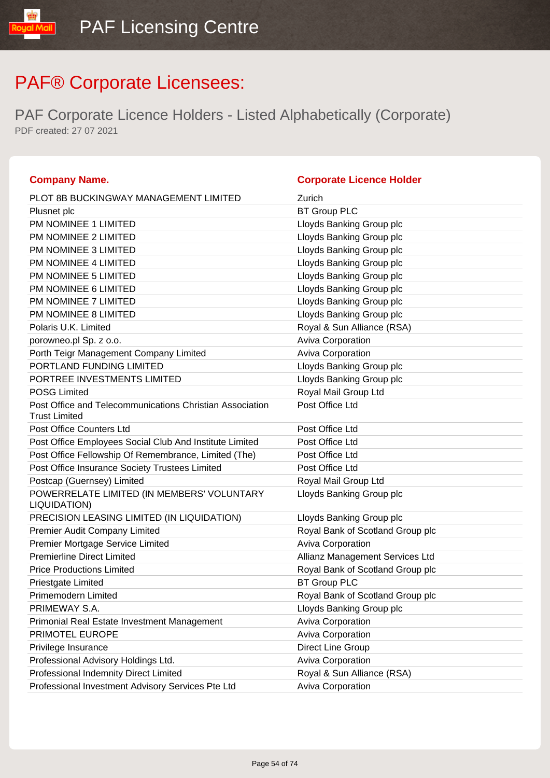| <b>Company Name.</b>                                                             | <b>Corporate Licence Holder</b>  |
|----------------------------------------------------------------------------------|----------------------------------|
| <b>PLOT 8B BUCKINGWAY MANAGEMENT LIMITED</b>                                     | Zurich                           |
| Plusnet plc                                                                      | <b>BT Group PLC</b>              |
| PM NOMINEE 1 LIMITED                                                             | Lloyds Banking Group plc         |
| PM NOMINEE 2 LIMITED                                                             | Lloyds Banking Group plc         |
| PM NOMINEE 3 LIMITED                                                             | Lloyds Banking Group plc         |
| PM NOMINEE 4 LIMITED                                                             | Lloyds Banking Group plc         |
| PM NOMINEE 5 LIMITED                                                             | Lloyds Banking Group plc         |
| PM NOMINEE 6 LIMITED                                                             | Lloyds Banking Group plc         |
| PM NOMINEE 7 LIMITED                                                             | Lloyds Banking Group plc         |
| PM NOMINEE 8 LIMITED                                                             | Lloyds Banking Group plc         |
| Polaris U.K. Limited                                                             | Royal & Sun Alliance (RSA)       |
| porowneo.pl Sp. z o.o.                                                           | Aviva Corporation                |
| Porth Teigr Management Company Limited                                           | Aviva Corporation                |
| PORTLAND FUNDING LIMITED                                                         | Lloyds Banking Group plc         |
| PORTREE INVESTMENTS LIMITED                                                      | Lloyds Banking Group plc         |
| <b>POSG Limited</b>                                                              | Royal Mail Group Ltd             |
| Post Office and Telecommunications Christian Association<br><b>Trust Limited</b> | Post Office Ltd                  |
| <b>Post Office Counters Ltd</b>                                                  | Post Office Ltd                  |
| Post Office Employees Social Club And Institute Limited                          | Post Office Ltd                  |
| Post Office Fellowship Of Remembrance, Limited (The)                             | Post Office Ltd                  |
| Post Office Insurance Society Trustees Limited                                   | Post Office Ltd                  |
| Postcap (Guernsey) Limited                                                       | Royal Mail Group Ltd             |
| POWERRELATE LIMITED (IN MEMBERS' VOLUNTARY<br>LIQUIDATION)                       | Lloyds Banking Group plc         |
| PRECISION LEASING LIMITED (IN LIQUIDATION)                                       | Lloyds Banking Group plc         |
| Premier Audit Company Limited                                                    | Royal Bank of Scotland Group plc |
| Premier Mortgage Service Limited                                                 | Aviva Corporation                |
| <b>Premierline Direct Limited</b>                                                | Allianz Management Services Ltd  |
| <b>Price Productions Limited</b>                                                 | Royal Bank of Scotland Group plc |
| Priestgate Limited                                                               | <b>BT Group PLC</b>              |
| Primemodern Limited                                                              | Royal Bank of Scotland Group plc |
| PRIMEWAY S.A.                                                                    | Lloyds Banking Group plc         |
| Primonial Real Estate Investment Management                                      | <b>Aviva Corporation</b>         |
| PRIMOTEL EUROPE                                                                  | <b>Aviva Corporation</b>         |
| Privilege Insurance                                                              | Direct Line Group                |
| Professional Advisory Holdings Ltd.                                              | <b>Aviva Corporation</b>         |
| Professional Indemnity Direct Limited                                            | Royal & Sun Alliance (RSA)       |
| Professional Investment Advisory Services Pte Ltd                                | Aviva Corporation                |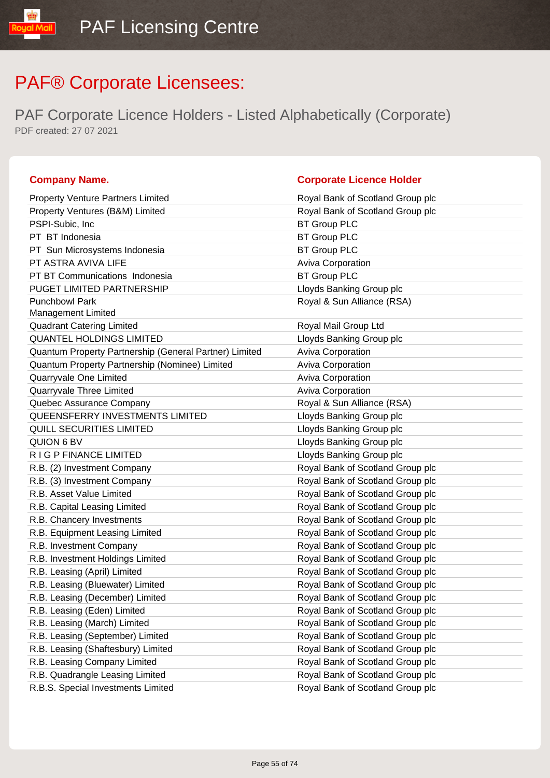PAF Corporate Licence Holders - Listed Alphabetically (Corporate) PDF created: 27 07 2021

| <b>Property Venture Partners Limited</b>               | Royal Bank of Scotland Group plc |
|--------------------------------------------------------|----------------------------------|
| Property Ventures (B&M) Limited                        | Royal Bank of Scotland Group plc |
| PSPI-Subic, Inc.                                       | <b>BT Group PLC</b>              |
| PT BT Indonesia                                        | <b>BT Group PLC</b>              |
| PT Sun Microsystems Indonesia                          | <b>BT Group PLC</b>              |
| PT ASTRA AVIVA LIFE                                    | Aviva Corporation                |
| PT BT Communications Indonesia                         | <b>BT Group PLC</b>              |
| PUGET LIMITED PARTNERSHIP                              | Lloyds Banking Group plc         |
| <b>Punchbowl Park</b>                                  | Royal & Sun Alliance (RSA)       |
| <b>Management Limited</b>                              |                                  |
| <b>Quadrant Catering Limited</b>                       | Royal Mail Group Ltd             |
| <b>QUANTEL HOLDINGS LIMITED</b>                        | Lloyds Banking Group plc         |
| Quantum Property Partnership (General Partner) Limited | Aviva Corporation                |
| Quantum Property Partnership (Nominee) Limited         | Aviva Corporation                |
| Quarryvale One Limited                                 | Aviva Corporation                |
| Quarryvale Three Limited                               | Aviva Corporation                |
| Quebec Assurance Company                               | Royal & Sun Alliance (RSA)       |
| QUEENSFERRY INVESTMENTS LIMITED                        | Lloyds Banking Group plc         |
| QUILL SECURITIES LIMITED                               | Lloyds Banking Group plc         |
| QUION 6 BV                                             | Lloyds Banking Group plc         |
| RIGP FINANCE LIMITED                                   | Lloyds Banking Group plc         |
| R.B. (2) Investment Company                            | Royal Bank of Scotland Group plc |
| R.B. (3) Investment Company                            | Royal Bank of Scotland Group plc |
| R.B. Asset Value Limited                               | Royal Bank of Scotland Group plc |
| R.B. Capital Leasing Limited                           | Royal Bank of Scotland Group plc |
| R.B. Chancery Investments                              | Royal Bank of Scotland Group plc |
| R.B. Equipment Leasing Limited                         | Royal Bank of Scotland Group plc |
| R.B. Investment Company                                | Royal Bank of Scotland Group plc |
| R.B. Investment Holdings Limited                       | Royal Bank of Scotland Group plc |
| R.B. Leasing (April) Limited                           | Royal Bank of Scotland Group plc |
| R.B. Leasing (Bluewater) Limited                       | Royal Bank of Scotland Group plc |
| R.B. Leasing (December) Limited                        | Royal Bank of Scotland Group plc |
| R.B. Leasing (Eden) Limited                            | Royal Bank of Scotland Group plc |
| R.B. Leasing (March) Limited                           | Royal Bank of Scotland Group plc |
| R.B. Leasing (September) Limited                       | Royal Bank of Scotland Group plc |
| R.B. Leasing (Shaftesbury) Limited                     | Royal Bank of Scotland Group plc |
| R.B. Leasing Company Limited                           | Royal Bank of Scotland Group plc |
| R.B. Quadrangle Leasing Limited                        | Royal Bank of Scotland Group plc |
| R.B.S. Special Investments Limited                     | Royal Bank of Scotland Group plc |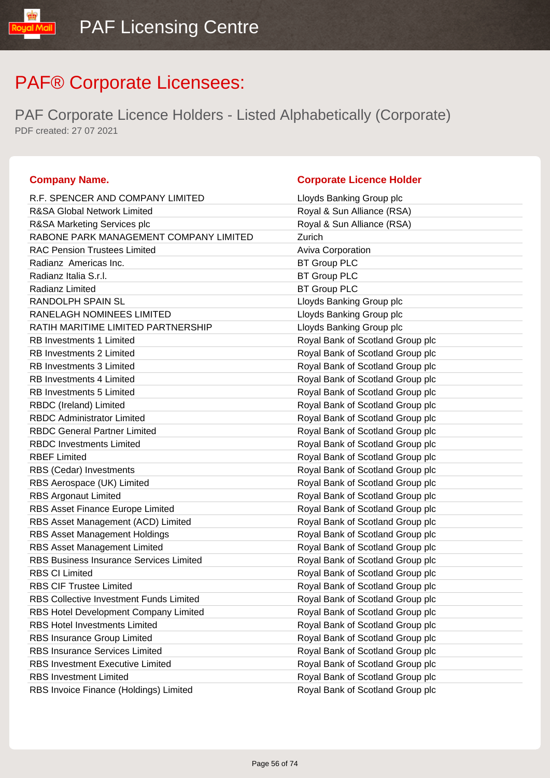PAF Corporate Licence Holders - Listed Alphabetically (Corporate) PDF created: 27 07 2021

### **Company Name. Company Name. Company Name. Company Name. Company Name. Company Name. Company Name. Company Name. Company Name. Company Name. Company Name. Company Name. Company Name. Company Name.**

ual Mail

| R.F. SPENCER AND COMPANY LIMITED               | Lloyds Banking Group plc         |
|------------------------------------------------|----------------------------------|
| <b>R&amp;SA Global Network Limited</b>         | Royal & Sun Alliance (RSA)       |
| R&SA Marketing Services plc                    | Royal & Sun Alliance (RSA)       |
| RABONE PARK MANAGEMENT COMPANY LIMITED         | Zurich                           |
| <b>RAC Pension Trustees Limited</b>            | Aviva Corporation                |
| Radianz Americas Inc.                          | <b>BT Group PLC</b>              |
| Radianz Italia S.r.l.                          | <b>BT Group PLC</b>              |
| Radianz Limited                                | <b>BT Group PLC</b>              |
| RANDOLPH SPAIN SL                              | Lloyds Banking Group plc         |
| RANELAGH NOMINEES LIMITED                      | Lloyds Banking Group plc         |
| RATIH MARITIME LIMITED PARTNERSHIP             | Lloyds Banking Group plc         |
| <b>RB Investments 1 Limited</b>                | Royal Bank of Scotland Group plc |
| <b>RB Investments 2 Limited</b>                | Royal Bank of Scotland Group plc |
| <b>RB Investments 3 Limited</b>                | Royal Bank of Scotland Group plc |
| <b>RB Investments 4 Limited</b>                | Royal Bank of Scotland Group plc |
| <b>RB Investments 5 Limited</b>                | Royal Bank of Scotland Group plc |
| RBDC (Ireland) Limited                         | Royal Bank of Scotland Group plc |
| <b>RBDC Administrator Limited</b>              | Royal Bank of Scotland Group plc |
| <b>RBDC General Partner Limited</b>            | Royal Bank of Scotland Group plc |
| <b>RBDC Investments Limited</b>                | Royal Bank of Scotland Group plc |
| <b>RBEF Limited</b>                            | Royal Bank of Scotland Group plc |
| RBS (Cedar) Investments                        | Royal Bank of Scotland Group plc |
| RBS Aerospace (UK) Limited                     | Royal Bank of Scotland Group plc |
| <b>RBS Argonaut Limited</b>                    | Royal Bank of Scotland Group plc |
| RBS Asset Finance Europe Limited               | Royal Bank of Scotland Group plc |
| RBS Asset Management (ACD) Limited             | Royal Bank of Scotland Group plc |
| RBS Asset Management Holdings                  | Royal Bank of Scotland Group plc |
| RBS Asset Management Limited                   | Royal Bank of Scotland Group plc |
| <b>RBS Business Insurance Services Limited</b> | Royal Bank of Scotland Group plc |
| <b>RBS CI Limited</b>                          | Royal Bank of Scotland Group plc |
| <b>RBS CIF Trustee Limited</b>                 | Royal Bank of Scotland Group plc |
| <b>RBS Collective Investment Funds Limited</b> | Royal Bank of Scotland Group plc |
| RBS Hotel Development Company Limited          | Royal Bank of Scotland Group plc |
| <b>RBS Hotel Investments Limited</b>           | Royal Bank of Scotland Group plc |
| RBS Insurance Group Limited                    | Royal Bank of Scotland Group plc |
| <b>RBS Insurance Services Limited</b>          | Royal Bank of Scotland Group plc |
| <b>RBS Investment Executive Limited</b>        | Royal Bank of Scotland Group plc |
| <b>RBS Investment Limited</b>                  | Royal Bank of Scotland Group plc |
| RBS Invoice Finance (Holdings) Limited         | Royal Bank of Scotland Group plc |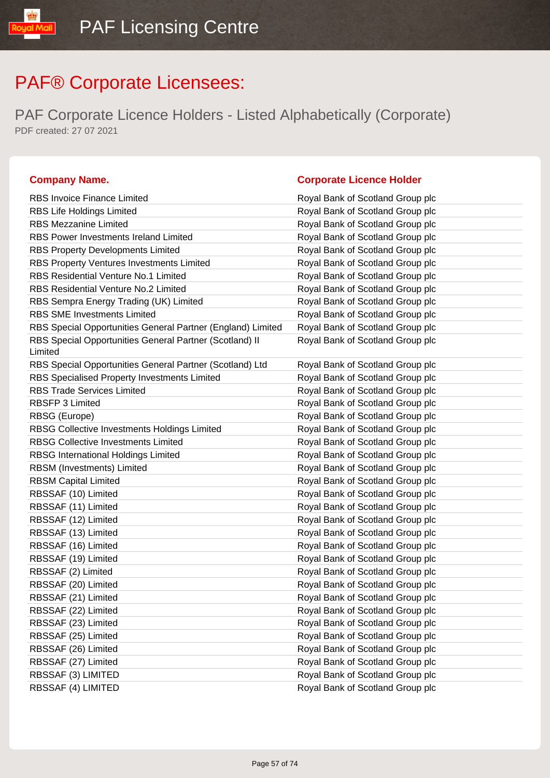PAF Corporate Licence Holders - Listed Alphabetically (Corporate) PDF created: 27 07 2021

| <b>RBS Invoice Finance Limited</b>                                 | Royal Bank of Scotland Group plc |
|--------------------------------------------------------------------|----------------------------------|
| RBS Life Holdings Limited                                          | Royal Bank of Scotland Group plc |
| <b>RBS Mezzanine Limited</b>                                       | Royal Bank of Scotland Group plc |
| RBS Power Investments Ireland Limited                              | Royal Bank of Scotland Group plc |
| <b>RBS Property Developments Limited</b>                           | Royal Bank of Scotland Group plc |
| RBS Property Ventures Investments Limited                          | Royal Bank of Scotland Group plc |
| <b>RBS Residential Venture No.1 Limited</b>                        | Royal Bank of Scotland Group plc |
| RBS Residential Venture No.2 Limited                               | Royal Bank of Scotland Group plc |
| RBS Sempra Energy Trading (UK) Limited                             | Royal Bank of Scotland Group plc |
| <b>RBS SME Investments Limited</b>                                 | Royal Bank of Scotland Group plc |
| RBS Special Opportunities General Partner (England) Limited        | Royal Bank of Scotland Group plc |
| RBS Special Opportunities General Partner (Scotland) II<br>Limited | Royal Bank of Scotland Group plc |
| RBS Special Opportunities General Partner (Scotland) Ltd           | Royal Bank of Scotland Group plc |
| RBS Specialised Property Investments Limited                       | Royal Bank of Scotland Group plc |
| <b>RBS Trade Services Limited</b>                                  | Royal Bank of Scotland Group plc |
| <b>RBSFP 3 Limited</b>                                             | Royal Bank of Scotland Group plc |
| RBSG (Europe)                                                      | Royal Bank of Scotland Group plc |
| RBSG Collective Investments Holdings Limited                       | Royal Bank of Scotland Group plc |
| <b>RBSG Collective Investments Limited</b>                         | Royal Bank of Scotland Group plc |
| <b>RBSG International Holdings Limited</b>                         | Royal Bank of Scotland Group plc |
| RBSM (Investments) Limited                                         | Royal Bank of Scotland Group plc |
| <b>RBSM Capital Limited</b>                                        | Royal Bank of Scotland Group plc |
| RBSSAF (10) Limited                                                | Royal Bank of Scotland Group plc |
| RBSSAF (11) Limited                                                | Royal Bank of Scotland Group plc |
| RBSSAF (12) Limited                                                | Royal Bank of Scotland Group plc |
| RBSSAF (13) Limited                                                | Royal Bank of Scotland Group plc |
| RBSSAF (16) Limited                                                | Royal Bank of Scotland Group plc |
| RBSSAF (19) Limited                                                | Royal Bank of Scotland Group plc |
| RBSSAF (2) Limited                                                 | Royal Bank of Scotland Group plc |
| RBSSAF (20) Limited                                                | Royal Bank of Scotland Group plc |
| RBSSAF (21) Limited                                                | Royal Bank of Scotland Group plc |
| RBSSAF (22) Limited                                                | Royal Bank of Scotland Group plc |
| RBSSAF (23) Limited                                                | Royal Bank of Scotland Group plc |
| RBSSAF (25) Limited                                                | Royal Bank of Scotland Group plc |
| RBSSAF (26) Limited                                                | Royal Bank of Scotland Group plc |
| RBSSAF (27) Limited                                                | Royal Bank of Scotland Group plc |
| RBSSAF (3) LIMITED                                                 | Royal Bank of Scotland Group plc |
| RBSSAF (4) LIMITED                                                 | Royal Bank of Scotland Group plc |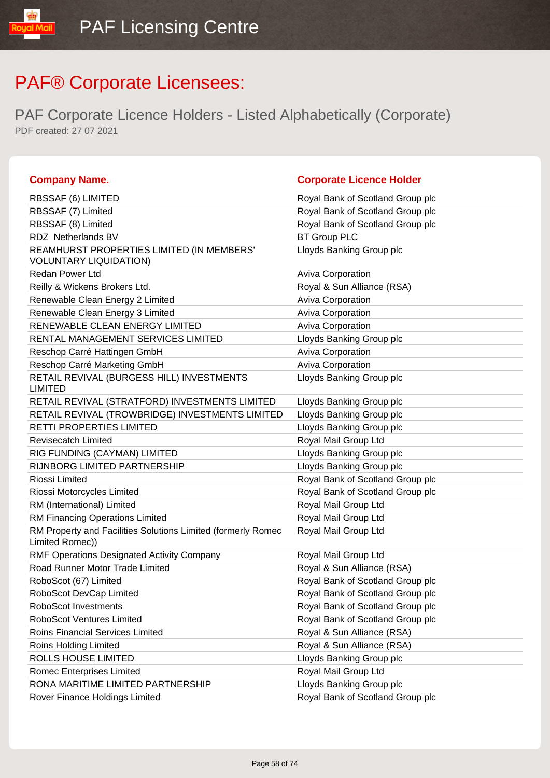| <b>Company Name.</b>                                                            | <b>Corporate Licence Holder</b>  |
|---------------------------------------------------------------------------------|----------------------------------|
| RBSSAF (6) LIMITED                                                              | Royal Bank of Scotland Group plc |
| RBSSAF (7) Limited                                                              | Royal Bank of Scotland Group plc |
| RBSSAF (8) Limited                                                              | Royal Bank of Scotland Group plc |
| RDZ Netherlands BV                                                              | <b>BT Group PLC</b>              |
| REAMHURST PROPERTIES LIMITED (IN MEMBERS'<br><b>VOLUNTARY LIQUIDATION)</b>      | Lloyds Banking Group plc         |
| <b>Redan Power Ltd</b>                                                          | <b>Aviva Corporation</b>         |
| Reilly & Wickens Brokers Ltd.                                                   | Royal & Sun Alliance (RSA)       |
| Renewable Clean Energy 2 Limited                                                | Aviva Corporation                |
| Renewable Clean Energy 3 Limited                                                | Aviva Corporation                |
| RENEWABLE CLEAN ENERGY LIMITED                                                  | <b>Aviva Corporation</b>         |
| RENTAL MANAGEMENT SERVICES LIMITED                                              | Lloyds Banking Group plc         |
| Reschop Carré Hattingen GmbH                                                    | Aviva Corporation                |
| Reschop Carré Marketing GmbH                                                    | <b>Aviva Corporation</b>         |
| RETAIL REVIVAL (BURGESS HILL) INVESTMENTS<br><b>LIMITED</b>                     | Lloyds Banking Group plc         |
| RETAIL REVIVAL (STRATFORD) INVESTMENTS LIMITED                                  | Lloyds Banking Group plc         |
| RETAIL REVIVAL (TROWBRIDGE) INVESTMENTS LIMITED                                 | Lloyds Banking Group plc         |
| <b>RETTI PROPERTIES LIMITED</b>                                                 | Lloyds Banking Group plc         |
| <b>Revisecatch Limited</b>                                                      | Royal Mail Group Ltd             |
| RIG FUNDING (CAYMAN) LIMITED                                                    | Lloyds Banking Group plc         |
| RIJNBORG LIMITED PARTNERSHIP                                                    | Lloyds Banking Group plc         |
| Riossi Limited                                                                  | Royal Bank of Scotland Group plc |
| Riossi Motorcycles Limited                                                      | Royal Bank of Scotland Group plc |
| RM (International) Limited                                                      | Royal Mail Group Ltd             |
| RM Financing Operations Limited                                                 | Royal Mail Group Ltd             |
| RM Property and Facilities Solutions Limited (formerly Romec<br>Limited Romec)) | Royal Mail Group Ltd             |
| RMF Operations Designated Activity Company                                      | Royal Mail Group Ltd             |
| Road Runner Motor Trade Limited                                                 | Royal & Sun Alliance (RSA)       |
| RoboScot (67) Limited                                                           | Royal Bank of Scotland Group plc |
| RoboScot DevCap Limited                                                         | Royal Bank of Scotland Group plc |
| <b>RoboScot Investments</b>                                                     | Royal Bank of Scotland Group plc |
| <b>RoboScot Ventures Limited</b>                                                | Royal Bank of Scotland Group plc |
| Roins Financial Services Limited                                                | Royal & Sun Alliance (RSA)       |
| Roins Holding Limited                                                           | Royal & Sun Alliance (RSA)       |
| ROLLS HOUSE LIMITED                                                             | Lloyds Banking Group plc         |
| <b>Romec Enterprises Limited</b>                                                | Royal Mail Group Ltd             |
| RONA MARITIME LIMITED PARTNERSHIP                                               | Lloyds Banking Group plc         |
| Rover Finance Holdings Limited                                                  | Royal Bank of Scotland Group plc |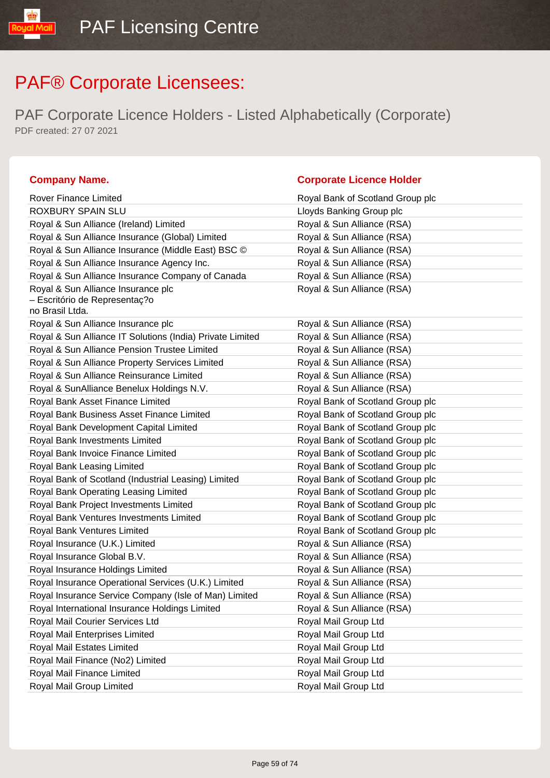PAF Corporate Licence Holders - Listed Alphabetically (Corporate) PDF created: 27 07 2021

### **Company Name. Corporate Licence Holder**

### Rover Finance Limited **Royal Bank of Scotland Group plc** Royal Bank of Scotland Group plc ROXBURY SPAIN SLU **ROXBURY SPAIN SLU** Royal & Sun Alliance (Ireland) Limited Royal & Sun Alliance (RSA) Royal & Sun Alliance Insurance (Global) Limited Royal & Sun Alliance (RSA) Royal & Sun Alliance Insurance (Middle East) BSC © Royal & Sun Alliance (RSA) Royal & Sun Alliance Insurance Agency Inc. Royal & Sun Alliance (RSA) Royal & Sun Alliance Insurance Company of Canada Royal & Sun Alliance (RSA) Royal & Sun Alliance Insurance plc – Escritório de Representaç?o no Brasil Ltda. Royal & Sun Alliance (RSA) Royal & Sun Alliance Insurance plc **Royal & Sun Alliance (RSA)** Royal & Sun Alliance (RSA) Royal & Sun Alliance IT Solutions (India) Private Limited Royal & Sun Alliance (RSA) Royal & Sun Alliance Pension Trustee Limited **Royal & Sun Alliance (RSA)** Royal & Sun Alliance Property Services Limited **Royal & Sun Alliance (RSA)** Royal & Sun Alliance Reinsurance Limited **Royal & Sun Alliance (RSA)** Royal & SunAlliance Benelux Holdings N.V. Royal & Sun Alliance (RSA) Royal Bank Asset Finance Limited **Royal Bank of Scotland Group plc** Royal Bank of Scotland Group plc Royal Bank Business Asset Finance Limited Royal Bank of Scotland Group plc Royal Bank Development Capital Limited Royal Bank of Scotland Group plc Royal Bank Investments Limited **Royal Bank of Scotland Group plc** Royal Bank of Scotland Group plc Royal Bank Invoice Finance Limited **Royal Bank of Scotland Group plc** Royal Bank Leasing Limited Royal Bank of Scotland Group plc Royal Bank of Scotland (Industrial Leasing) Limited Royal Bank of Scotland Group plc Royal Bank Operating Leasing Limited **Royal Bank of Scotland Group plc** Royal Bank Project Investments Limited **Royal Bank of Scotland Group plc** Royal Bank Ventures Investments Limited **Royal Bank of Scotland Group plc** Royal Bank Ventures Limited Royal Bank of Scotland Group plc Royal Insurance (U.K.) Limited Royal & Sun Alliance (RSA) Royal Insurance Global B.V. **Royal & Sun Alliance (RSA)** Royal Insurance Holdings Limited **Royal & Sun Alliance (RSA)** Royal Insurance Operational Services (U.K.) Limited Royal & Sun Alliance (RSA) Royal Insurance Service Company (Isle of Man) Limited Royal & Sun Alliance (RSA) Royal International Insurance Holdings Limited Royal & Sun Alliance (RSA) Royal Mail Courier Services Ltd **Royal Mail Group Ltd** Royal Mail Group Ltd Royal Mail Enterprises Limited **Royal Mail Group Ltd** Royal Mail Group Ltd Royal Mail Estates Limited **Royal Mail Group Ltd** Royal Mail Group Ltd Royal Mail Finance (No2) Limited Royal Mail Group Ltd Royal Mail Finance Limited **Royal Mail Group Ltd** Royal Mail Group Limited **Royal Mail Group Ltd**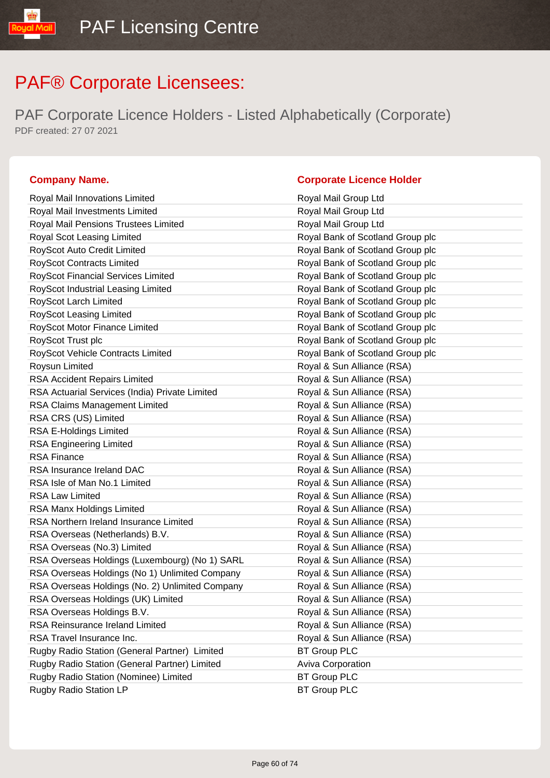PAF Corporate Licence Holders - Listed Alphabetically (Corporate) PDF created: 27 07 2021

### **Company Name. Corporate Licence Holder**

### Royal Mail Innovations Limited **Royal Mail Group Ltd** Royal Mail Investments Limited **Royal Mail Group Ltd** Royal Mail Pensions Trustees Limited **Royal Mail Group Ltd** Royal Scot Leasing Limited **Royal Bank of Scotland Group plc** RoyScot Auto Credit Limited **RoyScot Auto Credit Limited** Royal Bank of Scotland Group plc RoyScot Contracts Limited Royal Bank of Scotland Group plc RoyScot Financial Services Limited **Royal Bank of Scotland Group plc** RoyScot Industrial Leasing Limited **Royal Bank of Scotland Group plc** RoyScot Larch Limited **RoyScot Larch Limited** Royal Bank of Scotland Group plc RoyScot Leasing Limited **RoyScot Leasing Limited** Royal Bank of Scotland Group plc RoyScot Motor Finance Limited **RoyScot Motor Finance Limited** Royal Bank of Scotland Group plc RoyScot Trust plc **RoyScot Trust plc** Royal Bank of Scotland Group plc RoyScot Vehicle Contracts Limited **RoyScot Vehicle Contracts Limited** Royal Bank of Scotland Group plc Roysun Limited **Royal & Sun Alliance (RSA)** RSA Accident Repairs Limited **Royal & Sun Alliance (RSA)** RSA Actuarial Services (India) Private Limited Royal & Sun Alliance (RSA) RSA Claims Management Limited **RSA** Royal & Sun Alliance (RSA) RSA CRS (US) Limited RSA CRS (US) Limited RSA CRS (US) Limited RSA E-Holdings Limited **Royal & Sun Alliance (RSA)** RSA Engineering Limited **Royal & Sun Alliance (RSA)** RSA Finance **Royal & Sun Alliance** (RSA) RSA Insurance Ireland DAC **Royal & Sun Alliance (RSA)** RSA Isle of Man No.1 Limited **Royal & Sun Alliance (RSA)** RSA Law Limited **Royal & Sun Alliance (RSA)** RSA Manx Holdings Limited **Royal & Sun Alliance (RSA)** RSA Northern Ireland Insurance Limited **Royal & Sun Alliance (RSA)** RSA Overseas (Netherlands) B.V. Royal & Sun Alliance (RSA) RSA Overseas (No.3) Limited **Royal & Sun Alliance (RSA)** RSA Overseas Holdings (Luxembourg) (No 1) SARL Royal & Sun Alliance (RSA) RSA Overseas Holdings (No 1) Unlimited Company Royal & Sun Alliance (RSA) RSA Overseas Holdings (No. 2) Unlimited Company Royal & Sun Alliance (RSA) RSA Overseas Holdings (UK) Limited Royal & Sun Alliance (RSA) RSA Overseas Holdings B.V. Royal & Sun Alliance (RSA) RSA Reinsurance Ireland Limited **Royal & Sun Alliance (RSA)** RSA Travel Insurance Inc. The Contract of the Royal & Sun Alliance (RSA) Rugby Radio Station (General Partner) Limited BT Group PLC Rugby Radio Station (General Partner) Limited Aviva Corporation Rugby Radio Station (Nominee) Limited BT Group PLC Rugby Radio Station LP BT Group PLC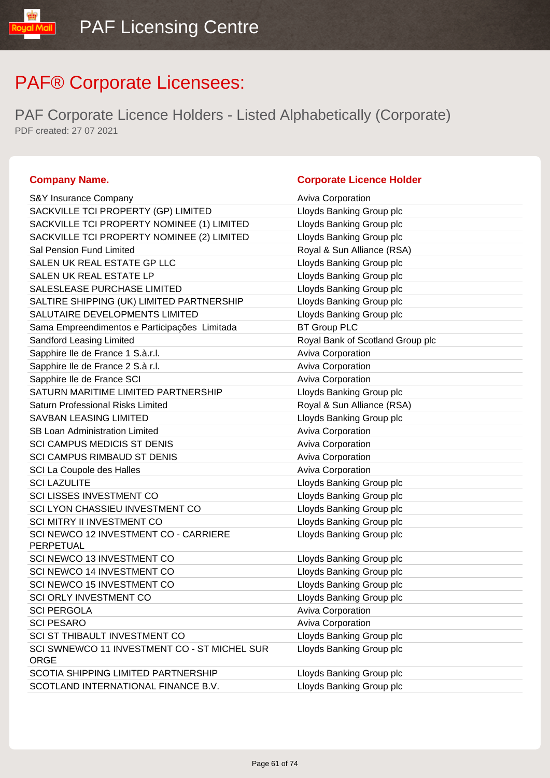PAF Corporate Licence Holders - Listed Alphabetically (Corporate) PDF created: 27 07 2021

| S&Y Insurance Company                                       | <b>Aviva Corporation</b>         |
|-------------------------------------------------------------|----------------------------------|
| SACKVILLE TCI PROPERTY (GP) LIMITED                         | Lloyds Banking Group plc         |
| SACKVILLE TCI PROPERTY NOMINEE (1) LIMITED                  | Lloyds Banking Group plc         |
| SACKVILLE TCI PROPERTY NOMINEE (2) LIMITED                  | Lloyds Banking Group plc         |
| Sal Pension Fund Limited                                    | Royal & Sun Alliance (RSA)       |
| SALEN UK REAL ESTATE GP LLC                                 | Lloyds Banking Group plc         |
| SALEN UK REAL ESTATE LP                                     | Lloyds Banking Group plc         |
| SALESLEASE PURCHASE LIMITED                                 | Lloyds Banking Group plc         |
| SALTIRE SHIPPING (UK) LIMITED PARTNERSHIP                   | Lloyds Banking Group plc         |
| SALUTAIRE DEVELOPMENTS LIMITED                              | Lloyds Banking Group plc         |
| Sama Empreendimentos e Participações Limitada               | <b>BT Group PLC</b>              |
| Sandford Leasing Limited                                    | Royal Bank of Scotland Group plc |
| Sapphire Ile de France 1 S.à.r.l.                           | Aviva Corporation                |
| Sapphire Ile de France 2 S.à r.l.                           | Aviva Corporation                |
| Sapphire Ile de France SCI                                  | Aviva Corporation                |
| SATURN MARITIME LIMITED PARTNERSHIP                         | Lloyds Banking Group plc         |
| <b>Saturn Professional Risks Limited</b>                    | Royal & Sun Alliance (RSA)       |
| <b>SAVBAN LEASING LIMITED</b>                               | Lloyds Banking Group plc         |
| <b>SB Loan Administration Limited</b>                       | <b>Aviva Corporation</b>         |
| <b>SCI CAMPUS MEDICIS ST DENIS</b>                          | Aviva Corporation                |
| <b>SCI CAMPUS RIMBAUD ST DENIS</b>                          | Aviva Corporation                |
| SCI La Coupole des Halles                                   | Aviva Corporation                |
| <b>SCI LAZULITE</b>                                         | Lloyds Banking Group plc         |
| <b>SCI LISSES INVESTMENT CO</b>                             | Lloyds Banking Group plc         |
| SCI LYON CHASSIEU INVESTMENT CO                             | Lloyds Banking Group plc         |
| SCI MITRY II INVESTMENT CO                                  | Lloyds Banking Group plc         |
| SCI NEWCO 12 INVESTMENT CO - CARRIERE<br>PERPETUAL          | Lloyds Banking Group plc         |
| SCI NEWCO 13 INVESTMENT CO                                  | Lloyds Banking Group plc         |
| SCI NEWCO 14 INVESTMENT CO                                  | Lloyds Banking Group plc         |
| SCI NEWCO 15 INVESTMENT CO                                  | Lloyds Banking Group plc         |
| SCI ORLY INVESTMENT CO                                      | Lloyds Banking Group plc         |
| <b>SCI PERGOLA</b>                                          | <b>Aviva Corporation</b>         |
| <b>SCI PESARO</b>                                           | Aviva Corporation                |
| SCI ST THIBAULT INVESTMENT CO                               | Lloyds Banking Group plc         |
| SCI SWNEWCO 11 INVESTMENT CO - ST MICHEL SUR<br><b>ORGE</b> | Lloyds Banking Group plc         |
| SCOTIA SHIPPING LIMITED PARTNERSHIP                         | Lloyds Banking Group plc         |
| SCOTLAND INTERNATIONAL FINANCE B.V.                         | Lloyds Banking Group plc         |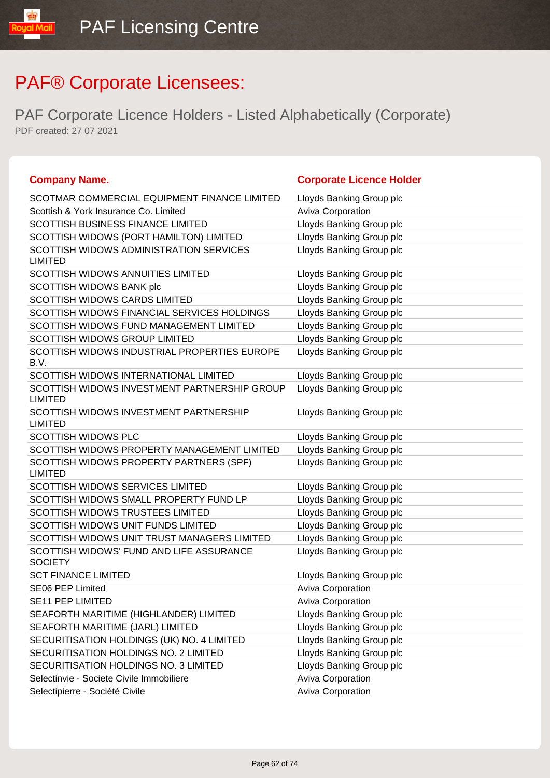| <b>Company Name.</b>                                           | <b>Corporate Licence Holder</b> |
|----------------------------------------------------------------|---------------------------------|
| SCOTMAR COMMERCIAL EQUIPMENT FINANCE LIMITED                   | Lloyds Banking Group plc        |
| Scottish & York Insurance Co. Limited                          | <b>Aviva Corporation</b>        |
| SCOTTISH BUSINESS FINANCE LIMITED                              | Lloyds Banking Group plc        |
| SCOTTISH WIDOWS (PORT HAMILTON) LIMITED                        | Lloyds Banking Group plc        |
| SCOTTISH WIDOWS ADMINISTRATION SERVICES<br><b>LIMITED</b>      | Lloyds Banking Group plc        |
| <b>SCOTTISH WIDOWS ANNUITIES LIMITED</b>                       | Lloyds Banking Group plc        |
| SCOTTISH WIDOWS BANK plc                                       | Lloyds Banking Group plc        |
| <b>SCOTTISH WIDOWS CARDS LIMITED</b>                           | Lloyds Banking Group plc        |
| SCOTTISH WIDOWS FINANCIAL SERVICES HOLDINGS                    | Lloyds Banking Group plc        |
| SCOTTISH WIDOWS FUND MANAGEMENT LIMITED                        | Lloyds Banking Group plc        |
| <b>SCOTTISH WIDOWS GROUP LIMITED</b>                           | Lloyds Banking Group plc        |
| SCOTTISH WIDOWS INDUSTRIAL PROPERTIES EUROPE<br>B.V.           | Lloyds Banking Group plc        |
| SCOTTISH WIDOWS INTERNATIONAL LIMITED                          | Lloyds Banking Group plc        |
| SCOTTISH WIDOWS INVESTMENT PARTNERSHIP GROUP<br><b>LIMITED</b> | Lloyds Banking Group plc        |
| SCOTTISH WIDOWS INVESTMENT PARTNERSHIP<br><b>LIMITED</b>       | Lloyds Banking Group plc        |
| <b>SCOTTISH WIDOWS PLC</b>                                     | Lloyds Banking Group plc        |
| SCOTTISH WIDOWS PROPERTY MANAGEMENT LIMITED                    | Lloyds Banking Group plc        |
| SCOTTISH WIDOWS PROPERTY PARTNERS (SPF)<br><b>LIMITED</b>      | Lloyds Banking Group plc        |
| <b>SCOTTISH WIDOWS SERVICES LIMITED</b>                        | Lloyds Banking Group plc        |
| SCOTTISH WIDOWS SMALL PROPERTY FUND LP                         | Lloyds Banking Group plc        |
| <b>SCOTTISH WIDOWS TRUSTEES LIMITED</b>                        | Lloyds Banking Group plc        |
| SCOTTISH WIDOWS UNIT FUNDS LIMITED                             | Lloyds Banking Group plc        |
| SCOTTISH WIDOWS UNIT TRUST MANAGERS LIMITED                    | Lloyds Banking Group plc        |
| SCOTTISH WIDOWS' FUND AND LIFE ASSURANCE<br><b>SOCIETY</b>     | Lloyds Banking Group plc        |
| <b>SCT FINANCE LIMITED</b>                                     | Lloyds Banking Group plc        |
| <b>SE06 PEP Limited</b>                                        | Aviva Corporation               |
| <b>SE11 PEP LIMITED</b>                                        | <b>Aviva Corporation</b>        |
| SEAFORTH MARITIME (HIGHLANDER) LIMITED                         | Lloyds Banking Group plc        |
| SEAFORTH MARITIME (JARL) LIMITED                               | Lloyds Banking Group plc        |
| SECURITISATION HOLDINGS (UK) NO. 4 LIMITED                     | Lloyds Banking Group plc        |
| SECURITISATION HOLDINGS NO. 2 LIMITED                          | Lloyds Banking Group plc        |
| SECURITISATION HOLDINGS NO. 3 LIMITED                          | Lloyds Banking Group plc        |
| Selectinvie - Societe Civile Immobiliere                       | Aviva Corporation               |
| Selectipierre - Société Civile                                 | Aviva Corporation               |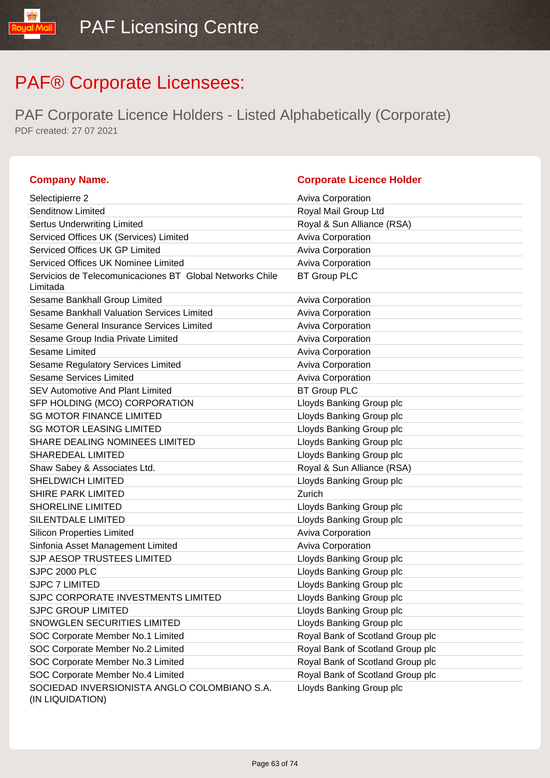| <b>Company Name.</b>                                                 | <b>Corporate Licence Holder</b>  |
|----------------------------------------------------------------------|----------------------------------|
| Selectipierre 2                                                      | <b>Aviva Corporation</b>         |
| Senditnow Limited                                                    | Royal Mail Group Ltd             |
| <b>Sertus Underwriting Limited</b>                                   | Royal & Sun Alliance (RSA)       |
| Serviced Offices UK (Services) Limited                               | <b>Aviva Corporation</b>         |
| Serviced Offices UK GP Limited                                       | Aviva Corporation                |
| Serviced Offices UK Nominee Limited                                  | Aviva Corporation                |
| Servicios de Telecomunicaciones BT Global Networks Chile<br>Limitada | <b>BT Group PLC</b>              |
| Sesame Bankhall Group Limited                                        | Aviva Corporation                |
| Sesame Bankhall Valuation Services Limited                           | Aviva Corporation                |
| Sesame General Insurance Services Limited                            | Aviva Corporation                |
| Sesame Group India Private Limited                                   | Aviva Corporation                |
| Sesame Limited                                                       | Aviva Corporation                |
| Sesame Regulatory Services Limited                                   | <b>Aviva Corporation</b>         |
| <b>Sesame Services Limited</b>                                       | Aviva Corporation                |
| <b>SEV Automotive And Plant Limited</b>                              | <b>BT Group PLC</b>              |
| SFP HOLDING (MCO) CORPORATION                                        | Lloyds Banking Group plc         |
| <b>SG MOTOR FINANCE LIMITED</b>                                      | Lloyds Banking Group plc         |
| <b>SG MOTOR LEASING LIMITED</b>                                      | Lloyds Banking Group plc         |
| <b>SHARE DEALING NOMINEES LIMITED</b>                                | Lloyds Banking Group plc         |
| SHAREDEAL LIMITED                                                    | Lloyds Banking Group plc         |
| Shaw Sabey & Associates Ltd.                                         | Royal & Sun Alliance (RSA)       |
| SHELDWICH LIMITED                                                    | Lloyds Banking Group plc         |
| <b>SHIRE PARK LIMITED</b>                                            | Zurich                           |
| <b>SHORELINE LIMITED</b>                                             | Lloyds Banking Group plc         |
| SILENTDALE LIMITED                                                   | Lloyds Banking Group plc         |
| <b>Silicon Properties Limited</b>                                    | Aviva Corporation                |
| Sinfonia Asset Management Limited                                    | Aviva Corporation                |
| SJP AESOP TRUSTEES LIMITED                                           | Lloyds Banking Group plc         |
| <b>SJPC 2000 PLC</b>                                                 | Lloyds Banking Group plc         |
| SJPC 7 LIMITED                                                       | Lloyds Banking Group plc         |
| SJPC CORPORATE INVESTMENTS LIMITED                                   | Lloyds Banking Group plc         |
| <b>SJPC GROUP LIMITED</b>                                            | Lloyds Banking Group plc         |
| <b>SNOWGLEN SECURITIES LIMITED</b>                                   | Lloyds Banking Group plc         |
| SOC Corporate Member No.1 Limited                                    | Royal Bank of Scotland Group plc |
| SOC Corporate Member No.2 Limited                                    | Royal Bank of Scotland Group plc |
| SOC Corporate Member No.3 Limited                                    | Royal Bank of Scotland Group plc |
| SOC Corporate Member No.4 Limited                                    | Royal Bank of Scotland Group plc |
| SOCIEDAD INVERSIONISTA ANGLO COLOMBIANO S.A.<br>(IN LIQUIDATION)     | Lloyds Banking Group plc         |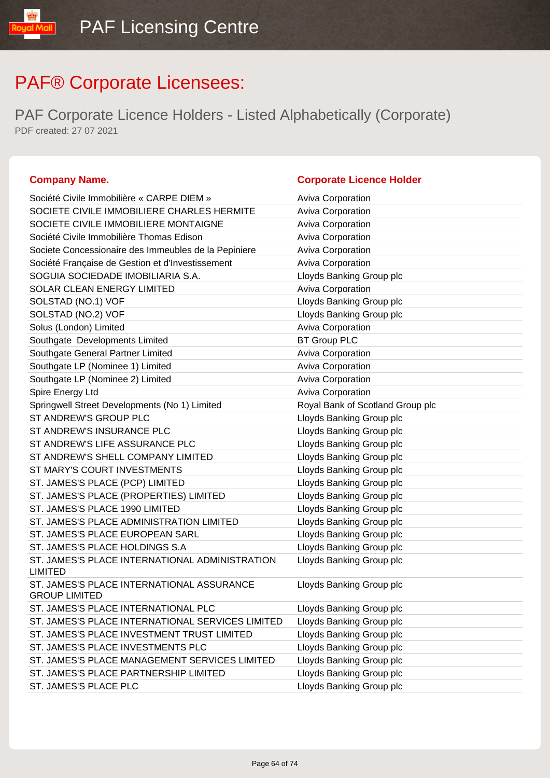PAF Corporate Licence Holders - Listed Alphabetically (Corporate) PDF created: 27 07 2021

| Société Civile Immobilière « CARPE DIEM »                         | <b>Aviva Corporation</b>         |
|-------------------------------------------------------------------|----------------------------------|
| SOCIETE CIVILE IMMOBILIERE CHARLES HERMITE                        | <b>Aviva Corporation</b>         |
| SOCIETE CIVILE IMMOBILIERE MONTAIGNE                              | Aviva Corporation                |
| Société Civile Immobilière Thomas Edison                          | Aviva Corporation                |
| Societe Concessionaire des Immeubles de la Pepiniere              | Aviva Corporation                |
| Société Française de Gestion et d'Investissement                  | Aviva Corporation                |
| SOGUIA SOCIEDADE IMOBILIARIA S.A.                                 | Lloyds Banking Group plc         |
| <b>SOLAR CLEAN ENERGY LIMITED</b>                                 | Aviva Corporation                |
| SOLSTAD (NO.1) VOF                                                | Lloyds Banking Group plc         |
| SOLSTAD (NO.2) VOF                                                | Lloyds Banking Group plc         |
| Solus (London) Limited                                            | Aviva Corporation                |
| Southgate Developments Limited                                    | <b>BT Group PLC</b>              |
| Southgate General Partner Limited                                 | <b>Aviva Corporation</b>         |
| Southgate LP (Nominee 1) Limited                                  | <b>Aviva Corporation</b>         |
| Southgate LP (Nominee 2) Limited                                  | Aviva Corporation                |
| Spire Energy Ltd                                                  | Aviva Corporation                |
| Springwell Street Developments (No 1) Limited                     | Royal Bank of Scotland Group plc |
| ST ANDREW'S GROUP PLC                                             | Lloyds Banking Group plc         |
| ST ANDREW'S INSURANCE PLC                                         | Lloyds Banking Group plc         |
| ST ANDREW'S LIFE ASSURANCE PLC                                    | Lloyds Banking Group plc         |
| ST ANDREW'S SHELL COMPANY LIMITED                                 | Lloyds Banking Group plc         |
| ST MARY'S COURT INVESTMENTS                                       | Lloyds Banking Group plc         |
| ST. JAMES'S PLACE (PCP) LIMITED                                   | Lloyds Banking Group plc         |
| ST. JAMES'S PLACE (PROPERTIES) LIMITED                            | Lloyds Banking Group plc         |
| ST. JAMES'S PLACE 1990 LIMITED                                    | Lloyds Banking Group plc         |
| ST. JAMES'S PLACE ADMINISTRATION LIMITED                          | Lloyds Banking Group plc         |
| ST. JAMES'S PLACE EUROPEAN SARL                                   | Lloyds Banking Group plc         |
| ST. JAMES'S PLACE HOLDINGS S.A                                    | Lloyds Banking Group plc         |
| ST. JAMES'S PLACE INTERNATIONAL ADMINISTRATION<br><b>LIMITED</b>  | Lloyds Banking Group plc         |
| ST. JAMES'S PLACE INTERNATIONAL ASSURANCE<br><b>GROUP LIMITED</b> | Lloyds Banking Group plc         |
| ST. JAMES'S PLACE INTERNATIONAL PLC                               | Lloyds Banking Group plc         |
| ST. JAMES'S PLACE INTERNATIONAL SERVICES LIMITED                  | Lloyds Banking Group plc         |
| ST. JAMES'S PLACE INVESTMENT TRUST LIMITED                        | Lloyds Banking Group plc         |
| ST. JAMES'S PLACE INVESTMENTS PLC                                 | Lloyds Banking Group plc         |
| ST. JAMES'S PLACE MANAGEMENT SERVICES LIMITED                     | Lloyds Banking Group plc         |
| ST. JAMES'S PLACE PARTNERSHIP LIMITED                             | Lloyds Banking Group plc         |
| ST. JAMES'S PLACE PLC                                             | Lloyds Banking Group plc         |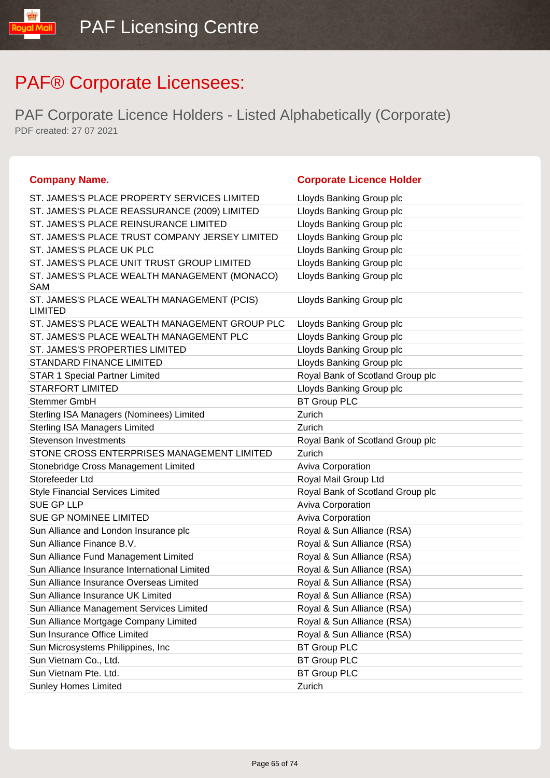| <b>Company Name.</b>                                         | <b>Corporate Licence Holder</b>  |
|--------------------------------------------------------------|----------------------------------|
| ST. JAMES'S PLACE PROPERTY SERVICES LIMITED                  | Lloyds Banking Group plc         |
| ST. JAMES'S PLACE REASSURANCE (2009) LIMITED                 | Lloyds Banking Group plc         |
| ST. JAMES'S PLACE REINSURANCE LIMITED                        | Lloyds Banking Group plc         |
| ST. JAMES'S PLACE TRUST COMPANY JERSEY LIMITED               | Lloyds Banking Group plc         |
| ST. JAMES'S PLACE UK PLC                                     | Lloyds Banking Group plc         |
| ST. JAMES'S PLACE UNIT TRUST GROUP LIMITED                   | Lloyds Banking Group plc         |
| ST. JAMES'S PLACE WEALTH MANAGEMENT (MONACO)                 | Lloyds Banking Group plc         |
| SAM                                                          |                                  |
| ST. JAMES'S PLACE WEALTH MANAGEMENT (PCIS)<br><b>LIMITED</b> | Lloyds Banking Group plc         |
| ST. JAMES'S PLACE WEALTH MANAGEMENT GROUP PLC                | Lloyds Banking Group plc         |
| ST. JAMES'S PLACE WEALTH MANAGEMENT PLC                      | Lloyds Banking Group plc         |
| <b>ST. JAMES'S PROPERTIES LIMITED</b>                        | Lloyds Banking Group plc         |
| STANDARD FINANCE LIMITED                                     | Lloyds Banking Group plc         |
| <b>STAR 1 Special Partner Limited</b>                        | Royal Bank of Scotland Group plc |
| <b>STARFORT LIMITED</b>                                      | Lloyds Banking Group plc         |
| Stemmer GmbH                                                 | <b>BT Group PLC</b>              |
| Sterling ISA Managers (Nominees) Limited                     | Zurich                           |
| <b>Sterling ISA Managers Limited</b>                         | Zurich                           |
| <b>Stevenson Investments</b>                                 | Royal Bank of Scotland Group plc |
| STONE CROSS ENTERPRISES MANAGEMENT LIMITED                   | Zurich                           |
| Stonebridge Cross Management Limited                         | Aviva Corporation                |
| Storefeeder Ltd                                              | Royal Mail Group Ltd             |
| <b>Style Financial Services Limited</b>                      | Royal Bank of Scotland Group plc |
| SUE GP LLP                                                   | Aviva Corporation                |
| SUE GP NOMINEE LIMITED                                       | Aviva Corporation                |
| Sun Alliance and London Insurance plc                        | Royal & Sun Alliance (RSA)       |
| Sun Alliance Finance B.V.                                    | Royal & Sun Alliance (RSA)       |
| Sun Alliance Fund Management Limited                         | Royal & Sun Alliance (RSA)       |
| Sun Alliance Insurance International Limited                 | Royal & Sun Alliance (RSA)       |
| Sun Alliance Insurance Overseas Limited                      | Royal & Sun Alliance (RSA)       |
| Sun Alliance Insurance UK Limited                            | Royal & Sun Alliance (RSA)       |
| Sun Alliance Management Services Limited                     | Royal & Sun Alliance (RSA)       |
| Sun Alliance Mortgage Company Limited                        | Royal & Sun Alliance (RSA)       |
| Sun Insurance Office Limited                                 | Royal & Sun Alliance (RSA)       |
| Sun Microsystems Philippines, Inc                            | <b>BT Group PLC</b>              |
| Sun Vietnam Co., Ltd.                                        | <b>BT Group PLC</b>              |
| Sun Vietnam Pte. Ltd.                                        | <b>BT Group PLC</b>              |
| <b>Sunley Homes Limited</b>                                  | Zurich                           |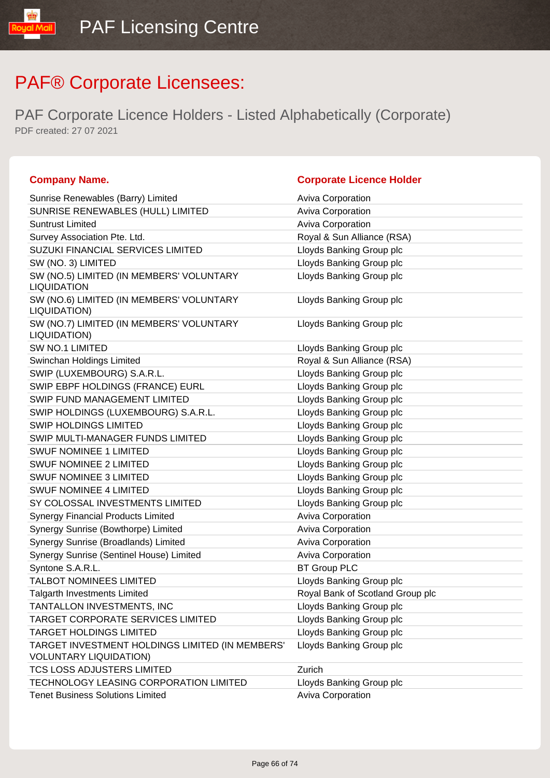| <b>Company Name.</b>                                                             | <b>Corporate Licence Holder</b>  |
|----------------------------------------------------------------------------------|----------------------------------|
| Sunrise Renewables (Barry) Limited                                               | Aviva Corporation                |
| SUNRISE RENEWABLES (HULL) LIMITED                                                | Aviva Corporation                |
| <b>Suntrust Limited</b>                                                          | Aviva Corporation                |
| Survey Association Pte. Ltd.                                                     | Royal & Sun Alliance (RSA)       |
| SUZUKI FINANCIAL SERVICES LIMITED                                                | Lloyds Banking Group plc         |
| SW (NO. 3) LIMITED                                                               | Lloyds Banking Group plc         |
| SW (NO.5) LIMITED (IN MEMBERS' VOLUNTARY<br><b>LIQUIDATION</b>                   | Lloyds Banking Group plc         |
| SW (NO.6) LIMITED (IN MEMBERS' VOLUNTARY<br>LIQUIDATION)                         | Lloyds Banking Group plc         |
| SW (NO.7) LIMITED (IN MEMBERS' VOLUNTARY<br>LIQUIDATION)                         | Lloyds Banking Group plc         |
| <b>SW NO.1 LIMITED</b>                                                           | Lloyds Banking Group plc         |
| Swinchan Holdings Limited                                                        | Royal & Sun Alliance (RSA)       |
| SWIP (LUXEMBOURG) S.A.R.L.                                                       | Lloyds Banking Group plc         |
| SWIP EBPF HOLDINGS (FRANCE) EURL                                                 | Lloyds Banking Group plc         |
| SWIP FUND MANAGEMENT LIMITED                                                     | Lloyds Banking Group plc         |
| SWIP HOLDINGS (LUXEMBOURG) S.A.R.L.                                              | Lloyds Banking Group plc         |
| <b>SWIP HOLDINGS LIMITED</b>                                                     | Lloyds Banking Group plc         |
| SWIP MULTI-MANAGER FUNDS LIMITED                                                 | Lloyds Banking Group plc         |
| <b>SWUF NOMINEE 1 LIMITED</b>                                                    | Lloyds Banking Group plc         |
| <b>SWUF NOMINEE 2 LIMITED</b>                                                    | Lloyds Banking Group plc         |
| <b>SWUF NOMINEE 3 LIMITED</b>                                                    | Lloyds Banking Group plc         |
| <b>SWUF NOMINEE 4 LIMITED</b>                                                    | Lloyds Banking Group plc         |
| SY COLOSSAL INVESTMENTS LIMITED                                                  | Lloyds Banking Group plc         |
| <b>Synergy Financial Products Limited</b>                                        | Aviva Corporation                |
| Synergy Sunrise (Bowthorpe) Limited                                              | Aviva Corporation                |
| Synergy Sunrise (Broadlands) Limited                                             | Aviva Corporation                |
| Synergy Sunrise (Sentinel House) Limited                                         | Aviva Corporation                |
| Syntone S.A.R.L.                                                                 | <b>BT Group PLC</b>              |
| TALBOT NOMINEES LIMITED                                                          | Lloyds Banking Group plc         |
| Talgarth Investments Limited                                                     | Royal Bank of Scotland Group plc |
| TANTALLON INVESTMENTS, INC                                                       | Lloyds Banking Group plc         |
| TARGET CORPORATE SERVICES LIMITED                                                | Lloyds Banking Group plc         |
| <b>TARGET HOLDINGS LIMITED</b>                                                   | Lloyds Banking Group plc         |
| TARGET INVESTMENT HOLDINGS LIMITED (IN MEMBERS'<br><b>VOLUNTARY LIQUIDATION)</b> | Lloyds Banking Group plc         |
| TCS LOSS ADJUSTERS LIMITED                                                       | Zurich                           |
| TECHNOLOGY LEASING CORPORATION LIMITED                                           | Lloyds Banking Group plc         |
| <b>Tenet Business Solutions Limited</b>                                          | Aviva Corporation                |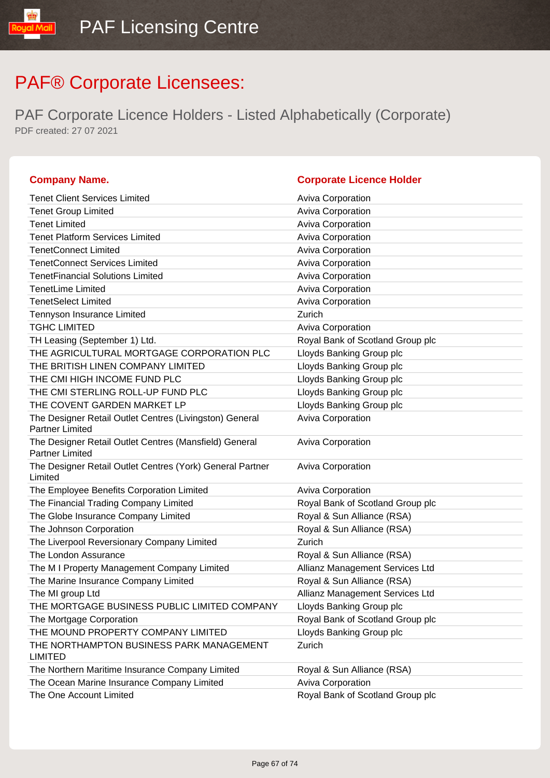| <b>Company Name.</b>                                                              | <b>Corporate Licence Holder</b>  |
|-----------------------------------------------------------------------------------|----------------------------------|
| <b>Tenet Client Services Limited</b>                                              | <b>Aviva Corporation</b>         |
| <b>Tenet Group Limited</b>                                                        | Aviva Corporation                |
| <b>Tenet Limited</b>                                                              | <b>Aviva Corporation</b>         |
| <b>Tenet Platform Services Limited</b>                                            | Aviva Corporation                |
| <b>TenetConnect Limited</b>                                                       | Aviva Corporation                |
| <b>TenetConnect Services Limited</b>                                              | <b>Aviva Corporation</b>         |
| <b>TenetFinancial Solutions Limited</b>                                           | <b>Aviva Corporation</b>         |
| <b>TenetLime Limited</b>                                                          | Aviva Corporation                |
| <b>TenetSelect Limited</b>                                                        | <b>Aviva Corporation</b>         |
| Tennyson Insurance Limited                                                        | Zurich                           |
| <b>TGHC LIMITED</b>                                                               | <b>Aviva Corporation</b>         |
| TH Leasing (September 1) Ltd.                                                     | Royal Bank of Scotland Group plc |
| THE AGRICULTURAL MORTGAGE CORPORATION PLC                                         | Lloyds Banking Group plc         |
| THE BRITISH LINEN COMPANY LIMITED                                                 | Lloyds Banking Group plc         |
| THE CMI HIGH INCOME FUND PLC                                                      | Lloyds Banking Group plc         |
| THE CMI STERLING ROLL-UP FUND PLC                                                 | Lloyds Banking Group plc         |
| THE COVENT GARDEN MARKET LP                                                       | Lloyds Banking Group plc         |
| The Designer Retail Outlet Centres (Livingston) General<br><b>Partner Limited</b> | Aviva Corporation                |
| The Designer Retail Outlet Centres (Mansfield) General<br><b>Partner Limited</b>  | Aviva Corporation                |
| The Designer Retail Outlet Centres (York) General Partner<br>Limited              | Aviva Corporation                |
| The Employee Benefits Corporation Limited                                         | <b>Aviva Corporation</b>         |
| The Financial Trading Company Limited                                             | Royal Bank of Scotland Group plc |
| The Globe Insurance Company Limited                                               | Royal & Sun Alliance (RSA)       |
| The Johnson Corporation                                                           | Royal & Sun Alliance (RSA)       |
| The Liverpool Reversionary Company Limited                                        | Zurich                           |
| The London Assurance                                                              | Royal & Sun Alliance (RSA)       |
| The M I Property Management Company Limited                                       | Allianz Management Services Ltd  |
| The Marine Insurance Company Limited                                              | Royal & Sun Alliance (RSA)       |
| The MI group Ltd                                                                  | Allianz Management Services Ltd  |
| THE MORTGAGE BUSINESS PUBLIC LIMITED COMPANY                                      | Lloyds Banking Group plc         |
| The Mortgage Corporation                                                          | Royal Bank of Scotland Group plc |
| THE MOUND PROPERTY COMPANY LIMITED                                                | Lloyds Banking Group plc         |
| THE NORTHAMPTON BUSINESS PARK MANAGEMENT<br><b>LIMITED</b>                        | Zurich                           |
| The Northern Maritime Insurance Company Limited                                   | Royal & Sun Alliance (RSA)       |
| The Ocean Marine Insurance Company Limited                                        | Aviva Corporation                |
| The One Account Limited                                                           | Royal Bank of Scotland Group plc |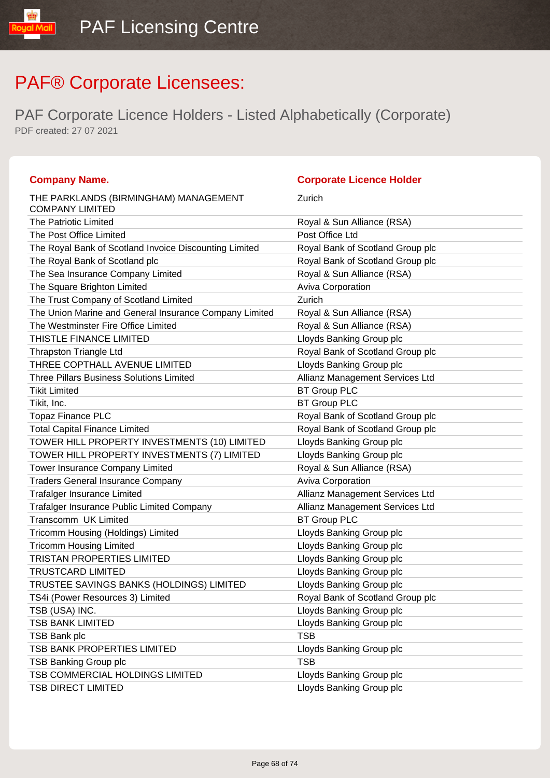| <b>Company Name.</b>                                            | <b>Corporate Licence Holder</b>  |
|-----------------------------------------------------------------|----------------------------------|
| THE PARKLANDS (BIRMINGHAM) MANAGEMENT<br><b>COMPANY LIMITED</b> | Zurich                           |
| <b>The Patriotic Limited</b>                                    | Royal & Sun Alliance (RSA)       |
| The Post Office Limited                                         | Post Office Ltd                  |
| The Royal Bank of Scotland Invoice Discounting Limited          | Royal Bank of Scotland Group plc |
| The Royal Bank of Scotland plc                                  | Royal Bank of Scotland Group plc |
| The Sea Insurance Company Limited                               | Royal & Sun Alliance (RSA)       |
| The Square Brighton Limited                                     | <b>Aviva Corporation</b>         |
| The Trust Company of Scotland Limited                           | Zurich                           |
| The Union Marine and General Insurance Company Limited          | Royal & Sun Alliance (RSA)       |
| The Westminster Fire Office Limited                             | Royal & Sun Alliance (RSA)       |
| THISTLE FINANCE LIMITED                                         | Lloyds Banking Group plc         |
| <b>Thrapston Triangle Ltd</b>                                   | Royal Bank of Scotland Group plc |
| THREE COPTHALL AVENUE LIMITED                                   | Lloyds Banking Group plc         |
| <b>Three Pillars Business Solutions Limited</b>                 | Allianz Management Services Ltd  |
| <b>Tikit Limited</b>                                            | <b>BT Group PLC</b>              |
| Tikit, Inc.                                                     | <b>BT Group PLC</b>              |
| <b>Topaz Finance PLC</b>                                        | Royal Bank of Scotland Group plc |
| <b>Total Capital Finance Limited</b>                            | Royal Bank of Scotland Group plc |
| TOWER HILL PROPERTY INVESTMENTS (10) LIMITED                    | Lloyds Banking Group plc         |
| TOWER HILL PROPERTY INVESTMENTS (7) LIMITED                     | Lloyds Banking Group plc         |
| Tower Insurance Company Limited                                 | Royal & Sun Alliance (RSA)       |
| <b>Traders General Insurance Company</b>                        | <b>Aviva Corporation</b>         |
| <b>Trafalger Insurance Limited</b>                              | Allianz Management Services Ltd  |
| Trafalger Insurance Public Limited Company                      | Allianz Management Services Ltd  |
| Transcomm UK Limited                                            | <b>BT Group PLC</b>              |
| Tricomm Housing (Holdings) Limited                              | Lloyds Banking Group plc         |
| <b>Tricomm Housing Limited</b>                                  | Lloyds Banking Group plc         |
| <b>TRISTAN PROPERTIES LIMITED</b>                               | Lloyds Banking Group plc         |
| <b>TRUSTCARD LIMITED</b>                                        | Lloyds Banking Group plc         |
| TRUSTEE SAVINGS BANKS (HOLDINGS) LIMITED                        | Lloyds Banking Group plc         |
| TS4i (Power Resources 3) Limited                                | Royal Bank of Scotland Group plc |
| TSB (USA) INC.                                                  | Lloyds Banking Group plc         |
| <b>TSB BANK LIMITED</b>                                         | Lloyds Banking Group plc         |
| <b>TSB Bank plc</b>                                             | <b>TSB</b>                       |
| TSB BANK PROPERTIES LIMITED                                     | Lloyds Banking Group plc         |
| <b>TSB Banking Group plc</b>                                    | <b>TSB</b>                       |
| TSB COMMERCIAL HOLDINGS LIMITED                                 | Lloyds Banking Group plc         |
| <b>TSB DIRECT LIMITED</b>                                       | Lloyds Banking Group plc         |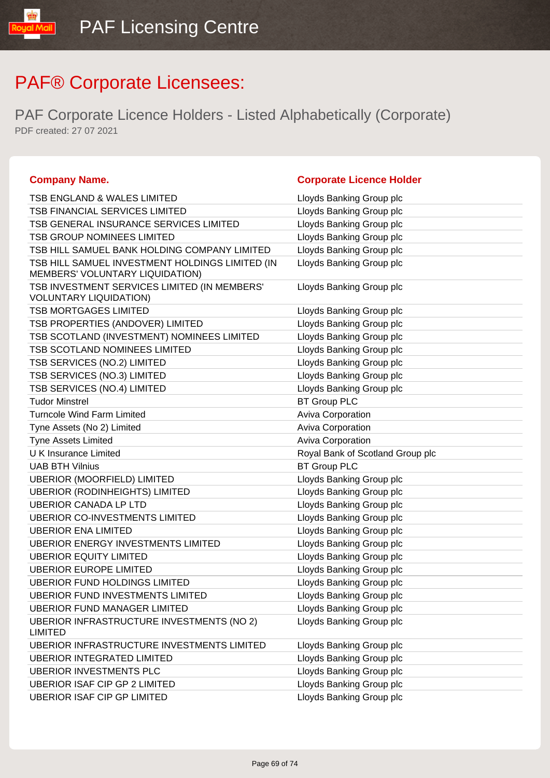| <b>Company Name.</b>                                                               | <b>Corporate Licence Holder</b>  |
|------------------------------------------------------------------------------------|----------------------------------|
| <b>TSB ENGLAND &amp; WALES LIMITED</b>                                             | Lloyds Banking Group plc         |
| <b>TSB FINANCIAL SERVICES LIMITED</b>                                              | Lloyds Banking Group plc         |
| TSB GENERAL INSURANCE SERVICES LIMITED                                             | Lloyds Banking Group plc         |
| <b>TSB GROUP NOMINEES LIMITED</b>                                                  | Lloyds Banking Group plc         |
| TSB HILL SAMUEL BANK HOLDING COMPANY LIMITED                                       | Lloyds Banking Group plc         |
| TSB HILL SAMUEL INVESTMENT HOLDINGS LIMITED (IN<br>MEMBERS' VOLUNTARY LIQUIDATION) | Lloyds Banking Group plc         |
| TSB INVESTMENT SERVICES LIMITED (IN MEMBERS'<br><b>VOLUNTARY LIQUIDATION)</b>      | Lloyds Banking Group plc         |
| <b>TSB MORTGAGES LIMITED</b>                                                       | Lloyds Banking Group plc         |
| TSB PROPERTIES (ANDOVER) LIMITED                                                   | Lloyds Banking Group plc         |
| TSB SCOTLAND (INVESTMENT) NOMINEES LIMITED                                         | Lloyds Banking Group plc         |
| TSB SCOTLAND NOMINEES LIMITED                                                      | Lloyds Banking Group plc         |
| TSB SERVICES (NO.2) LIMITED                                                        | Lloyds Banking Group plc         |
| TSB SERVICES (NO.3) LIMITED                                                        | Lloyds Banking Group plc         |
| TSB SERVICES (NO.4) LIMITED                                                        | Lloyds Banking Group plc         |
| <b>Tudor Minstrel</b>                                                              | <b>BT Group PLC</b>              |
| <b>Turncole Wind Farm Limited</b>                                                  | Aviva Corporation                |
| Tyne Assets (No 2) Limited                                                         | Aviva Corporation                |
| Tyne Assets Limited                                                                | Aviva Corporation                |
| <b>UK Insurance Limited</b>                                                        | Royal Bank of Scotland Group plc |
| <b>UAB BTH Vilnius</b>                                                             | <b>BT Group PLC</b>              |
| <b>UBERIOR (MOORFIELD) LIMITED</b>                                                 | Lloyds Banking Group plc         |
| <b>UBERIOR (RODINHEIGHTS) LIMITED</b>                                              | Lloyds Banking Group plc         |
| <b>UBERIOR CANADA LP LTD</b>                                                       | Lloyds Banking Group plc         |
| <b>UBERIOR CO-INVESTMENTS LIMITED</b>                                              | Lloyds Banking Group plc         |
| <b>UBERIOR ENA LIMITED</b>                                                         | Lloyds Banking Group plc         |
| <b>UBERIOR ENERGY INVESTMENTS LIMITED</b>                                          | Lloyds Banking Group plc         |
| <b>UBERIOR EQUITY LIMITED</b>                                                      | Lloyds Banking Group plc         |
| <b>UBERIOR EUROPE LIMITED</b>                                                      | Lloyds Banking Group plc         |
| <b>UBERIOR FUND HOLDINGS LIMITED</b>                                               | Lloyds Banking Group plc         |
| UBERIOR FUND INVESTMENTS LIMITED                                                   | Lloyds Banking Group plc         |
| <b>UBERIOR FUND MANAGER LIMITED</b>                                                | Lloyds Banking Group plc         |
| <b>UBERIOR INFRASTRUCTURE INVESTMENTS (NO 2)</b><br>LIMITED                        | Lloyds Banking Group plc         |
| UBERIOR INFRASTRUCTURE INVESTMENTS LIMITED                                         | Lloyds Banking Group plc         |
| <b>UBERIOR INTEGRATED LIMITED</b>                                                  | Lloyds Banking Group plc         |
| <b>UBERIOR INVESTMENTS PLC</b>                                                     | Lloyds Banking Group plc         |
| <b>UBERIOR ISAF CIP GP 2 LIMITED</b>                                               | Lloyds Banking Group plc         |
| <b>UBERIOR ISAF CIP GP LIMITED</b>                                                 | Lloyds Banking Group plc         |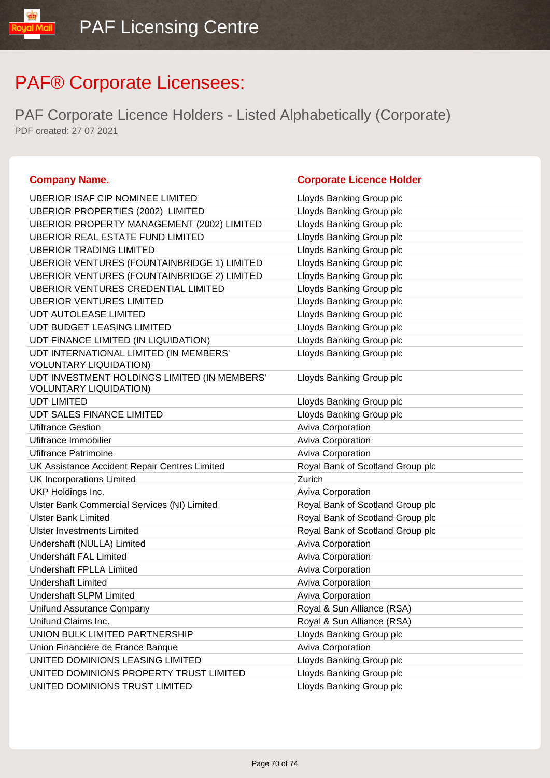PAF Corporate Licence Holders - Listed Alphabetically (Corporate) PDF created: 27 07 2021

### **Company Name. Corporate Licence Holder** UBERIOR ISAF CIP NOMINEE LIMITED LIGHT Lloyds Banking Group plc UBERIOR PROPERTIES (2002) LIMITED Lloyds Banking Group plc UBERIOR PROPERTY MANAGEMENT (2002) LIMITED Lloyds Banking Group plc UBERIOR REAL ESTATE FUND LIMITED LIMITED Lloyds Banking Group plc UBERIOR TRADING LIMITED LETTER LOYD LOYDS Banking Group plc UBERIOR VENTURES (FOUNTAINBRIDGE 1) LIMITED Lloyds Banking Group plc UBERIOR VENTURES (FOUNTAINBRIDGE 2) LIMITED Lloyds Banking Group plc UBERIOR VENTURES CREDENTIAL LIMITED Lloyds Banking Group plc UBERIOR VENTURES LIMITED Latter than the USERIOR VENTURES LIMITED UDT AUTOLEASE LIMITED **Limitation** Lloyds Banking Group plc UDT BUDGET LEASING LIMITED LIGHT LOYD LIOYDS Banking Group plc UDT FINANCE LIMITED (IN LIQUIDATION) Lloyds Banking Group plc UDT INTERNATIONAL LIMITED (IN MEMBERS' VOLUNTARY LIQUIDATION) Lloyds Banking Group plc UDT INVESTMENT HOLDINGS LIMITED (IN MEMBERS' VOLUNTARY LIQUIDATION) Lloyds Banking Group plc UDT LIMITED **Limited** Contact Contact Contact Contact Contact Contact Contact Contact Contact Contact Contact Contact Contact Contact Contact Contact Contact Contact Contact Contact Contact Contact Contact Contact Contact UDT SALES FINANCE LIMITED LATTER LATTER LOYING Banking Group plc Ufifrance Gestion **Aviva Corporation Aviva Corporation** Ufifrance Immobilier **Aviva Corporation Aviva Corporation** Ufifrance Patrimoine **Aviva Corporation** Aviva Corporation UK Assistance Accident Repair Centres Limited Royal Bank of Scotland Group plc UK Incorporations Limited Zurich UKP Holdings Inc. **Aviva Corporation COVID-10** Aviva Corporation Ulster Bank Commercial Services (NI) Limited **Royal Bank of Scotland Group plc** Ulster Bank Limited Royal Bank of Scotland Group plc Ulster Investments Limited Royal Bank of Scotland Group plc Undershaft (NULLA) Limited Aviva Corporation Aviva Corporation Undershaft FAL Limited **Aviva Corporation** Aviva Corporation Undershaft FPLLA Limited Aviva Corporation Undershaft Limited **Aviva Corporation** Aviva Corporation Undershaft SLPM Limited Aviva Corporation Unifund Assurance Company **Royal & Sun Alliance (RSA)** Unifund Claims Inc. **Royal & Sun Alliance (RSA)** UNION BULK LIMITED PARTNERSHIP Lloyds Banking Group plc Union Financière de France Banque **Aviva Corporation** UNITED DOMINIONS LEASING LIMITED LATTER LOYDIS Banking Group plc UNITED DOMINIONS PROPERTY TRUST LIMITED Lloyds Banking Group plc UNITED DOMINIONS TRUST LIMITED **Limit Community** Lloyds Banking Group plc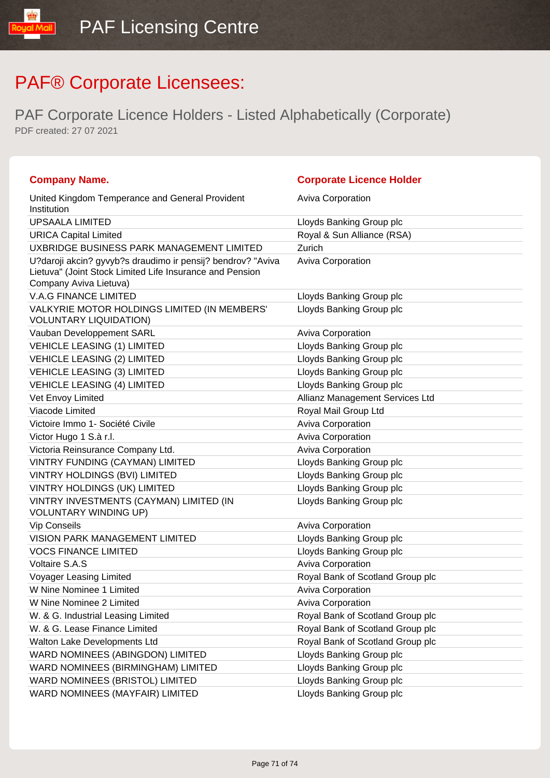| <b>Company Name.</b>                                                                                                                              | <b>Corporate Licence Holder</b>  |
|---------------------------------------------------------------------------------------------------------------------------------------------------|----------------------------------|
| United Kingdom Temperance and General Provident<br>Institution                                                                                    | <b>Aviva Corporation</b>         |
| <b>UPSAALA LIMITED</b>                                                                                                                            | Lloyds Banking Group plc         |
| <b>URICA Capital Limited</b>                                                                                                                      | Royal & Sun Alliance (RSA)       |
| UXBRIDGE BUSINESS PARK MANAGEMENT LIMITED                                                                                                         | Zurich                           |
| U?daroji akcin? gyvyb?s draudimo ir pensij? bendrov? "Aviva<br>Lietuva" (Joint Stock Limited Life Insurance and Pension<br>Company Aviva Lietuva) | <b>Aviva Corporation</b>         |
| <b>V.A.G FINANCE LIMITED</b>                                                                                                                      | Lloyds Banking Group plc         |
| VALKYRIE MOTOR HOLDINGS LIMITED (IN MEMBERS'<br><b>VOLUNTARY LIQUIDATION)</b>                                                                     | Lloyds Banking Group plc         |
| Vauban Developpement SARL                                                                                                                         | <b>Aviva Corporation</b>         |
| <b>VEHICLE LEASING (1) LIMITED</b>                                                                                                                | Lloyds Banking Group plc         |
| <b>VEHICLE LEASING (2) LIMITED</b>                                                                                                                | Lloyds Banking Group plc         |
| <b>VEHICLE LEASING (3) LIMITED</b>                                                                                                                | Lloyds Banking Group plc         |
| <b>VEHICLE LEASING (4) LIMITED</b>                                                                                                                | Lloyds Banking Group plc         |
| Vet Envoy Limited                                                                                                                                 | Allianz Management Services Ltd  |
| Viacode Limited                                                                                                                                   | Royal Mail Group Ltd             |
| Victoire Immo 1- Société Civile                                                                                                                   | Aviva Corporation                |
| Victor Hugo 1 S.à r.l.                                                                                                                            | <b>Aviva Corporation</b>         |
| Victoria Reinsurance Company Ltd.                                                                                                                 | <b>Aviva Corporation</b>         |
| VINTRY FUNDING (CAYMAN) LIMITED                                                                                                                   | Lloyds Banking Group plc         |
| VINTRY HOLDINGS (BVI) LIMITED                                                                                                                     | Lloyds Banking Group plc         |
| VINTRY HOLDINGS (UK) LIMITED                                                                                                                      | Lloyds Banking Group plc         |
| VINTRY INVESTMENTS (CAYMAN) LIMITED (IN<br><b>VOLUNTARY WINDING UP)</b>                                                                           | Lloyds Banking Group plc         |
| <b>Vip Conseils</b>                                                                                                                               | <b>Aviva Corporation</b>         |
| <b>VISION PARK MANAGEMENT LIMITED</b>                                                                                                             | Lloyds Banking Group plc         |
| <b>VOCS FINANCE LIMITED</b>                                                                                                                       | Lloyds Banking Group plc         |
| <b>Voltaire S.A.S</b>                                                                                                                             | <b>Aviva Corporation</b>         |
| Voyager Leasing Limited                                                                                                                           | Royal Bank of Scotland Group plc |
| W Nine Nominee 1 Limited                                                                                                                          | Aviva Corporation                |
| W Nine Nominee 2 Limited                                                                                                                          | <b>Aviva Corporation</b>         |
| W. & G. Industrial Leasing Limited                                                                                                                | Royal Bank of Scotland Group plc |
| W. & G. Lease Finance Limited                                                                                                                     | Royal Bank of Scotland Group plc |
| Walton Lake Developments Ltd                                                                                                                      | Royal Bank of Scotland Group plc |
| WARD NOMINEES (ABINGDON) LIMITED                                                                                                                  | Lloyds Banking Group plc         |
| WARD NOMINEES (BIRMINGHAM) LIMITED                                                                                                                | Lloyds Banking Group plc         |
| WARD NOMINEES (BRISTOL) LIMITED                                                                                                                   | Lloyds Banking Group plc         |
| WARD NOMINEES (MAYFAIR) LIMITED                                                                                                                   | Lloyds Banking Group plc         |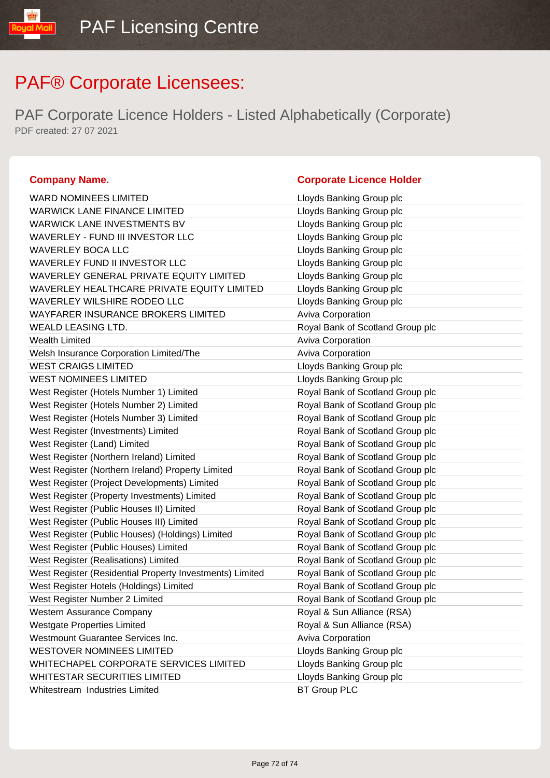PAF Corporate Licence Holders - Listed Alphabetically (Corporate) PDF created: 27 07 2021

| <b>WARD NOMINEES LIMITED</b>                             | Lloyds Banking Group plc         |
|----------------------------------------------------------|----------------------------------|
| <b>WARWICK LANE FINANCE LIMITED</b>                      | Lloyds Banking Group plc         |
| WARWICK LANE INVESTMENTS BV                              | Lloyds Banking Group plc         |
| WAVERLEY - FUND III INVESTOR LLC                         | Lloyds Banking Group plc         |
| <b>WAVERLEY BOCA LLC</b>                                 | Lloyds Banking Group plc         |
| WAVERLEY FUND II INVESTOR LLC                            | Lloyds Banking Group plc         |
| WAVERLEY GENERAL PRIVATE EQUITY LIMITED                  | Lloyds Banking Group plc         |
| WAVERLEY HEALTHCARE PRIVATE EQUITY LIMITED               | Lloyds Banking Group plc         |
| WAVERLEY WILSHIRE RODEO LLC                              | Lloyds Banking Group plc         |
| <b>WAYFARER INSURANCE BROKERS LIMITED</b>                | Aviva Corporation                |
| <b>WEALD LEASING LTD.</b>                                | Royal Bank of Scotland Group plc |
| <b>Wealth Limited</b>                                    | Aviva Corporation                |
| Welsh Insurance Corporation Limited/The                  | <b>Aviva Corporation</b>         |
| <b>WEST CRAIGS LIMITED</b>                               | Lloyds Banking Group plc         |
| <b>WEST NOMINEES LIMITED</b>                             | Lloyds Banking Group plc         |
| West Register (Hotels Number 1) Limited                  | Royal Bank of Scotland Group plc |
| West Register (Hotels Number 2) Limited                  | Royal Bank of Scotland Group plc |
| West Register (Hotels Number 3) Limited                  | Royal Bank of Scotland Group plc |
| West Register (Investments) Limited                      | Royal Bank of Scotland Group plc |
| West Register (Land) Limited                             | Royal Bank of Scotland Group plc |
| West Register (Northern Ireland) Limited                 | Royal Bank of Scotland Group plc |
| West Register (Northern Ireland) Property Limited        | Royal Bank of Scotland Group plc |
| West Register (Project Developments) Limited             | Royal Bank of Scotland Group plc |
| West Register (Property Investments) Limited             | Royal Bank of Scotland Group plc |
| West Register (Public Houses II) Limited                 | Royal Bank of Scotland Group plc |
| West Register (Public Houses III) Limited                | Royal Bank of Scotland Group plc |
| West Register (Public Houses) (Holdings) Limited         | Royal Bank of Scotland Group plc |
| West Register (Public Houses) Limited                    | Royal Bank of Scotland Group plc |
| West Register (Realisations) Limited                     | Royal Bank of Scotland Group plc |
| West Register (Residential Property Investments) Limited | Royal Bank of Scotland Group plc |
| West Register Hotels (Holdings) Limited                  | Royal Bank of Scotland Group plc |
| West Register Number 2 Limited                           | Royal Bank of Scotland Group plc |
| Western Assurance Company                                | Royal & Sun Alliance (RSA)       |
| <b>Westgate Properties Limited</b>                       | Royal & Sun Alliance (RSA)       |
| Westmount Guarantee Services Inc.                        | <b>Aviva Corporation</b>         |
| <b>WESTOVER NOMINEES LIMITED</b>                         | Lloyds Banking Group plc         |
| WHITECHAPEL CORPORATE SERVICES LIMITED                   | Lloyds Banking Group plc         |
| WHITESTAR SECURITIES LIMITED                             | Lloyds Banking Group plc         |
| Whitestream Industries Limited                           | <b>BT Group PLC</b>              |

|    | Livyus Darining Group pic        |
|----|----------------------------------|
|    | Lloyds Banking Group plc         |
|    | Lloyds Banking Group plc         |
|    | Lloyds Banking Group plc         |
|    | Lloyds Banking Group plc         |
|    | Lloyds Banking Group plc         |
|    | Lloyds Banking Group plc         |
| ΞD | Lloyds Banking Group plc         |
|    | Lloyds Banking Group plc         |
|    | Aviva Corporation                |
|    | Royal Bank of Scotland Group plc |
|    | Aviva Corporation                |
|    | Aviva Corporation                |
|    | Lloyds Banking Group plc         |
|    | Lloyds Banking Group plc         |
|    | Royal Bank of Scotland Group plc |
|    | Royal Bank of Scotland Group plc |
|    | Royal Bank of Scotland Group plc |
|    | Royal Bank of Scotland Group plc |
|    | Royal Bank of Scotland Group plc |
|    | Royal Bank of Scotland Group plc |
|    | Royal Bank of Scotland Group plc |
|    | Royal Bank of Scotland Group plc |
|    | Royal Bank of Scotland Group plc |
|    | Royal Bank of Scotland Group plc |
|    | Royal Bank of Scotland Group plc |
|    | Royal Bank of Scotland Group plc |
|    | Royal Bank of Scotland Group plc |
|    | Royal Bank of Scotland Group plc |
| ed | Royal Bank of Scotland Group plc |
|    | Royal Bank of Scotland Group plc |
|    | Royal Bank of Scotland Group plc |
|    | Royal & Sun Alliance (RSA)       |
|    | Royal & Sun Alliance (RSA)       |
|    | <b>Aviva Corporation</b>         |
|    | Lloyds Banking Group plc         |
|    | Lloyds Banking Group plc         |
|    | Lloyds Banking Group plc         |
|    | $PT$ $C$ roun $DI$ $C$           |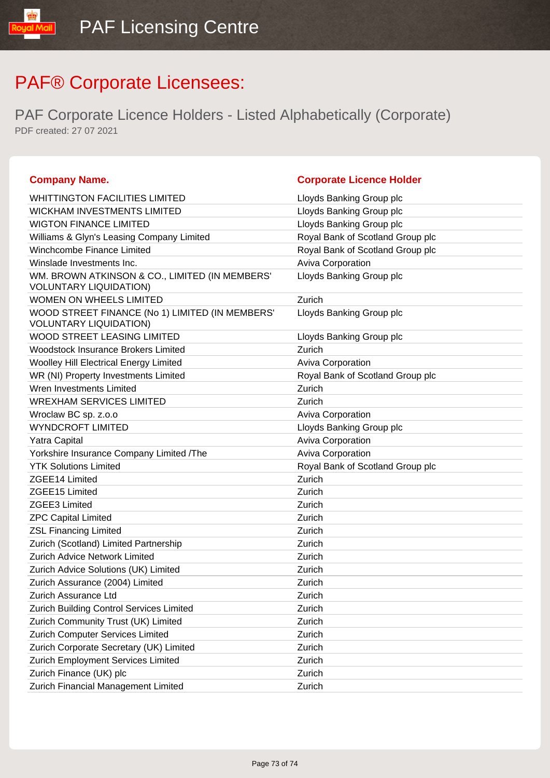## PAF® Corporate Licensees:

PAF Corporate Licence Holders - Listed Alphabetically (Corporate) PDF created: 27 07 2021

| <b>Company Name.</b>                                                             | <b>Corporate Licence Holder</b>  |
|----------------------------------------------------------------------------------|----------------------------------|
| <b>WHITTINGTON FACILITIES LIMITED</b>                                            | Lloyds Banking Group plc         |
| <b>WICKHAM INVESTMENTS LIMITED</b>                                               | Lloyds Banking Group plc         |
| <b>WIGTON FINANCE LIMITED</b>                                                    | Lloyds Banking Group plc         |
| Williams & Glyn's Leasing Company Limited                                        | Royal Bank of Scotland Group plc |
| Winchcombe Finance Limited                                                       | Royal Bank of Scotland Group plc |
| Winslade Investments Inc.                                                        | Aviva Corporation                |
| WM. BROWN ATKINSON & CO., LIMITED (IN MEMBERS'<br><b>VOLUNTARY LIQUIDATION)</b>  | Lloyds Banking Group plc         |
| WOMEN ON WHEELS LIMITED                                                          | Zurich                           |
| WOOD STREET FINANCE (No 1) LIMITED (IN MEMBERS'<br><b>VOLUNTARY LIQUIDATION)</b> | Lloyds Banking Group plc         |
| <b>WOOD STREET LEASING LIMITED</b>                                               | Lloyds Banking Group plc         |
| <b>Woodstock Insurance Brokers Limited</b>                                       | Zurich                           |
| Woolley Hill Electrical Energy Limited                                           | Aviva Corporation                |
| WR (NI) Property Investments Limited                                             | Royal Bank of Scotland Group plc |
| Wren Investments Limited                                                         | Zurich                           |
| <b>WREXHAM SERVICES LIMITED</b>                                                  | Zurich                           |
| Wroclaw BC sp. z.o.o                                                             | Aviva Corporation                |
| <b>WYNDCROFT LIMITED</b>                                                         | Lloyds Banking Group plc         |
| Yatra Capital                                                                    | Aviva Corporation                |
| Yorkshire Insurance Company Limited /The                                         | Aviva Corporation                |
| <b>YTK Solutions Limited</b>                                                     | Royal Bank of Scotland Group plc |
| ZGEE14 Limited                                                                   | Zurich                           |
| ZGEE15 Limited                                                                   | Zurich                           |
| <b>ZGEE3 Limited</b>                                                             | Zurich                           |
| <b>ZPC Capital Limited</b>                                                       | Zurich                           |
| <b>ZSL Financing Limited</b>                                                     | Zurich                           |
| Zurich (Scotland) Limited Partnership                                            | Zurich                           |
| <b>Zurich Advice Network Limited</b>                                             | Zurich                           |
| Zurich Advice Solutions (UK) Limited                                             | Zurich                           |
| Zurich Assurance (2004) Limited                                                  | Zurich                           |
| Zurich Assurance Ltd                                                             | Zurich                           |
| Zurich Building Control Services Limited                                         | Zurich                           |
| Zurich Community Trust (UK) Limited                                              | Zurich                           |
| Zurich Computer Services Limited                                                 | Zurich                           |
| Zurich Corporate Secretary (UK) Limited                                          | Zurich                           |
| Zurich Employment Services Limited                                               | Zurich                           |
| Zurich Finance (UK) plc                                                          | Zurich                           |
| Zurich Financial Management Limited                                              | Zurich                           |